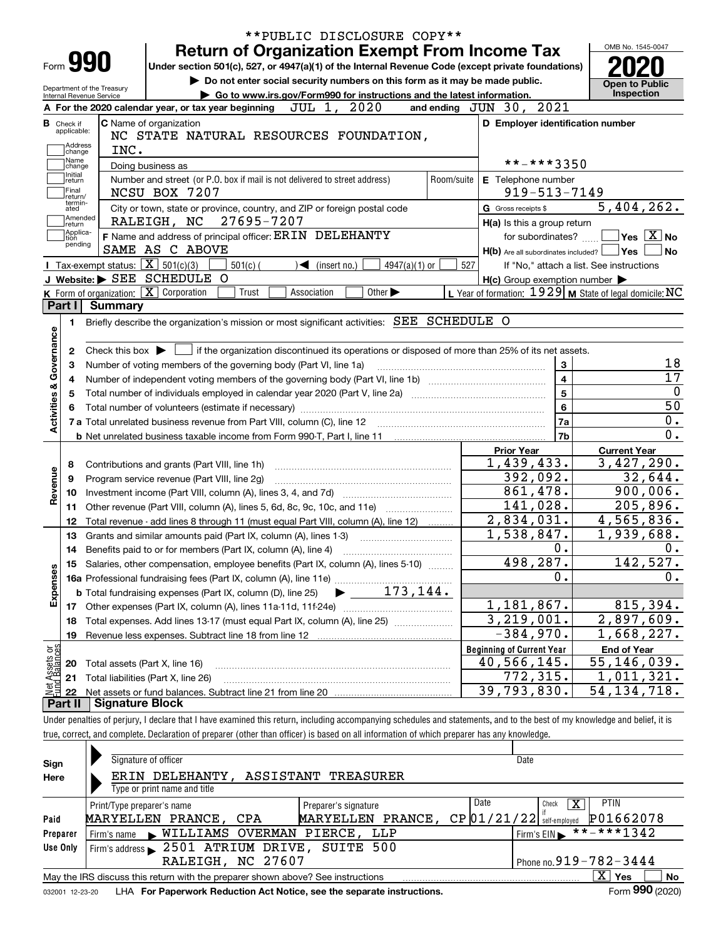|                                  |                                                            |                                                                                                                                                                            | **PUBLIC DISCLOSURE COPY**                                             |                             |            |                                                           |                                          |  |  |
|----------------------------------|------------------------------------------------------------|----------------------------------------------------------------------------------------------------------------------------------------------------------------------------|------------------------------------------------------------------------|-----------------------------|------------|-----------------------------------------------------------|------------------------------------------|--|--|
|                                  |                                                            | <b>Return of Organization Exempt From Income Tax</b>                                                                                                                       |                                                                        |                             |            |                                                           | OMB No. 1545-0047                        |  |  |
| Form 990                         |                                                            | Under section 501(c), 527, or 4947(a)(1) of the Internal Revenue Code (except private foundations)                                                                         |                                                                        |                             |            |                                                           |                                          |  |  |
| Department of the Treasury       |                                                            | Do not enter social security numbers on this form as it may be made public.                                                                                                |                                                                        |                             |            |                                                           | <b>Open to Public</b>                    |  |  |
| Internal Revenue Service         |                                                            |                                                                                                                                                                            | Go to www.irs.gov/Form990 for instructions and the latest information. |                             |            |                                                           | Inspection                               |  |  |
|                                  |                                                            | A For the 2020 calendar year, or tax year beginning                                                                                                                        | JUL 1, 2020                                                            |                             |            | and ending JUN 30, 2021                                   |                                          |  |  |
| <b>B</b> Check if<br>applicable: | C Name of organization                                     | NC STATE NATURAL RESOURCES FOUNDATION,                                                                                                                                     |                                                                        |                             |            | D Employer identification number                          |                                          |  |  |
| Address                          | INC.                                                       |                                                                                                                                                                            |                                                                        |                             |            |                                                           |                                          |  |  |
| change<br>Name                   |                                                            |                                                                                                                                                                            |                                                                        |                             |            | **-***3350                                                |                                          |  |  |
| change<br>Initial                | Doing business as                                          | Number and street (or P.O. box if mail is not delivered to street address)                                                                                                 |                                                                        |                             | Room/suite | E Telephone number                                        |                                          |  |  |
| return<br>Final                  |                                                            | NCSU BOX 7207                                                                                                                                                              |                                                                        |                             |            | $919 - 513 - 7149$                                        |                                          |  |  |
| return/<br>termin-<br>ated       |                                                            | City or town, state or province, country, and ZIP or foreign postal code                                                                                                   |                                                                        |                             |            | G Gross receipts \$                                       | 5,404,262.                               |  |  |
| Amended                          |                                                            | RALEIGH, NC 27695-7207                                                                                                                                                     |                                                                        |                             |            | H(a) Is this a group return                               |                                          |  |  |
| return<br>Applica-<br>tion       |                                                            | F Name and address of principal officer: ERIN DELEHANTY                                                                                                                    |                                                                        |                             |            | for subordinates?                                         | $\Box$ Yes $[X]$ No                      |  |  |
| pending                          |                                                            | SAME AS C ABOVE                                                                                                                                                            |                                                                        |                             |            | $H(b)$ Are all subordinates included? $\Box$ Yes          | ∣No                                      |  |  |
|                                  | <b>I</b> Tax-exempt status: $\boxed{\mathbf{X}}$ 501(c)(3) | $501(c)$ (                                                                                                                                                                 | $\mathcal{L}$ (insert no.)                                             | $4947(a)(1)$ or             | 527        |                                                           | If "No," attach a list. See instructions |  |  |
|                                  |                                                            | J Website: > SEE SCHEDULE O                                                                                                                                                |                                                                        |                             |            | $H(c)$ Group exemption number $\blacktriangleright$       |                                          |  |  |
|                                  | K Form of organization: $\boxed{\mathbf{X}}$ Corporation   | Trust                                                                                                                                                                      | Association                                                            | Other $\blacktriangleright$ |            | L Year of formation: $1929$ M State of legal domicile: NC |                                          |  |  |
| Part I                           | <b>Summary</b>                                             |                                                                                                                                                                            |                                                                        |                             |            |                                                           |                                          |  |  |
| 1.                               |                                                            | Briefly describe the organization's mission or most significant activities: SEE SCHEDULE O                                                                                 |                                                                        |                             |            |                                                           |                                          |  |  |
| Activities & Governance          |                                                            |                                                                                                                                                                            |                                                                        |                             |            |                                                           |                                          |  |  |
| 2                                |                                                            | Check this box $\blacktriangleright$ $\Box$ if the organization discontinued its operations or disposed of more than 25% of its net assets.                                |                                                                        |                             |            |                                                           |                                          |  |  |
| з                                |                                                            | Number of voting members of the governing body (Part VI, line 1a)                                                                                                          |                                                                        |                             |            | $\mathbf{3}$                                              |                                          |  |  |
| 4                                | $\overline{4}$                                             |                                                                                                                                                                            |                                                                        |                             |            |                                                           |                                          |  |  |
|                                  |                                                            | Total number of individuals employed in calendar year 2020 (Part V, line 2a) manufacture controller to intervent                                                           |                                                                        |                             |            | $\overline{5}$                                            |                                          |  |  |
|                                  |                                                            |                                                                                                                                                                            |                                                                        |                             |            | $6\phantom{a}$                                            |                                          |  |  |
|                                  |                                                            |                                                                                                                                                                            |                                                                        |                             |            | 7a                                                        |                                          |  |  |
|                                  |                                                            |                                                                                                                                                                            |                                                                        |                             |            | 7b                                                        |                                          |  |  |
|                                  |                                                            |                                                                                                                                                                            |                                                                        |                             |            | <b>Prior Year</b>                                         | <b>Current Year</b>                      |  |  |
| 8                                |                                                            | Contributions and grants (Part VIII, line 1h)                                                                                                                              |                                                                        |                             |            | 1,439,433.                                                | 3,427,290.                               |  |  |
| 9                                |                                                            | Program service revenue (Part VIII, line 2g)                                                                                                                               |                                                                        |                             |            | 392,092.                                                  | 32,644.                                  |  |  |
| Revenue<br>10                    |                                                            |                                                                                                                                                                            |                                                                        |                             |            | 861,478.                                                  | 900,006.                                 |  |  |
| 11                               |                                                            | Other revenue (Part VIII, column (A), lines 5, 6d, 8c, 9c, 10c, and 11e)                                                                                                   |                                                                        |                             |            | 141,028.                                                  | $\overline{205,896}$ .                   |  |  |
| 12                               |                                                            | Total revenue - add lines 8 through 11 (must equal Part VIII, column (A), line 12)                                                                                         |                                                                        |                             |            | 2,834,031.                                                | 4,565,836.                               |  |  |
| 13                               |                                                            | Grants and similar amounts paid (Part IX, column (A), lines 1-3)                                                                                                           |                                                                        |                             |            | 1,538,847.                                                | 1,939,688.                               |  |  |
| 14                               |                                                            | Benefits paid to or for members (Part IX, column (A), line 4)                                                                                                              |                                                                        |                             |            | 0.                                                        |                                          |  |  |
|                                  |                                                            | 15 Salaries, other compensation, employee benefits (Part IX, column (A), lines 5-10)                                                                                       |                                                                        |                             |            | 498,287.                                                  | 142,527.                                 |  |  |
| Expenses                         |                                                            |                                                                                                                                                                            |                                                                        |                             |            | 0.                                                        |                                          |  |  |
|                                  |                                                            |                                                                                                                                                                            |                                                                        |                             |            |                                                           |                                          |  |  |
|                                  |                                                            |                                                                                                                                                                            |                                                                        |                             |            | 1,181,867.                                                | 815,394.                                 |  |  |
| 18                               |                                                            | Total expenses. Add lines 13-17 (must equal Part IX, column (A), line 25)                                                                                                  |                                                                        |                             |            | 3,219,001.                                                | 2,897,609.                               |  |  |
| 19                               |                                                            | Revenue less expenses. Subtract line 18 from line 12                                                                                                                       |                                                                        |                             |            | $-384,970.$                                               | 1,668,227.                               |  |  |
|                                  |                                                            |                                                                                                                                                                            |                                                                        |                             |            | <b>Beginning of Current Year</b>                          | <b>End of Year</b>                       |  |  |
| : Assets or<br>d Balances<br>20  | Total assets (Part X, line 16)                             |                                                                                                                                                                            |                                                                        |                             |            | 40,566,145.                                               | 55,146,039.                              |  |  |
| 21                               | Total liabilities (Part X, line 26)                        |                                                                                                                                                                            |                                                                        |                             |            | 772,315.                                                  | 1,011,321.                               |  |  |
| 22                               |                                                            |                                                                                                                                                                            |                                                                        |                             |            | 39,793,830.                                               | 54, 134, 718.                            |  |  |
| Part II                          | <b>Signature Block</b>                                     |                                                                                                                                                                            |                                                                        |                             |            |                                                           |                                          |  |  |
|                                  |                                                            | Under penalties of perjury, I declare that I have examined this return, including accompanying schedules and statements, and to the best of my knowledge and belief, it is |                                                                        |                             |            |                                                           |                                          |  |  |
|                                  |                                                            | true, correct, and complete. Declaration of preparer (other than officer) is based on all information of which preparer has any knowledge.                                 |                                                                        |                             |            |                                                           |                                          |  |  |
|                                  |                                                            |                                                                                                                                                                            |                                                                        |                             |            |                                                           |                                          |  |  |
| Sian                             | Signature of officer                                       |                                                                                                                                                                            |                                                                        |                             |            | Date                                                      |                                          |  |  |

| Sign     | Signature of officer                                                            |                      | Date                        |                                            |  |  |  |  |  |  |
|----------|---------------------------------------------------------------------------------|----------------------|-----------------------------|--------------------------------------------|--|--|--|--|--|--|
| Here     | ERIN DELEHANTY, ASSISTANT TREASURER                                             |                      |                             |                                            |  |  |  |  |  |  |
|          | Type or print name and title                                                    |                      |                             |                                            |  |  |  |  |  |  |
|          | Print/Type preparer's name                                                      | Preparer's signature | Date<br>Check               | <b>PTIN</b><br>х                           |  |  |  |  |  |  |
| Paid     | MARYELLEN PRANCE, CPA                                                           | MARYELLEN PRANCE,    | $CP$ 01/21/22 self-employed | P01662078                                  |  |  |  |  |  |  |
| Preparer | WILLIAMS OVERMAN PIERCE,<br>Firm's name                                         | LLP                  |                             | $1$ Firm's EIN $\triangleright$ **-***1342 |  |  |  |  |  |  |
| Use Only | Firm's address > 2501 ATRIUM DRIVE, SUITE 500                                   |                      |                             |                                            |  |  |  |  |  |  |
|          | RALEIGH, NC 27607                                                               |                      |                             | Phone no. $919 - 782 - 3444$               |  |  |  |  |  |  |
|          | May the IRS discuss this return with the preparer shown above? See instructions |                      |                             | х<br>No<br>Yes                             |  |  |  |  |  |  |
|          |                                                                                 |                      |                             | $- - -$                                    |  |  |  |  |  |  |

032001 12-23-20 LHA **For Paperwork Reduction Act Notice, see the separate instructions. Form 990 (2020)** 

**990**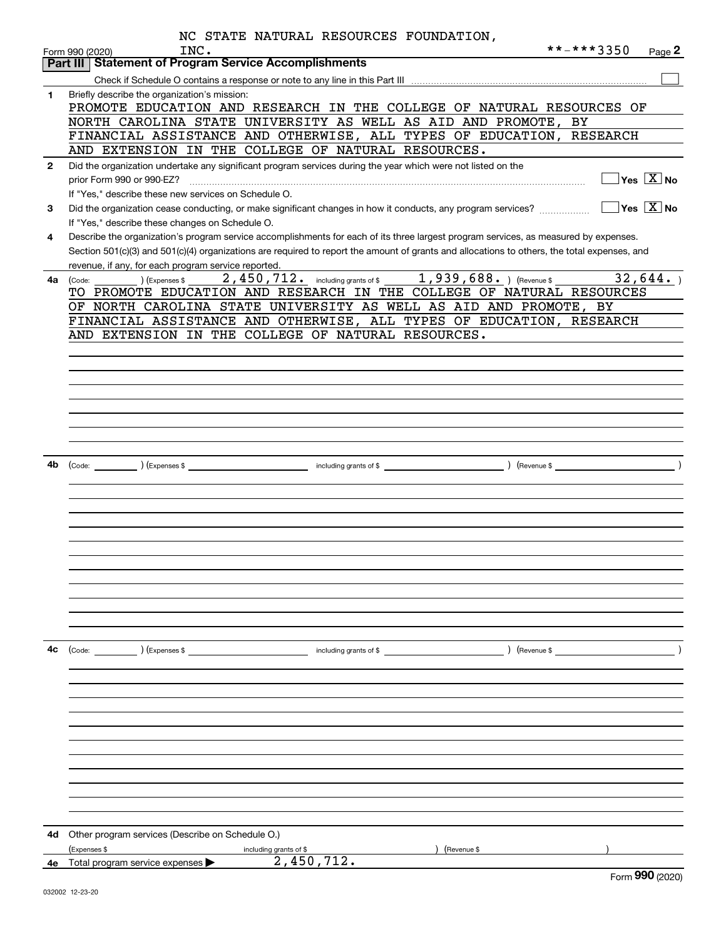|              | NC STATE NATURAL RESOURCES FOUNDATION,                                                                                                       |
|--------------|----------------------------------------------------------------------------------------------------------------------------------------------|
|              | **-***3350<br>INC.<br>Page 2<br>Form 990 (2020)                                                                                              |
|              | <b>Part III Statement of Program Service Accomplishments</b>                                                                                 |
|              |                                                                                                                                              |
| 1            | Briefly describe the organization's mission:                                                                                                 |
|              | PROMOTE EDUCATION AND RESEARCH IN THE COLLEGE OF NATURAL RESOURCES OF                                                                        |
|              | NORTH CAROLINA STATE UNIVERSITY AS WELL AS AID AND PROMOTE, BY                                                                               |
|              | FINANCIAL ASSISTANCE AND OTHERWISE, ALL TYPES OF EDUCATION, RESEARCH                                                                         |
|              | AND EXTENSION IN THE COLLEGE OF NATURAL RESOURCES.                                                                                           |
| $\mathbf{2}$ | Did the organization undertake any significant program services during the year which were not listed on the                                 |
|              | $\Box$ Yes $[\overline{\mathrm{X}}]$ No                                                                                                      |
|              | prior Form 990 or 990-EZ?                                                                                                                    |
|              | If "Yes." describe these new services on Schedule O.                                                                                         |
| 3            | $\Box$ Yes $\Box$ No<br>Did the organization cease conducting, or make significant changes in how it conducts, any program services?         |
|              | If "Yes," describe these changes on Schedule O.                                                                                              |
| 4            | Describe the organization's program service accomplishments for each of its three largest program services, as measured by expenses.         |
|              | Section 501(c)(3) and 501(c)(4) organizations are required to report the amount of grants and allocations to others, the total expenses, and |
|              | revenue, if any, for each program service reported.                                                                                          |
| 4a l         | $_{\rm \sim}$ ) (Expenses \$ $_{\rm \sim}$ 2, 450, 712. including grants of \$ $_{\rm \sim}$ 1, 939, 688. ) (Revenue \$<br>32,644.<br>(Code: |
|              | TO PROMOTE EDUCATION AND RESEARCH IN THE COLLEGE OF NATURAL RESOURCES                                                                        |
|              | OF NORTH CAROLINA STATE UNIVERSITY AS WELL AS AID AND PROMOTE, BY                                                                            |
|              | FINANCIAL ASSISTANCE AND OTHERWISE, ALL TYPES OF EDUCATION, RESEARCH                                                                         |
|              | AND EXTENSION IN THE COLLEGE OF NATURAL RESOURCES.                                                                                           |
|              |                                                                                                                                              |
|              |                                                                                                                                              |
|              |                                                                                                                                              |
|              |                                                                                                                                              |
|              |                                                                                                                                              |
|              |                                                                                                                                              |
|              |                                                                                                                                              |
|              |                                                                                                                                              |
|              |                                                                                                                                              |
| 4b           |                                                                                                                                              |
|              |                                                                                                                                              |
|              |                                                                                                                                              |
|              |                                                                                                                                              |
|              |                                                                                                                                              |
|              |                                                                                                                                              |
|              |                                                                                                                                              |
|              |                                                                                                                                              |
|              |                                                                                                                                              |
|              |                                                                                                                                              |
|              |                                                                                                                                              |
|              |                                                                                                                                              |
|              |                                                                                                                                              |
|              |                                                                                                                                              |
| 4c           | $\left(\text{Code:}\right)$ $\left(\text{Expenses $}\right)$<br>$\sqrt{2}$ (Revenue \$<br>including grants of \$                             |
|              |                                                                                                                                              |
|              |                                                                                                                                              |
|              |                                                                                                                                              |
|              |                                                                                                                                              |
|              |                                                                                                                                              |
|              |                                                                                                                                              |
|              |                                                                                                                                              |
|              |                                                                                                                                              |
|              |                                                                                                                                              |
|              |                                                                                                                                              |
|              |                                                                                                                                              |
|              |                                                                                                                                              |
|              |                                                                                                                                              |
| 4d           | Other program services (Describe on Schedule O.)                                                                                             |
|              | (Revenue \$<br>(Expenses \$<br>including grants of \$                                                                                        |
| 4е           | 2,450,712.<br>Total program service expenses                                                                                                 |
|              | $\sim$                                                                                                                                       |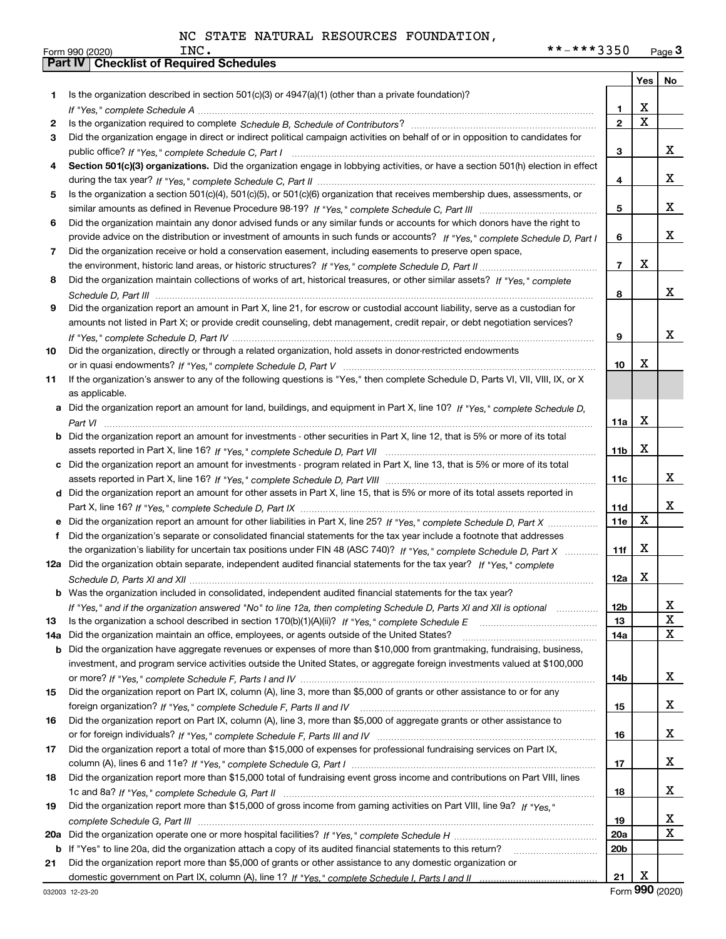|     |                                                                                                                                       |                 | Yes                     | No          |
|-----|---------------------------------------------------------------------------------------------------------------------------------------|-----------------|-------------------------|-------------|
| 1   | Is the organization described in section $501(c)(3)$ or $4947(a)(1)$ (other than a private foundation)?                               |                 |                         |             |
|     |                                                                                                                                       | 1               | X                       |             |
| 2   |                                                                                                                                       | $\mathbf{2}$    | $\overline{\mathbf{x}}$ |             |
| 3   | Did the organization engage in direct or indirect political campaign activities on behalf of or in opposition to candidates for       |                 |                         |             |
|     |                                                                                                                                       | 3               |                         | x           |
| 4   | Section 501(c)(3) organizations. Did the organization engage in lobbying activities, or have a section 501(h) election in effect      |                 |                         |             |
|     |                                                                                                                                       | 4               |                         | x           |
| 5   | Is the organization a section 501(c)(4), 501(c)(5), or 501(c)(6) organization that receives membership dues, assessments, or          |                 |                         |             |
|     |                                                                                                                                       | 5               |                         | x           |
| 6   | Did the organization maintain any donor advised funds or any similar funds or accounts for which donors have the right to             |                 |                         |             |
|     | provide advice on the distribution or investment of amounts in such funds or accounts? If "Yes," complete Schedule D, Part I          | 6               |                         | x           |
| 7   | Did the organization receive or hold a conservation easement, including easements to preserve open space,                             |                 |                         |             |
|     |                                                                                                                                       | $\overline{7}$  | X                       |             |
| 8   | Did the organization maintain collections of works of art, historical treasures, or other similar assets? If "Yes," complete          |                 |                         |             |
|     |                                                                                                                                       | 8               |                         | X           |
| 9   | Did the organization report an amount in Part X, line 21, for escrow or custodial account liability, serve as a custodian for         |                 |                         |             |
|     | amounts not listed in Part X; or provide credit counseling, debt management, credit repair, or debt negotiation services?             |                 |                         |             |
|     |                                                                                                                                       | 9               |                         | x           |
| 10  | Did the organization, directly or through a related organization, hold assets in donor-restricted endowments                          |                 |                         |             |
|     |                                                                                                                                       | 10              | X                       |             |
| 11  | If the organization's answer to any of the following questions is "Yes," then complete Schedule D, Parts VI, VIII, VIII, IX, or X     |                 |                         |             |
|     | as applicable.                                                                                                                        |                 |                         |             |
|     | a Did the organization report an amount for land, buildings, and equipment in Part X, line 10? If "Yes," complete Schedule D,         |                 |                         |             |
|     |                                                                                                                                       | 11a             | X                       |             |
|     | <b>b</b> Did the organization report an amount for investments - other securities in Part X, line 12, that is 5% or more of its total |                 |                         |             |
|     |                                                                                                                                       | 11 <sub>b</sub> | X                       |             |
|     | c Did the organization report an amount for investments - program related in Part X, line 13, that is 5% or more of its total         |                 |                         |             |
|     |                                                                                                                                       | 11c             |                         | x           |
|     | d Did the organization report an amount for other assets in Part X, line 15, that is 5% or more of its total assets reported in       |                 |                         |             |
|     |                                                                                                                                       | 11d             |                         | x           |
|     |                                                                                                                                       | 11e             | X                       |             |
| f   | Did the organization's separate or consolidated financial statements for the tax year include a footnote that addresses               |                 |                         |             |
|     | the organization's liability for uncertain tax positions under FIN 48 (ASC 740)? If "Yes," complete Schedule D, Part X                | 11f             | X                       |             |
|     | 12a Did the organization obtain separate, independent audited financial statements for the tax year? If "Yes," complete               |                 |                         |             |
|     |                                                                                                                                       | 12a             | X                       |             |
|     | <b>b</b> Was the organization included in consolidated, independent audited financial statements for the tax year?                    |                 |                         |             |
|     | If "Yes," and if the organization answered "No" to line 12a, then completing Schedule D, Parts XI and XII is optional                 | 12b             |                         | X           |
| 13  |                                                                                                                                       | 13              |                         | X           |
| 14a | Did the organization maintain an office, employees, or agents outside of the United States?                                           | 14a             |                         | $\mathbf X$ |
| b   | Did the organization have aggregate revenues or expenses of more than \$10,000 from grantmaking, fundraising, business,               |                 |                         |             |
|     | investment, and program service activities outside the United States, or aggregate foreign investments valued at \$100,000            |                 |                         |             |
|     |                                                                                                                                       | 14b             |                         | X           |
| 15  | Did the organization report on Part IX, column (A), line 3, more than \$5,000 of grants or other assistance to or for any             |                 |                         | X           |
|     |                                                                                                                                       | 15              |                         |             |
| 16  | Did the organization report on Part IX, column (A), line 3, more than \$5,000 of aggregate grants or other assistance to              |                 |                         | X           |
|     |                                                                                                                                       | 16              |                         |             |
| 17  | Did the organization report a total of more than \$15,000 of expenses for professional fundraising services on Part IX,               |                 |                         | X           |
|     |                                                                                                                                       | 17              |                         |             |
| 18  | Did the organization report more than \$15,000 total of fundraising event gross income and contributions on Part VIII, lines          |                 |                         | х           |
|     |                                                                                                                                       | 18              |                         |             |
| 19  | Did the organization report more than \$15,000 of gross income from gaming activities on Part VIII, line 9a? If "Yes."                |                 |                         | х           |
|     |                                                                                                                                       | 19              |                         | $\mathbf x$ |
| 20a |                                                                                                                                       | <b>20a</b>      |                         |             |
| b   | If "Yes" to line 20a, did the organization attach a copy of its audited financial statements to this return?                          | 20b             |                         |             |
| 21  | Did the organization report more than \$5,000 of grants or other assistance to any domestic organization or                           |                 | X                       |             |
|     |                                                                                                                                       | 21              |                         |             |

Form (2020) **990**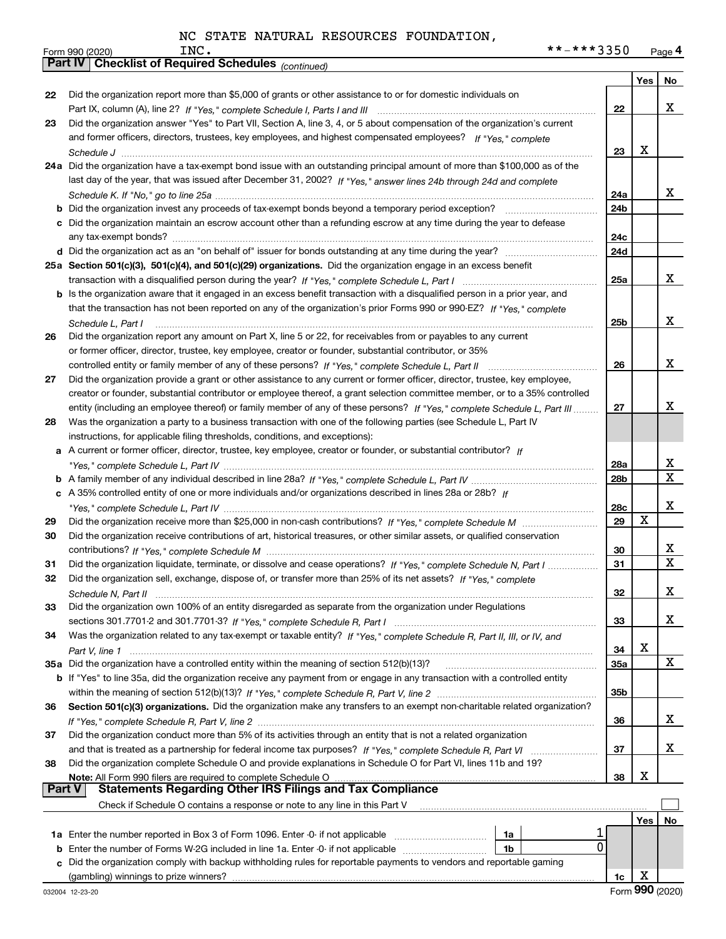|               | **-***3350<br>INC.<br>Form 990 (2020)                                                                                        |            |     | Page 4                  |
|---------------|------------------------------------------------------------------------------------------------------------------------------|------------|-----|-------------------------|
|               | Part IV   Checklist of Required Schedules (continued)                                                                        |            |     |                         |
|               |                                                                                                                              |            | Yes | No                      |
| 22            | Did the organization report more than \$5,000 of grants or other assistance to or for domestic individuals on                |            |     |                         |
|               |                                                                                                                              | 22         |     | x                       |
| 23            | Did the organization answer "Yes" to Part VII, Section A, line 3, 4, or 5 about compensation of the organization's current   |            |     |                         |
|               | and former officers, directors, trustees, key employees, and highest compensated employees? If "Yes." complete               |            |     |                         |
|               |                                                                                                                              | 23         | X   |                         |
|               |                                                                                                                              |            |     |                         |
|               | 24a Did the organization have a tax-exempt bond issue with an outstanding principal amount of more than \$100,000 as of the  |            |     |                         |
|               | last day of the year, that was issued after December 31, 2002? If "Yes," answer lines 24b through 24d and complete           |            |     |                         |
|               |                                                                                                                              | 24a        |     | X.                      |
|               |                                                                                                                              | 24b        |     |                         |
|               | c Did the organization maintain an escrow account other than a refunding escrow at any time during the year to defease       |            |     |                         |
|               |                                                                                                                              | 24c        |     |                         |
|               |                                                                                                                              | 24d        |     |                         |
|               | 25a Section 501(c)(3), 501(c)(4), and 501(c)(29) organizations. Did the organization engage in an excess benefit             |            |     |                         |
|               |                                                                                                                              | 25a        |     | X                       |
|               | b Is the organization aware that it engaged in an excess benefit transaction with a disqualified person in a prior year, and |            |     |                         |
|               | that the transaction has not been reported on any of the organization's prior Forms 990 or 990-EZ? If "Yes," complete        |            |     |                         |
|               |                                                                                                                              | 25b        |     | x                       |
|               | Schedule L, Part I                                                                                                           |            |     |                         |
| 26            | Did the organization report any amount on Part X, line 5 or 22, for receivables from or payables to any current              |            |     |                         |
|               | or former officer, director, trustee, key employee, creator or founder, substantial contributor, or 35%                      |            |     |                         |
|               | controlled entity or family member of any of these persons? If "Yes," complete Schedule L, Part II                           | 26         |     | x                       |
| 27            | Did the organization provide a grant or other assistance to any current or former officer, director, trustee, key employee,  |            |     |                         |
|               | creator or founder, substantial contributor or employee thereof, a grant selection committee member, or to a 35% controlled  |            |     |                         |
|               | entity (including an employee thereof) or family member of any of these persons? If "Yes," complete Schedule L, Part III     | 27         |     | x                       |
| 28            | Was the organization a party to a business transaction with one of the following parties (see Schedule L, Part IV            |            |     |                         |
|               | instructions, for applicable filing thresholds, conditions, and exceptions):                                                 |            |     |                         |
|               | a A current or former officer, director, trustee, key employee, creator or founder, or substantial contributor? If           |            |     |                         |
|               |                                                                                                                              | 28a        |     | X.                      |
|               |                                                                                                                              | 28b        |     | $\overline{\mathbf{X}}$ |
|               | c A 35% controlled entity of one or more individuals and/or organizations described in lines 28a or 28b? If                  |            |     |                         |
|               |                                                                                                                              |            |     | X                       |
|               |                                                                                                                              | 28c        | X   |                         |
| 29            |                                                                                                                              | 29         |     |                         |
| 30            | Did the organization receive contributions of art, historical treasures, or other similar assets, or qualified conservation  |            |     |                         |
|               |                                                                                                                              | 30         |     | x                       |
| 31            | Did the organization liquidate, terminate, or dissolve and cease operations? If "Yes," complete Schedule N, Part I           | 31         |     | $\mathbf X$             |
|               | Did the organization sell, exchange, dispose of, or transfer more than 25% of its net assets? If "Yes," complete             |            |     |                         |
|               | Schedule N, Part II                                                                                                          | 32         |     | x                       |
| 33            | Did the organization own 100% of an entity disregarded as separate from the organization under Regulations                   |            |     |                         |
|               |                                                                                                                              | 33         |     | x                       |
| 34            | Was the organization related to any tax-exempt or taxable entity? If "Yes," complete Schedule R, Part II, III, or IV, and    |            |     |                         |
|               |                                                                                                                              | 34         | х   |                         |
|               | 35a Did the organization have a controlled entity within the meaning of section 512(b)(13)?                                  | <b>35a</b> |     | X                       |
|               |                                                                                                                              |            |     |                         |
|               | b If "Yes" to line 35a, did the organization receive any payment from or engage in any transaction with a controlled entity  |            |     |                         |
|               |                                                                                                                              | 35b        |     |                         |
| 36            | Section 501(c)(3) organizations. Did the organization make any transfers to an exempt non-charitable related organization?   |            |     |                         |
|               |                                                                                                                              | 36         |     | x                       |
| 37            | Did the organization conduct more than 5% of its activities through an entity that is not a related organization             |            |     |                         |
|               |                                                                                                                              | 37         |     | x                       |
| 38            | Did the organization complete Schedule O and provide explanations in Schedule O for Part VI, lines 11b and 19?               |            |     |                         |
|               | Note: All Form 990 filers are required to complete Schedule O                                                                | 38         | х   |                         |
| <b>Part V</b> | <b>Statements Regarding Other IRS Filings and Tax Compliance</b>                                                             |            |     |                         |
|               | Check if Schedule O contains a response or note to any line in this Part V                                                   |            |     |                         |
|               |                                                                                                                              |            | Yes | No                      |
|               |                                                                                                                              |            |     |                         |
|               | 1a                                                                                                                           | 0          |     |                         |
|               | 1 <sub>b</sub><br><b>b</b> Enter the number of Forms W-2G included in line 1a. Enter -0- if not applicable                   |            |     |                         |
| c.            | Did the organization comply with backup withholding rules for reportable payments to vendors and reportable gaming           |            |     |                         |
|               |                                                                                                                              | 1c         | х   |                         |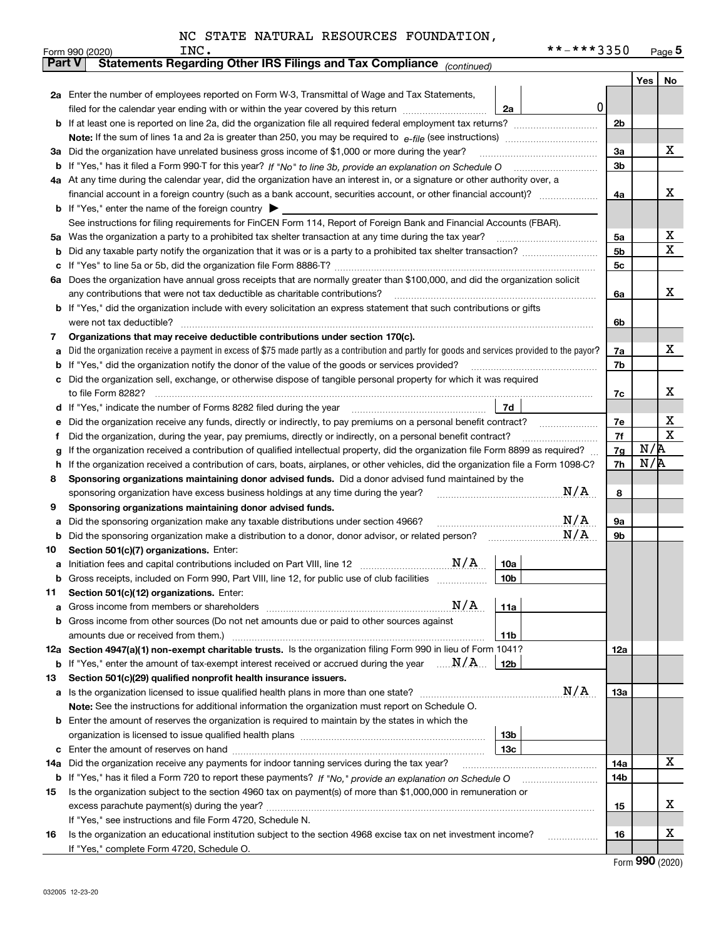|  |  |  |  |  | NC STATE NATURAL RESOURCES FOUNDATION, |
|--|--|--|--|--|----------------------------------------|
|--|--|--|--|--|----------------------------------------|

|               | **-***3350<br>INC.<br>Form 990 (2020)                                                                                                           |                |     | $Page$ <sup>5</sup>     |  |  |  |  |  |  |
|---------------|-------------------------------------------------------------------------------------------------------------------------------------------------|----------------|-----|-------------------------|--|--|--|--|--|--|
| <b>Part V</b> | Statements Regarding Other IRS Filings and Tax Compliance <sub>(continued)</sub>                                                                |                |     |                         |  |  |  |  |  |  |
|               |                                                                                                                                                 |                | Yes | No                      |  |  |  |  |  |  |
|               | 2a Enter the number of employees reported on Form W-3, Transmittal of Wage and Tax Statements,                                                  |                |     |                         |  |  |  |  |  |  |
|               | 0 <br>filed for the calendar year ending with or within the year covered by this return<br>2a                                                   |                |     |                         |  |  |  |  |  |  |
|               | <b>b</b> If at least one is reported on line 2a, did the organization file all required federal employment tax returns?                         | 2 <sub>b</sub> |     |                         |  |  |  |  |  |  |
|               |                                                                                                                                                 |                |     |                         |  |  |  |  |  |  |
| За            | Did the organization have unrelated business gross income of \$1,000 or more during the year?                                                   |                |     |                         |  |  |  |  |  |  |
| b             |                                                                                                                                                 |                |     |                         |  |  |  |  |  |  |
|               | 4a At any time during the calendar year, did the organization have an interest in, or a signature or other authority over, a                    |                |     |                         |  |  |  |  |  |  |
|               |                                                                                                                                                 | 4a             |     | х                       |  |  |  |  |  |  |
|               | <b>b</b> If "Yes," enter the name of the foreign country $\triangleright$                                                                       |                |     |                         |  |  |  |  |  |  |
|               | See instructions for filing requirements for FinCEN Form 114, Report of Foreign Bank and Financial Accounts (FBAR).                             |                |     |                         |  |  |  |  |  |  |
| 5a            | Was the organization a party to a prohibited tax shelter transaction at any time during the tax year?                                           | 5a             |     | x                       |  |  |  |  |  |  |
| b             | Did any taxable party notify the organization that it was or is a party to a prohibited tax shelter transaction?                                | 5 <sub>b</sub> |     | $\overline{\mathbf{x}}$ |  |  |  |  |  |  |
|               |                                                                                                                                                 | 5 <sub>c</sub> |     |                         |  |  |  |  |  |  |
| 6а            | Does the organization have annual gross receipts that are normally greater than \$100,000, and did the organization solicit                     |                |     |                         |  |  |  |  |  |  |
|               | any contributions that were not tax deductible as charitable contributions?                                                                     | 6a             |     | x                       |  |  |  |  |  |  |
| b             | If "Yes," did the organization include with every solicitation an express statement that such contributions or gifts                            |                |     |                         |  |  |  |  |  |  |
|               | were not tax deductible?                                                                                                                        | 6b             |     |                         |  |  |  |  |  |  |
| 7             | Organizations that may receive deductible contributions under section 170(c).                                                                   |                |     |                         |  |  |  |  |  |  |
|               | Did the organization receive a payment in excess of \$75 made partly as a contribution and partly for goods and services provided to the payor? | 7a             |     | X                       |  |  |  |  |  |  |
|               | If "Yes," did the organization notify the donor of the value of the goods or services provided?                                                 | 7b             |     |                         |  |  |  |  |  |  |
| c             | Did the organization sell, exchange, or otherwise dispose of tangible personal property for which it was required                               |                |     |                         |  |  |  |  |  |  |
|               | to file Form 8282?                                                                                                                              |                |     |                         |  |  |  |  |  |  |
| d             | 7d                                                                                                                                              |                |     |                         |  |  |  |  |  |  |
|               | Did the organization receive any funds, directly or indirectly, to pay premiums on a personal benefit contract?                                 |                |     |                         |  |  |  |  |  |  |
|               | Did the organization, during the year, pay premiums, directly or indirectly, on a personal benefit contract?                                    |                |     |                         |  |  |  |  |  |  |
|               | If the organization received a contribution of qualified intellectual property, did the organization file Form 8899 as required?                |                |     |                         |  |  |  |  |  |  |
| h             | If the organization received a contribution of cars, boats, airplanes, or other vehicles, did the organization file a Form 1098-C?              |                |     |                         |  |  |  |  |  |  |
| 8             | Sponsoring organizations maintaining donor advised funds. Did a donor advised fund maintained by the                                            |                |     |                         |  |  |  |  |  |  |
|               | N/A<br>sponsoring organization have excess business holdings at any time during the year?                                                       |                |     |                         |  |  |  |  |  |  |
| 9             | Sponsoring organizations maintaining donor advised funds.                                                                                       |                |     |                         |  |  |  |  |  |  |
| а             | N/A<br>Did the sponsoring organization make any taxable distributions under section 4966?                                                       | <b>9a</b>      |     |                         |  |  |  |  |  |  |
| b             | N/A<br>Did the sponsoring organization make a distribution to a donor, donor advisor, or related person?                                        | 9b             |     |                         |  |  |  |  |  |  |
| 10            | Section 501(c)(7) organizations. Enter:                                                                                                         |                |     |                         |  |  |  |  |  |  |
| a             | N/A<br>10a                                                                                                                                      |                |     |                         |  |  |  |  |  |  |
| b             | Gross receipts, included on Form 990, Part VIII, line 12, for public use of club facilities<br> 10b                                             |                |     |                         |  |  |  |  |  |  |
| 11            | Section 501(c)(12) organizations. Enter:                                                                                                        |                |     |                         |  |  |  |  |  |  |
| а             | N/A<br>11a                                                                                                                                      |                |     |                         |  |  |  |  |  |  |
| b             | Gross income from other sources (Do not net amounts due or paid to other sources against                                                        |                |     |                         |  |  |  |  |  |  |
|               | amounts due or received from them.)<br>11b                                                                                                      |                |     |                         |  |  |  |  |  |  |
|               | 12a Section 4947(a)(1) non-exempt charitable trusts. Is the organization filing Form 990 in lieu of Form 1041?                                  | 12a            |     |                         |  |  |  |  |  |  |
| b             | If "Yes," enter the amount of tax-exempt interest received or accrued during the year $\ldots \mathbf{N}/\mathbf{A}$<br>12b                     |                |     |                         |  |  |  |  |  |  |
| 13            | Section 501(c)(29) qualified nonprofit health insurance issuers.                                                                                |                |     |                         |  |  |  |  |  |  |
| а             | N/A                                                                                                                                             | 13a            |     |                         |  |  |  |  |  |  |
|               | Note: See the instructions for additional information the organization must report on Schedule O.                                               |                |     |                         |  |  |  |  |  |  |
|               | <b>b</b> Enter the amount of reserves the organization is required to maintain by the states in which the                                       |                |     |                         |  |  |  |  |  |  |
|               | 13 <sub>b</sub>                                                                                                                                 |                |     |                         |  |  |  |  |  |  |
| с             | 13c                                                                                                                                             |                |     |                         |  |  |  |  |  |  |
| 14a           | Did the organization receive any payments for indoor tanning services during the tax year?                                                      | 14a            |     | X                       |  |  |  |  |  |  |
| b             |                                                                                                                                                 | 14b            |     |                         |  |  |  |  |  |  |
| 15            | Is the organization subject to the section 4960 tax on payment(s) of more than \$1,000,000 in remuneration or                                   |                |     |                         |  |  |  |  |  |  |
|               |                                                                                                                                                 | 15             |     | х                       |  |  |  |  |  |  |
|               | If "Yes," see instructions and file Form 4720, Schedule N.                                                                                      |                |     |                         |  |  |  |  |  |  |
| 16            | Is the organization an educational institution subject to the section 4968 excise tax on net investment income?                                 | 16             |     | X                       |  |  |  |  |  |  |
|               | If "Yes," complete Form 4720, Schedule O.                                                                                                       |                |     |                         |  |  |  |  |  |  |

Form (2020) **990**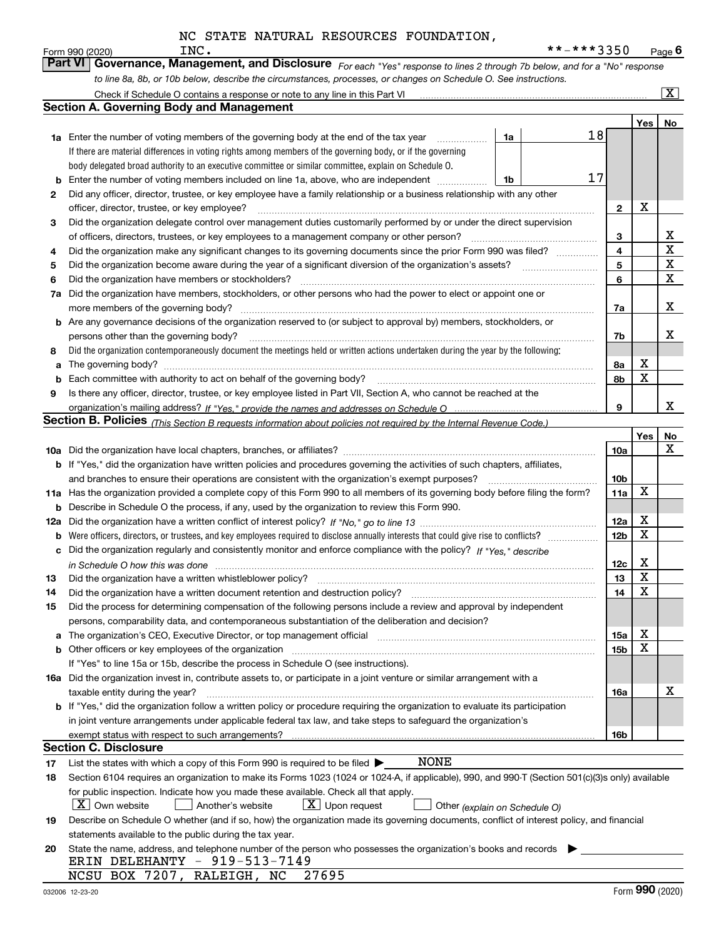|     | INC.<br>Form 990 (2020)                                                                                                                                                                                                        |    | **-***3350 |                 |                         | Page $6$                |
|-----|--------------------------------------------------------------------------------------------------------------------------------------------------------------------------------------------------------------------------------|----|------------|-----------------|-------------------------|-------------------------|
|     | Governance, Management, and Disclosure For each "Yes" response to lines 2 through 7b below, and for a "No" response<br><b>Part VI</b>                                                                                          |    |            |                 |                         |                         |
|     | to line 8a, 8b, or 10b below, describe the circumstances, processes, or changes on Schedule O. See instructions.                                                                                                               |    |            |                 |                         |                         |
|     | Check if Schedule O contains a response or note to any line in this Part VI                                                                                                                                                    |    |            |                 |                         | $\overline{\mathbf{x}}$ |
|     | <b>Section A. Governing Body and Management</b>                                                                                                                                                                                |    |            |                 |                         |                         |
|     |                                                                                                                                                                                                                                |    |            |                 | Yes                     | No                      |
|     | <b>1a</b> Enter the number of voting members of the governing body at the end of the tax year                                                                                                                                  | 1a | 18         |                 |                         |                         |
|     | If there are material differences in voting rights among members of the governing body, or if the governing                                                                                                                    |    |            |                 |                         |                         |
|     | body delegated broad authority to an executive committee or similar committee, explain on Schedule O.                                                                                                                          |    |            |                 |                         |                         |
| b   | Enter the number of voting members included on line 1a, above, who are independent                                                                                                                                             | 1b | 17         |                 |                         |                         |
| 2   | Did any officer, director, trustee, or key employee have a family relationship or a business relationship with any other                                                                                                       |    |            |                 |                         |                         |
|     | officer, director, trustee, or key employee?                                                                                                                                                                                   |    |            | $\mathbf{2}$    | X                       |                         |
| 3   | Did the organization delegate control over management duties customarily performed by or under the direct supervision                                                                                                          |    |            |                 |                         |                         |
|     | of officers, directors, trustees, or key employees to a management company or other person?                                                                                                                                    |    |            | 3               |                         | x                       |
| 4   | Did the organization make any significant changes to its governing documents since the prior Form 990 was filed?                                                                                                               |    |            | 4               |                         | X                       |
|     | Did the organization become aware during the year of a significant diversion of the organization's assets?                                                                                                                     |    |            | 5               |                         | х                       |
| 5   | Did the organization have members or stockholders?                                                                                                                                                                             |    |            | 6               |                         | X                       |
| 6   | Did the organization have members, stockholders, or other persons who had the power to elect or appoint one or                                                                                                                 |    |            |                 |                         |                         |
| 7a  |                                                                                                                                                                                                                                |    |            |                 |                         | х                       |
|     |                                                                                                                                                                                                                                |    |            | 7a              |                         |                         |
| b   | Are any governance decisions of the organization reserved to (or subject to approval by) members, stockholders, or                                                                                                             |    |            |                 |                         | x                       |
|     | persons other than the governing body?                                                                                                                                                                                         |    |            | 7b              |                         |                         |
| 8   | Did the organization contemporaneously document the meetings held or written actions undertaken during the year by the following:                                                                                              |    |            |                 |                         |                         |
| a   |                                                                                                                                                                                                                                |    |            | 8a              | X<br>X                  |                         |
|     | Each committee with authority to act on behalf of the governing body? manufactured committee with authority to act on behalf of the governing body?                                                                            |    |            | 8b              |                         |                         |
| 9   | Is there any officer, director, trustee, or key employee listed in Part VII, Section A, who cannot be reached at the                                                                                                           |    |            |                 |                         |                         |
|     |                                                                                                                                                                                                                                |    |            | 9               |                         | x                       |
|     | Section B. Policies <sub>(This</sub> Section B requests information about policies not required by the Internal Revenue Code.)                                                                                                 |    |            |                 |                         |                         |
|     |                                                                                                                                                                                                                                |    |            |                 | Yes                     | No                      |
|     |                                                                                                                                                                                                                                |    |            | <b>10a</b>      |                         | х                       |
|     | b If "Yes," did the organization have written policies and procedures governing the activities of such chapters, affiliates,                                                                                                   |    |            | 10 <sub>b</sub> |                         |                         |
|     | and branches to ensure their operations are consistent with the organization's exempt purposes?                                                                                                                                |    |            |                 |                         |                         |
|     | 11a Has the organization provided a complete copy of this Form 990 to all members of its governing body before filing the form?                                                                                                |    |            |                 |                         |                         |
| b   | Describe in Schedule O the process, if any, used by the organization to review this Form 990.                                                                                                                                  |    |            |                 |                         |                         |
| 12a |                                                                                                                                                                                                                                |    |            | 12a             | х                       |                         |
| b   | Were officers, directors, or trustees, and key employees required to disclose annually interests that could give rise to conflicts?                                                                                            |    |            | 12 <sub>b</sub> | Χ                       |                         |
| с   | Did the organization regularly and consistently monitor and enforce compliance with the policy? If "Yes." describe                                                                                                             |    |            |                 |                         |                         |
|     | in Schedule O how this was done manufactured and contain an according of the state of the state of the state o                                                                                                                 |    |            | 12c             | х                       |                         |
| 13  | Did the organization have a written whistleblower policy?                                                                                                                                                                      |    |            | 13              | $\overline{\textbf{X}}$ |                         |
| 14  | Did the organization have a written document retention and destruction policy?                                                                                                                                                 |    |            | 14              | х                       |                         |
| 15  | Did the process for determining compensation of the following persons include a review and approval by independent                                                                                                             |    |            |                 |                         |                         |
|     | persons, comparability data, and contemporaneous substantiation of the deliberation and decision?                                                                                                                              |    |            |                 |                         |                         |
| а   | The organization's CEO, Executive Director, or top management official manufactured contains and contained a manufactured with the organization's CEO, Executive Director, or top management official manufactured with the st |    |            | 15a             | х                       |                         |
| b   | Other officers or key employees of the organization                                                                                                                                                                            |    |            | 15 <sub>b</sub> | х                       |                         |
|     | If "Yes" to line 15a or 15b, describe the process in Schedule O (see instructions).                                                                                                                                            |    |            |                 |                         |                         |
|     | 16a Did the organization invest in, contribute assets to, or participate in a joint venture or similar arrangement with a                                                                                                      |    |            |                 |                         |                         |
|     | taxable entity during the year?                                                                                                                                                                                                |    |            | 16a             |                         | х                       |
|     | b If "Yes," did the organization follow a written policy or procedure requiring the organization to evaluate its participation                                                                                                 |    |            |                 |                         |                         |
|     | in joint venture arrangements under applicable federal tax law, and take steps to safeguard the organization's                                                                                                                 |    |            |                 |                         |                         |
|     | exempt status with respect to such arrangements?                                                                                                                                                                               |    |            | <b>16b</b>      |                         |                         |
|     | <b>Section C. Disclosure</b>                                                                                                                                                                                                   |    |            |                 |                         |                         |
| 17  | NONE<br>List the states with which a copy of this Form 990 is required to be filed $\blacktriangleright$                                                                                                                       |    |            |                 |                         |                         |
| 18  | Section 6104 requires an organization to make its Forms 1023 (1024 or 1024-A, if applicable), 990, and 990-T (Section 501(c)(3)s only) available                                                                               |    |            |                 |                         |                         |
|     | for public inspection. Indicate how you made these available. Check all that apply.                                                                                                                                            |    |            |                 |                         |                         |
|     | $\boxed{\textbf{X}}$ Upon request<br>$X$ Own website<br>Another's website<br>Other (explain on Schedule O)                                                                                                                     |    |            |                 |                         |                         |
| 19  | Describe on Schedule O whether (and if so, how) the organization made its governing documents, conflict of interest policy, and financial                                                                                      |    |            |                 |                         |                         |
|     | statements available to the public during the tax year.                                                                                                                                                                        |    |            |                 |                         |                         |
| 20  | State the name, address, and telephone number of the person who possesses the organization's books and records                                                                                                                 |    |            |                 |                         |                         |
|     | ERIN DELEHANTY - 919-513-7149                                                                                                                                                                                                  |    |            |                 |                         |                         |
|     | 27695<br>NCSU BOX 7207, RALEIGH, NC                                                                                                                                                                                            |    |            |                 |                         |                         |
|     | 032006 12-23-20                                                                                                                                                                                                                |    |            |                 | Form 990 (2020)         |                         |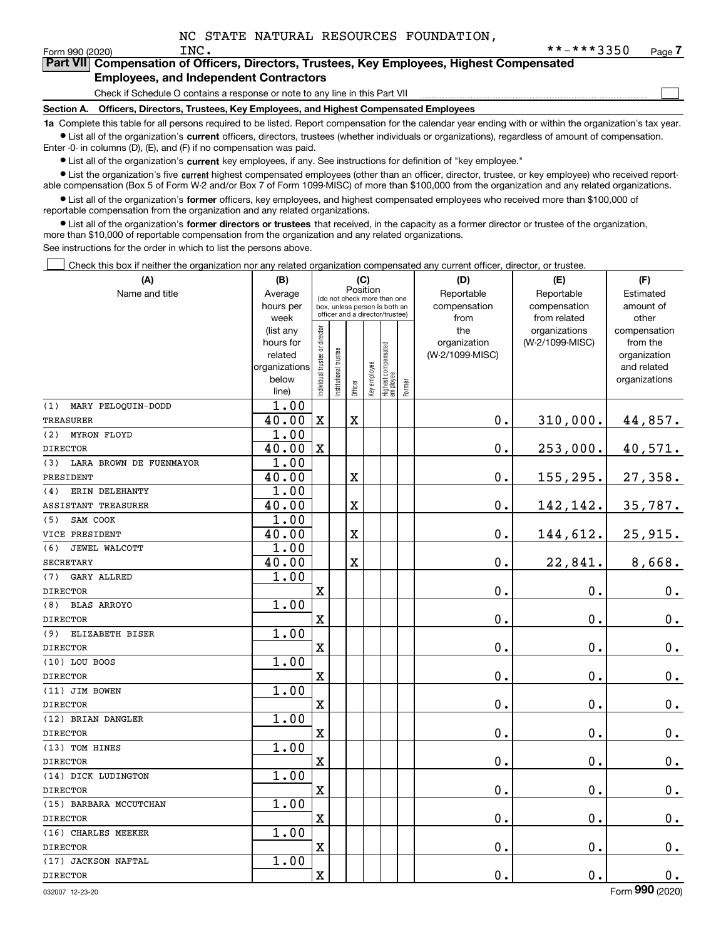$\mathcal{L}^{\text{max}}$ 

# Form 990 (2020) Page **7Part VII Compensation of Officers, Directors, Trustees, Key Employees, Highest Compensated**

# **Employees, and Independent Contractors**

Check if Schedule O contains a response or note to any line in this Part VII

**Section A. Officers, Directors, Trustees, Key Employees, and Highest Compensated Employees**

**1a**  Complete this table for all persons required to be listed. Report compensation for the calendar year ending with or within the organization's tax year. **•** List all of the organization's current officers, directors, trustees (whether individuals or organizations), regardless of amount of compensation. Enter -0- in columns (D), (E), and (F) if no compensation was paid.

 $\bullet$  List all of the organization's  $\,$ current key employees, if any. See instructions for definition of "key employee."

**•** List the organization's five current highest compensated employees (other than an officer, director, trustee, or key employee) who received reportable compensation (Box 5 of Form W-2 and/or Box 7 of Form 1099-MISC) of more than \$100,000 from the organization and any related organizations.

**•** List all of the organization's former officers, key employees, and highest compensated employees who received more than \$100,000 of reportable compensation from the organization and any related organizations.

**former directors or trustees**  ¥ List all of the organization's that received, in the capacity as a former director or trustee of the organization, more than \$10,000 of reportable compensation from the organization and any related organizations.

See instructions for the order in which to list the persons above.

Check this box if neither the organization nor any related organization compensated any current officer, director, or trustee.  $\mathcal{L}^{\text{max}}$ 

| (A)                            | (B)               |                                         |                                                                  |             | (C)          |                                  |        | (D)             | (E)                           | (F)                   |  |  |
|--------------------------------|-------------------|-----------------------------------------|------------------------------------------------------------------|-------------|--------------|----------------------------------|--------|-----------------|-------------------------------|-----------------------|--|--|
| Name and title                 | Average           | Position<br>(do not check more than one |                                                                  |             |              |                                  |        | Reportable      | Reportable                    | Estimated             |  |  |
|                                | hours per         |                                         | box, unless person is both an<br>officer and a director/trustee) |             |              |                                  |        | compensation    | compensation                  | amount of             |  |  |
|                                | week<br>(list any |                                         |                                                                  |             |              |                                  |        | from<br>the     | from related<br>organizations | other<br>compensation |  |  |
|                                | hours for         |                                         |                                                                  |             |              |                                  |        | organization    | (W-2/1099-MISC)               | from the              |  |  |
|                                | related           |                                         |                                                                  |             |              |                                  |        | (W-2/1099-MISC) |                               | organization          |  |  |
|                                | organizations     |                                         |                                                                  |             |              |                                  |        |                 |                               | and related           |  |  |
|                                | below             | Individual trustee or director          | Institutional trustee                                            |             | Key employee | Highest compensated<br> employee |        |                 |                               | organizations         |  |  |
|                                | line)             |                                         |                                                                  | Officer     |              |                                  | Former |                 |                               |                       |  |  |
| MARY PELOOUIN-DODD<br>(1)      | 1.00              |                                         |                                                                  |             |              |                                  |        |                 |                               |                       |  |  |
| <b>TREASURER</b>               | 40.00             | $\mathbf X$                             |                                                                  | $\mathbf X$ |              |                                  |        | 0.              | 310,000.                      | 44,857.               |  |  |
| (2)<br>MYRON FLOYD             | 1.00              |                                         |                                                                  |             |              |                                  |        |                 |                               |                       |  |  |
| <b>DIRECTOR</b>                | 40.00             | $\mathbf{x}$                            |                                                                  |             |              |                                  |        | 0.              | 253,000.                      | 40,571.               |  |  |
| LARA BROWN DE FUENMAYOR<br>(3) | 1.00              |                                         |                                                                  |             |              |                                  |        |                 |                               |                       |  |  |
| PRESIDENT                      | 40.00             |                                         |                                                                  | $\mathbf X$ |              |                                  |        | 0.              | 155,295.                      | 27,358.               |  |  |
| ERIN DELEHANTY<br>(4)          | 1.00              |                                         |                                                                  |             |              |                                  |        |                 |                               |                       |  |  |
| ASSISTANT TREASURER            | 40.00             |                                         |                                                                  | $\mathbf X$ |              |                                  |        | 0.              | 142,142.                      | 35,787.               |  |  |
| (5)<br>SAM COOK                | 1.00              |                                         |                                                                  |             |              |                                  |        |                 |                               |                       |  |  |
| VICE PRESIDENT                 | 40.00             |                                         |                                                                  | $\mathbf X$ |              |                                  |        | 0.              | 144,612.                      | 25,915.               |  |  |
| (6)<br>JEWEL WALCOTT           | 1.00              |                                         |                                                                  |             |              |                                  |        |                 |                               |                       |  |  |
| <b>SECRETARY</b>               | 40.00             |                                         |                                                                  | $\mathbf X$ |              |                                  |        | 0.              | 22,841.                       | 8,668.                |  |  |
| GARY ALLRED<br>(7)             | 1.00              |                                         |                                                                  |             |              |                                  |        |                 |                               |                       |  |  |
| <b>DIRECTOR</b>                |                   | $\overline{\mathbf{X}}$                 |                                                                  |             |              |                                  |        | 0.              | 0.                            | $0_{.}$               |  |  |
| (8)<br><b>BLAS ARROYO</b>      | 1.00              |                                         |                                                                  |             |              |                                  |        |                 |                               |                       |  |  |
| <b>DIRECTOR</b>                |                   | $\overline{\text{X}}$                   |                                                                  |             |              |                                  |        | 0.              | $\mathbf 0$ .                 | $0_{.}$               |  |  |
| (9)<br>ELIZABETH BISER         | 1.00              |                                         |                                                                  |             |              |                                  |        |                 |                               |                       |  |  |
| <b>DIRECTOR</b>                |                   | $\overline{\text{X}}$                   |                                                                  |             |              |                                  |        | 0.              | $\mathbf 0$ .                 | 0.                    |  |  |
| (10) LOU BOOS                  | 1.00              |                                         |                                                                  |             |              |                                  |        |                 |                               |                       |  |  |
| <b>DIRECTOR</b>                |                   | $\overline{\mathbf{X}}$                 |                                                                  |             |              |                                  |        | 0.              | $\mathbf 0$ .                 | $0_{.}$               |  |  |
| (11) JIM BOWEN                 | 1.00              |                                         |                                                                  |             |              |                                  |        |                 |                               |                       |  |  |
| <b>DIRECTOR</b>                |                   | $\mathbf X$                             |                                                                  |             |              |                                  |        | 0.              | $\mathbf 0$ .                 | $0_{.}$               |  |  |
| (12) BRIAN DANGLER             | 1.00              |                                         |                                                                  |             |              |                                  |        |                 |                               |                       |  |  |
| <b>DIRECTOR</b>                |                   | X                                       |                                                                  |             |              |                                  |        | 0.              | $\mathbf{0}$ .                | $0_{.}$               |  |  |
| (13) TOM HINES                 | 1.00              |                                         |                                                                  |             |              |                                  |        |                 |                               |                       |  |  |
| <b>DIRECTOR</b>                |                   | X                                       |                                                                  |             |              |                                  |        | 0.              | $\mathbf 0$ .                 | $0_{.}$               |  |  |
| (14) DICK LUDINGTON            | 1.00              |                                         |                                                                  |             |              |                                  |        |                 |                               |                       |  |  |
| <b>DIRECTOR</b>                |                   | $\overline{\mathbf{X}}$                 |                                                                  |             |              |                                  |        | 0.              | $\mathbf 0$ .                 | $\mathbf 0$ .         |  |  |
| (15) BARBARA MCCUTCHAN         | 1.00              |                                         |                                                                  |             |              |                                  |        |                 |                               |                       |  |  |
| <b>DIRECTOR</b>                |                   | $\rm X$                                 |                                                                  |             |              |                                  |        | 0.              | $\mathbf 0$ .                 | $\mathbf 0$ .         |  |  |
| (16) CHARLES MEEKER            | 1.00              |                                         |                                                                  |             |              |                                  |        |                 |                               |                       |  |  |
| <b>DIRECTOR</b>                |                   | $\overline{\mathbf{X}}$                 |                                                                  |             |              |                                  |        | 0.              | $\mathbf 0$ .                 | $\mathbf 0$ .         |  |  |
| (17) JACKSON NAFTAL            | 1.00              |                                         |                                                                  |             |              |                                  |        |                 |                               |                       |  |  |
| <b>DIRECTOR</b>                |                   | $\rm X$                                 |                                                                  |             |              |                                  |        | 0.              | 0.                            | 0.                    |  |  |
|                                |                   |                                         |                                                                  |             |              |                                  |        |                 |                               |                       |  |  |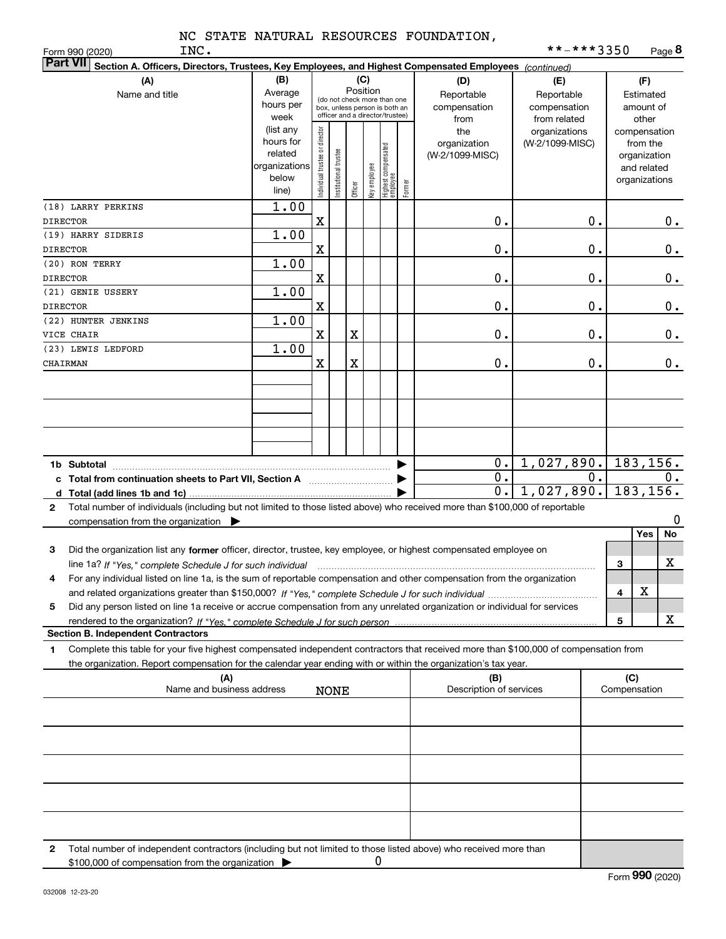|  |  | NC STATE NATURAL RESOURCES FOUNDATION, |
|--|--|----------------------------------------|
|  |  |                                        |

INC.

| <b>Part VII</b><br>Section A. Officers, Directors, Trustees, Key Employees, and Highest Compensated Employees (continued)                    |                                                         |                                                                                                                    |                       |         |              |                                   |        |                                                  |                                                                    |    |                                                        |                                                          |               |
|----------------------------------------------------------------------------------------------------------------------------------------------|---------------------------------------------------------|--------------------------------------------------------------------------------------------------------------------|-----------------------|---------|--------------|-----------------------------------|--------|--------------------------------------------------|--------------------------------------------------------------------|----|--------------------------------------------------------|----------------------------------------------------------|---------------|
| (A)<br>Name and title                                                                                                                        | (B)<br>Average<br>hours per<br>week<br>(list any        | (C)<br>Position<br>(do not check more than one<br>box, unless person is both an<br>officer and a director/trustee) |                       |         |              |                                   |        | (D)<br>Reportable<br>compensation<br>from<br>the | (E)<br>Reportable<br>compensation<br>from related<br>organizations |    | (F)<br>Estimated<br>amount of<br>other<br>compensation |                                                          |               |
|                                                                                                                                              | hours for<br>related<br>organizations<br>below<br>line) | Individual trustee or director                                                                                     | Institutional trustee | Officer | Key employee | Highest compensated<br>  employee | Former | organization<br>(W-2/1099-MISC)                  | (W-2/1099-MISC)                                                    |    |                                                        | from the<br>organization<br>and related<br>organizations |               |
| (18) LARRY PERKINS<br><b>DIRECTOR</b>                                                                                                        | 1.00                                                    | X                                                                                                                  |                       |         |              |                                   |        | 0.                                               |                                                                    | Ο. |                                                        |                                                          | 0.            |
| (19) HARRY SIDERIS                                                                                                                           | 1.00                                                    |                                                                                                                    |                       |         |              |                                   |        |                                                  |                                                                    |    |                                                        |                                                          |               |
| <b>DIRECTOR</b>                                                                                                                              |                                                         | X                                                                                                                  |                       |         |              |                                   |        | 0.                                               |                                                                    | Ο. |                                                        |                                                          | $0_{.}$       |
| (20) RON TERRY                                                                                                                               | 1.00                                                    |                                                                                                                    |                       |         |              |                                   |        |                                                  |                                                                    |    |                                                        |                                                          |               |
| <b>DIRECTOR</b>                                                                                                                              |                                                         | X                                                                                                                  |                       |         |              |                                   |        | 0.                                               |                                                                    | Ο. |                                                        |                                                          | $0_{.}$       |
| (21) GENIE USSERY                                                                                                                            | 1.00                                                    |                                                                                                                    |                       |         |              |                                   |        |                                                  |                                                                    |    |                                                        |                                                          |               |
| <b>DIRECTOR</b>                                                                                                                              |                                                         | $\mathbf X$                                                                                                        |                       |         |              |                                   |        | 0.                                               |                                                                    | Ο. |                                                        |                                                          | 0.            |
| (22) HUNTER JENKINS                                                                                                                          | 1.00                                                    |                                                                                                                    |                       |         |              |                                   |        |                                                  |                                                                    |    |                                                        |                                                          |               |
| VICE CHAIR                                                                                                                                   |                                                         | X                                                                                                                  |                       | X       |              |                                   |        | 0.                                               |                                                                    | Ο. |                                                        |                                                          | $\mathbf 0$ . |
| (23) LEWIS LEDFORD                                                                                                                           | 1.00                                                    |                                                                                                                    |                       |         |              |                                   |        |                                                  |                                                                    |    |                                                        |                                                          |               |
| CHAIRMAN                                                                                                                                     |                                                         | X                                                                                                                  |                       | X       |              |                                   |        | 0.                                               |                                                                    | Ο. |                                                        |                                                          | 0.            |
|                                                                                                                                              |                                                         |                                                                                                                    |                       |         |              |                                   |        |                                                  |                                                                    |    |                                                        |                                                          |               |
|                                                                                                                                              |                                                         |                                                                                                                    |                       |         |              |                                   |        |                                                  |                                                                    |    |                                                        |                                                          |               |
|                                                                                                                                              |                                                         |                                                                                                                    |                       |         |              |                                   |        |                                                  |                                                                    |    |                                                        |                                                          |               |
|                                                                                                                                              |                                                         |                                                                                                                    |                       |         |              |                                   |        |                                                  |                                                                    |    |                                                        |                                                          |               |
| 1b Subtotal                                                                                                                                  |                                                         |                                                                                                                    |                       |         |              |                                   |        | 0.                                               | 1,027,890.                                                         |    |                                                        | 183,156.                                                 |               |
|                                                                                                                                              |                                                         |                                                                                                                    |                       |         |              |                                   |        | $\overline{0}$ .                                 |                                                                    | 0. |                                                        |                                                          | 0.            |
|                                                                                                                                              |                                                         |                                                                                                                    |                       |         |              |                                   |        | $\overline{0}$ .                                 | 1,027,890.                                                         |    |                                                        | 183,156.                                                 |               |
| Total number of individuals (including but not limited to those listed above) who received more than \$100,000 of reportable<br>$\mathbf{2}$ |                                                         |                                                                                                                    |                       |         |              |                                   |        |                                                  |                                                                    |    |                                                        |                                                          |               |
| compensation from the organization $\blacktriangleright$                                                                                     |                                                         |                                                                                                                    |                       |         |              |                                   |        |                                                  |                                                                    |    |                                                        |                                                          | 0             |
|                                                                                                                                              |                                                         |                                                                                                                    |                       |         |              |                                   |        |                                                  |                                                                    |    |                                                        | Yes                                                      | No            |
| Did the organization list any former officer, director, trustee, key employee, or highest compensated employee on<br>З                       |                                                         |                                                                                                                    |                       |         |              |                                   |        |                                                  |                                                                    |    |                                                        |                                                          |               |
| line 1a? If "Yes," complete Schedule J for such individual                                                                                   |                                                         |                                                                                                                    |                       |         |              |                                   |        |                                                  |                                                                    |    | 3                                                      |                                                          | х             |
| For any individual listed on line 1a, is the sum of reportable compensation and other compensation from the organization<br>4                |                                                         |                                                                                                                    |                       |         |              |                                   |        |                                                  |                                                                    |    |                                                        | X                                                        |               |
|                                                                                                                                              |                                                         |                                                                                                                    |                       |         |              |                                   |        |                                                  |                                                                    |    | 4                                                      |                                                          |               |
| Did any person listed on line 1a receive or accrue compensation from any unrelated organization or individual for services<br>5              |                                                         |                                                                                                                    |                       |         |              |                                   |        |                                                  |                                                                    |    | 5                                                      |                                                          | x             |
| <b>Section B. Independent Contractors</b>                                                                                                    |                                                         |                                                                                                                    |                       |         |              |                                   |        |                                                  |                                                                    |    |                                                        |                                                          |               |
| Complete this table for your five highest compensated independent contractors that received more than \$100,000 of compensation from<br>1    |                                                         |                                                                                                                    |                       |         |              |                                   |        |                                                  |                                                                    |    |                                                        |                                                          |               |
| the organization. Report compensation for the calendar year ending with or within the organization's tax year.                               |                                                         |                                                                                                                    |                       |         |              |                                   |        |                                                  |                                                                    |    |                                                        |                                                          |               |
| (A)                                                                                                                                          |                                                         |                                                                                                                    |                       |         |              |                                   |        | (B)                                              |                                                                    |    | (C)                                                    |                                                          |               |
| Name and business address                                                                                                                    |                                                         |                                                                                                                    | <b>NONE</b>           |         |              |                                   |        | Description of services                          |                                                                    |    | Compensation                                           |                                                          |               |
|                                                                                                                                              |                                                         |                                                                                                                    |                       |         |              |                                   |        |                                                  |                                                                    |    |                                                        |                                                          |               |
|                                                                                                                                              |                                                         |                                                                                                                    |                       |         |              |                                   |        |                                                  |                                                                    |    |                                                        |                                                          |               |
|                                                                                                                                              |                                                         |                                                                                                                    |                       |         |              |                                   |        |                                                  |                                                                    |    |                                                        |                                                          |               |
|                                                                                                                                              |                                                         |                                                                                                                    |                       |         |              |                                   |        |                                                  |                                                                    |    |                                                        |                                                          |               |
|                                                                                                                                              |                                                         |                                                                                                                    |                       |         |              |                                   |        |                                                  |                                                                    |    |                                                        |                                                          |               |
|                                                                                                                                              |                                                         |                                                                                                                    |                       |         |              |                                   |        |                                                  |                                                                    |    |                                                        |                                                          |               |
| Total number of independent contractors (including but not limited to those listed above) who received more than<br>2                        |                                                         |                                                                                                                    |                       |         |              |                                   |        |                                                  |                                                                    |    |                                                        |                                                          |               |

0

\$100,000 of compensation from the organization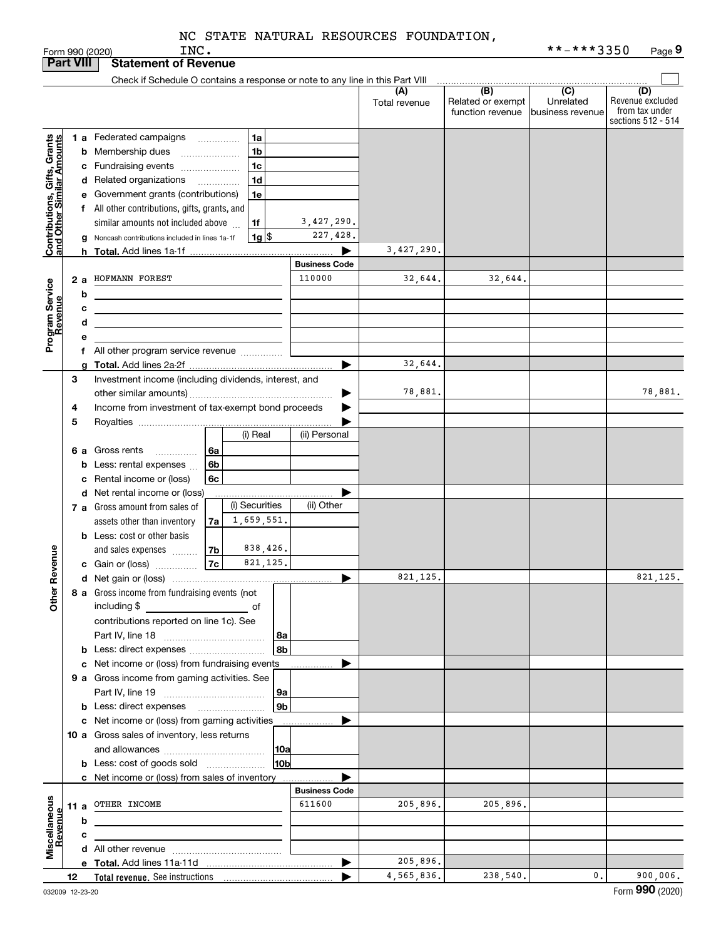|                                                           |                                                         |                                                         | INC.<br>Form 990 (2020)                                                       |            |                 |                      |               |                   | **-***3350        | Page 9                               |
|-----------------------------------------------------------|---------------------------------------------------------|---------------------------------------------------------|-------------------------------------------------------------------------------|------------|-----------------|----------------------|---------------|-------------------|-------------------|--------------------------------------|
|                                                           | <b>Part VIII</b>                                        |                                                         | <b>Statement of Revenue</b>                                                   |            |                 |                      |               |                   |                   |                                      |
|                                                           |                                                         |                                                         | Check if Schedule O contains a response or note to any line in this Part VIII |            |                 |                      |               |                   |                   |                                      |
|                                                           |                                                         |                                                         |                                                                               |            |                 |                      | (A)           | (B)               | (C)               | (D)                                  |
|                                                           |                                                         |                                                         |                                                                               |            |                 |                      | Total revenue | Related or exempt | Unrelated         | Revenue excluded                     |
|                                                           |                                                         |                                                         |                                                                               |            |                 |                      |               | function revenue  | Ibusiness revenue | from tax under<br>sections 512 - 514 |
|                                                           |                                                         |                                                         |                                                                               |            |                 |                      |               |                   |                   |                                      |
|                                                           |                                                         | 1a<br>1 a Federated campaigns                           |                                                                               |            |                 |                      |               |                   |                   |                                      |
|                                                           |                                                         |                                                         | <b>b</b> Membership dues<br>$\ldots \ldots \ldots \ldots \ldots$              |            | 1 <sub>b</sub>  |                      |               |                   |                   |                                      |
|                                                           |                                                         |                                                         | c Fundraising events                                                          |            | 1 <sub>c</sub>  |                      |               |                   |                   |                                      |
|                                                           |                                                         |                                                         | d Related organizations                                                       |            | 1 <sub>d</sub>  |                      |               |                   |                   |                                      |
|                                                           |                                                         |                                                         | e Government grants (contributions)                                           |            | 1e              |                      |               |                   |                   |                                      |
| Contributions, Gifts, Grants<br>and Other Similar Amounts |                                                         |                                                         | f All other contributions, gifts, grants, and                                 |            |                 |                      |               |                   |                   |                                      |
|                                                           |                                                         |                                                         | similar amounts not included above                                            |            | 1f              | 3,427,290.           |               |                   |                   |                                      |
|                                                           |                                                         |                                                         | g Noncash contributions included in lines 1a-1f                               |            | 1g  \$          | 227,428.             |               |                   |                   |                                      |
|                                                           |                                                         |                                                         |                                                                               |            |                 |                      | 3,427,290.    |                   |                   |                                      |
|                                                           |                                                         |                                                         | <b>h</b> Total. Add lines 1a-1f                                               |            |                 | <b>Business Code</b> |               |                   |                   |                                      |
|                                                           |                                                         |                                                         |                                                                               |            |                 |                      |               |                   |                   |                                      |
|                                                           | 2a                                                      |                                                         | HOFMANN FOREST                                                                |            |                 | 110000               | 32,644.       | 32,644.           |                   |                                      |
| Program Service<br>Revenue                                |                                                         | b                                                       |                                                                               |            |                 |                      |               |                   |                   |                                      |
|                                                           |                                                         | с                                                       |                                                                               |            |                 |                      |               |                   |                   |                                      |
|                                                           |                                                         | d                                                       |                                                                               |            |                 |                      |               |                   |                   |                                      |
|                                                           |                                                         | е                                                       |                                                                               |            |                 |                      |               |                   |                   |                                      |
|                                                           |                                                         |                                                         | f All other program service revenue                                           |            |                 |                      |               |                   |                   |                                      |
|                                                           |                                                         | g                                                       |                                                                               |            |                 |                      | 32,644.       |                   |                   |                                      |
|                                                           | 3                                                       |                                                         | Investment income (including dividends, interest, and                         |            |                 |                      |               |                   |                   |                                      |
|                                                           |                                                         |                                                         |                                                                               |            |                 |                      | 78,881.       |                   |                   | 78,881.                              |
|                                                           | Income from investment of tax-exempt bond proceeds<br>4 |                                                         |                                                                               |            |                 |                      |               |                   |                   |                                      |
|                                                           |                                                         |                                                         |                                                                               |            |                 |                      |               |                   |                   |                                      |
|                                                           | 5                                                       |                                                         |                                                                               |            | (i) Real        |                      |               |                   |                   |                                      |
|                                                           |                                                         |                                                         |                                                                               |            |                 | (ii) Personal        |               |                   |                   |                                      |
|                                                           | 6а                                                      |                                                         | Gross rents<br>.                                                              | 6a         |                 |                      |               |                   |                   |                                      |
|                                                           |                                                         | b                                                       | Less: rental expenses                                                         | 6b         |                 |                      |               |                   |                   |                                      |
|                                                           |                                                         | с                                                       | Rental income or (loss)                                                       | 6c         |                 |                      |               |                   |                   |                                      |
|                                                           |                                                         |                                                         | d Net rental income or (loss)                                                 |            |                 |                      |               |                   |                   |                                      |
|                                                           |                                                         | (i) Securities<br><b>7 a</b> Gross amount from sales of |                                                                               | (ii) Other |                 |                      |               |                   |                   |                                      |
|                                                           |                                                         |                                                         | assets other than inventory                                                   | 7a         | 1,659,551.      |                      |               |                   |                   |                                      |
|                                                           |                                                         |                                                         | <b>b</b> Less: cost or other basis                                            |            |                 |                      |               |                   |                   |                                      |
|                                                           |                                                         |                                                         | and sales expenses                                                            | 7b         | 838,426.        |                      |               |                   |                   |                                      |
| evenue                                                    |                                                         |                                                         | c Gain or (loss)                                                              | 7c         | 821, 125.       |                      |               |                   |                   |                                      |
|                                                           |                                                         |                                                         |                                                                               |            |                 |                      | 821,125.      |                   |                   | 821, 125.                            |
| Ĕ.                                                        |                                                         |                                                         |                                                                               |            |                 |                      |               |                   |                   |                                      |
| Other                                                     |                                                         |                                                         | 8 a Gross income from fundraising events (not                                 |            |                 |                      |               |                   |                   |                                      |
|                                                           |                                                         |                                                         | including \$<br><u>and the second second of</u>                               |            |                 |                      |               |                   |                   |                                      |
|                                                           |                                                         |                                                         | contributions reported on line 1c). See                                       |            |                 |                      |               |                   |                   |                                      |
|                                                           |                                                         |                                                         |                                                                               |            | 8а              |                      |               |                   |                   |                                      |
|                                                           |                                                         |                                                         |                                                                               |            | 8b              |                      |               |                   |                   |                                      |
|                                                           |                                                         |                                                         | c Net income or (loss) from fundraising events                                |            |                 |                      |               |                   |                   |                                      |
|                                                           |                                                         |                                                         | 9 a Gross income from gaming activities. See                                  |            |                 |                      |               |                   |                   |                                      |
|                                                           |                                                         |                                                         |                                                                               |            | 9а              |                      |               |                   |                   |                                      |
|                                                           |                                                         |                                                         |                                                                               |            | 9 <sub>b</sub>  |                      |               |                   |                   |                                      |
|                                                           |                                                         |                                                         | c Net income or (loss) from gaming activities                                 |            |                 |                      |               |                   |                   |                                      |
|                                                           |                                                         |                                                         |                                                                               |            |                 |                      |               |                   |                   |                                      |
|                                                           |                                                         | 10 a Gross sales of inventory, less returns<br> 10a     |                                                                               |            |                 |                      |               |                   |                   |                                      |
|                                                           |                                                         |                                                         |                                                                               |            |                 |                      |               |                   |                   |                                      |
|                                                           |                                                         |                                                         | <b>b</b> Less: cost of goods sold                                             |            | 10 <sub>b</sub> |                      |               |                   |                   |                                      |
|                                                           |                                                         |                                                         | c Net income or (loss) from sales of inventory                                |            |                 |                      |               |                   |                   |                                      |
|                                                           |                                                         |                                                         |                                                                               |            |                 | <b>Business Code</b> |               |                   |                   |                                      |
|                                                           |                                                         |                                                         | 11 a OTHER INCOME                                                             |            |                 | 611600               | 205,896.      | 205,896.          |                   |                                      |
|                                                           |                                                         | b                                                       |                                                                               |            |                 |                      |               |                   |                   |                                      |
|                                                           |                                                         | с                                                       |                                                                               |            |                 |                      |               |                   |                   |                                      |
| Miscellaneous<br>Revenue                                  |                                                         |                                                         |                                                                               |            |                 |                      |               |                   |                   |                                      |
|                                                           |                                                         |                                                         |                                                                               |            |                 | ▶                    | 205,896.      |                   |                   |                                      |
|                                                           | 12                                                      |                                                         |                                                                               |            |                 |                      | 4,565,836.    | 238,540.          | $\mathbf{0}$ .    | 900,006.                             |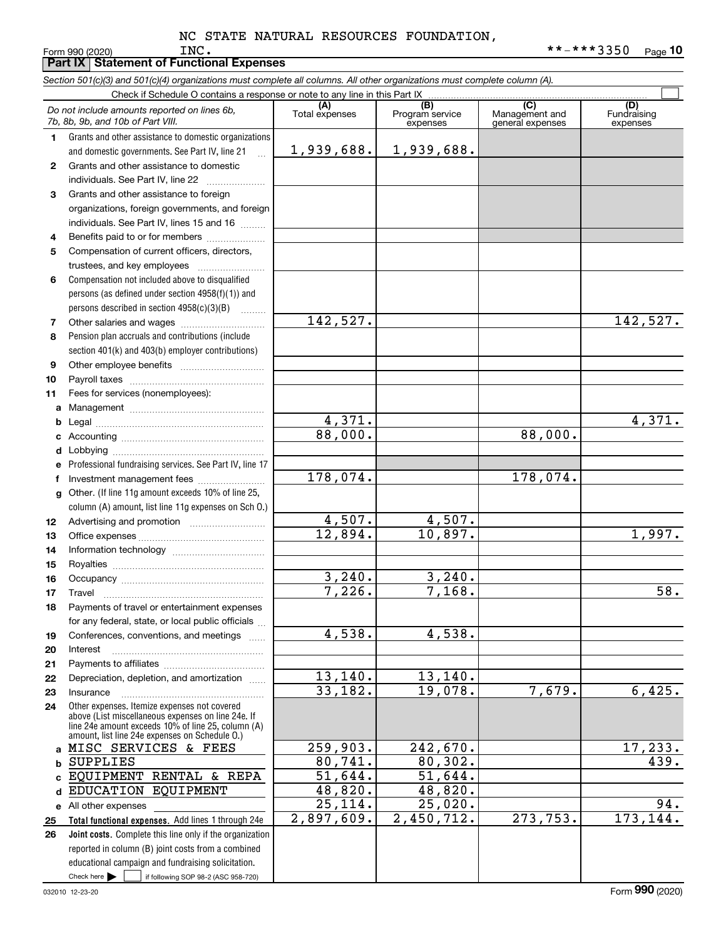|              | Section 501(c)(3) and 501(c)(4) organizations must complete all columns. All other organizations must complete column (A).                                 |                          |                                    |                                           |                                |  |  |  |
|--------------|------------------------------------------------------------------------------------------------------------------------------------------------------------|--------------------------|------------------------------------|-------------------------------------------|--------------------------------|--|--|--|
|              | Check if Schedule O contains a response or note to any line in this Part IX.                                                                               |                          |                                    |                                           |                                |  |  |  |
|              | Do not include amounts reported on lines 6b,<br>7b, 8b, 9b, and 10b of Part VIII.                                                                          | (A)<br>Total expenses    | (B)<br>Program service<br>expenses | (C)<br>Management and<br>general expenses | (D)<br>Fundraising<br>expenses |  |  |  |
| $\mathbf{1}$ | Grants and other assistance to domestic organizations                                                                                                      |                          |                                    |                                           |                                |  |  |  |
|              | and domestic governments. See Part IV, line 21                                                                                                             | 1,939,688.               | 1,939,688.                         |                                           |                                |  |  |  |
| $\mathbf{2}$ | Grants and other assistance to domestic                                                                                                                    |                          |                                    |                                           |                                |  |  |  |
|              | individuals. See Part IV, line 22                                                                                                                          |                          |                                    |                                           |                                |  |  |  |
| 3            | Grants and other assistance to foreign                                                                                                                     |                          |                                    |                                           |                                |  |  |  |
|              | organizations, foreign governments, and foreign<br>individuals. See Part IV, lines 15 and 16                                                               |                          |                                    |                                           |                                |  |  |  |
| 4            | Benefits paid to or for members                                                                                                                            |                          |                                    |                                           |                                |  |  |  |
| 5            | Compensation of current officers, directors,                                                                                                               |                          |                                    |                                           |                                |  |  |  |
|              | trustees, and key employees                                                                                                                                |                          |                                    |                                           |                                |  |  |  |
| 6            | Compensation not included above to disqualified                                                                                                            |                          |                                    |                                           |                                |  |  |  |
|              | persons (as defined under section 4958(f)(1)) and                                                                                                          |                          |                                    |                                           |                                |  |  |  |
|              | persons described in section 4958(c)(3)(B)                                                                                                                 |                          |                                    |                                           |                                |  |  |  |
| 7            |                                                                                                                                                            | 142,527.                 |                                    |                                           | 142,527.                       |  |  |  |
| 8            | Pension plan accruals and contributions (include                                                                                                           |                          |                                    |                                           |                                |  |  |  |
|              | section 401(k) and 403(b) employer contributions)                                                                                                          |                          |                                    |                                           |                                |  |  |  |
| 9            |                                                                                                                                                            |                          |                                    |                                           |                                |  |  |  |
| 10           |                                                                                                                                                            |                          |                                    |                                           |                                |  |  |  |
| 11           | Fees for services (nonemployees):                                                                                                                          |                          |                                    |                                           |                                |  |  |  |
| a            |                                                                                                                                                            |                          |                                    |                                           |                                |  |  |  |
|              |                                                                                                                                                            | $\frac{4,371.}{88,000.}$ |                                    |                                           | 4,371.                         |  |  |  |
|              |                                                                                                                                                            |                          |                                    | 88,000.                                   |                                |  |  |  |
|              |                                                                                                                                                            |                          |                                    |                                           |                                |  |  |  |
|              | Professional fundraising services. See Part IV, line 17                                                                                                    |                          |                                    |                                           |                                |  |  |  |
|              | Investment management fees                                                                                                                                 | 178,074.                 |                                    | 178,074.                                  |                                |  |  |  |
| g            | Other. (If line 11g amount exceeds 10% of line 25,                                                                                                         |                          |                                    |                                           |                                |  |  |  |
|              | column (A) amount, list line 11g expenses on Sch O.)                                                                                                       |                          |                                    |                                           |                                |  |  |  |
| 12           |                                                                                                                                                            | $\frac{4,507}{12,894}$   | $\frac{4,507}{10,897}$ .           |                                           |                                |  |  |  |
| 13           |                                                                                                                                                            |                          |                                    |                                           | 1,997.                         |  |  |  |
| 14           |                                                                                                                                                            |                          |                                    |                                           |                                |  |  |  |
| 15           |                                                                                                                                                            |                          |                                    |                                           |                                |  |  |  |
| 16           |                                                                                                                                                            | 3,240.                   | 3,240.                             |                                           |                                |  |  |  |
| 17           |                                                                                                                                                            | 7,226.                   | 7,168.                             |                                           | 58.                            |  |  |  |
| 18           | Payments of travel or entertainment expenses                                                                                                               |                          |                                    |                                           |                                |  |  |  |
|              | for any federal, state, or local public officials                                                                                                          |                          |                                    |                                           |                                |  |  |  |
| 19           | Conferences, conventions, and meetings                                                                                                                     | 4,538.                   | 4,538.                             |                                           |                                |  |  |  |
| 20           | Interest                                                                                                                                                   |                          |                                    |                                           |                                |  |  |  |
| 21           |                                                                                                                                                            | 13,140.                  | 13,140.                            |                                           |                                |  |  |  |
| 22           | Depreciation, depletion, and amortization                                                                                                                  | 33,182.                  | 19,078.                            | 7,679.                                    | 6,425.                         |  |  |  |
| 23           | Insurance<br>Other expenses. Itemize expenses not covered                                                                                                  |                          |                                    |                                           |                                |  |  |  |
| 24           | above (List miscellaneous expenses on line 24e. If<br>line 24e amount exceeds 10% of line 25, column (A)<br>amount, list line 24e expenses on Schedule O.) |                          |                                    |                                           |                                |  |  |  |
| a            | MISC SERVICES & FEES                                                                                                                                       | 259,903.                 | 242,670.                           |                                           | 17,233.                        |  |  |  |
| b            | <b>SUPPLIES</b>                                                                                                                                            | 80,741.                  | 80, 302.                           |                                           | 439.                           |  |  |  |
|              | EQUIPMENT RENTAL & REPA                                                                                                                                    | 51,644.                  | 51,644.                            |                                           |                                |  |  |  |
| d            | EDUCATION EQUIPMENT                                                                                                                                        | 48,820.                  | 48,820.                            |                                           |                                |  |  |  |
|              | e All other expenses                                                                                                                                       | 25,114.                  | 25,020.                            |                                           | 94.                            |  |  |  |
| 25           | Total functional expenses. Add lines 1 through 24e                                                                                                         | 2,897,609.               | 2,450,712.                         | 273,753.                                  | 173, 144.                      |  |  |  |
| 26           | Joint costs. Complete this line only if the organization                                                                                                   |                          |                                    |                                           |                                |  |  |  |
|              | reported in column (B) joint costs from a combined                                                                                                         |                          |                                    |                                           |                                |  |  |  |
|              | educational campaign and fundraising solicitation.                                                                                                         |                          |                                    |                                           |                                |  |  |  |

 $Check here$ 

Check here  $\begin{array}{|c|c|c|c|c|}\hline \text{ } & \text{ if following SOP 98-2 (ASC 958-720)} \hline \end{array}$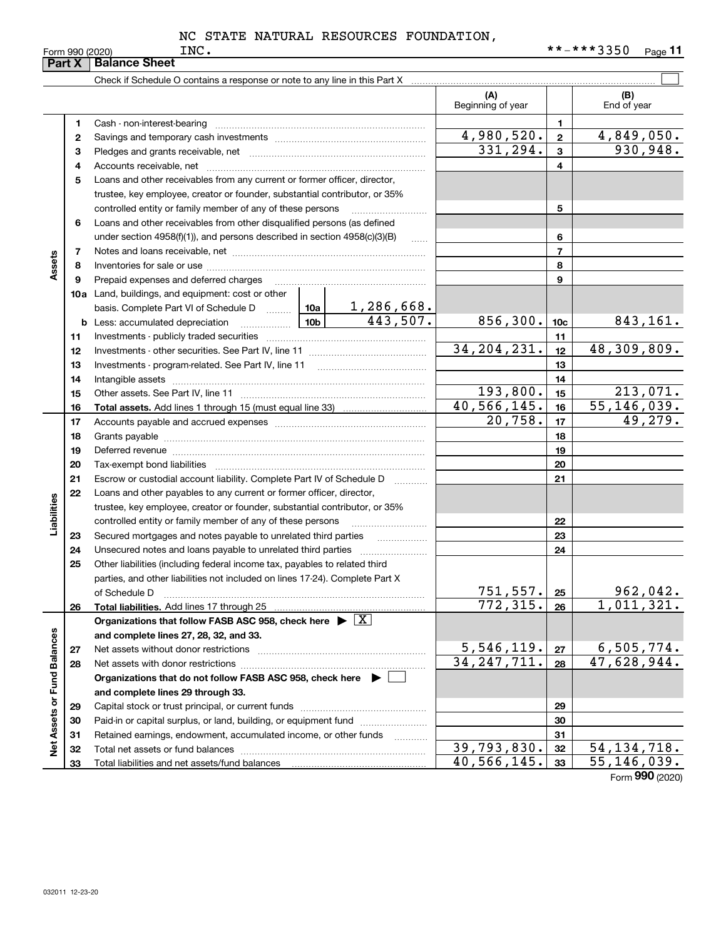|                             | Part X | <b>Balance Sheet</b>                                                                                                                                                                                                           |                              |                 |                    |
|-----------------------------|--------|--------------------------------------------------------------------------------------------------------------------------------------------------------------------------------------------------------------------------------|------------------------------|-----------------|--------------------|
|                             |        | Check if Schedule O contains a response or note to any line in this Part X                                                                                                                                                     |                              |                 |                    |
|                             |        |                                                                                                                                                                                                                                | (A)<br>Beginning of year     |                 | (B)<br>End of year |
|                             | 1      |                                                                                                                                                                                                                                |                              | 1               |                    |
|                             | 2      |                                                                                                                                                                                                                                | 4,980,520.                   | $\overline{2}$  | 4,849,050.         |
|                             | 3      |                                                                                                                                                                                                                                | 331, 294.                    | $\mathbf{3}$    | 930,948.           |
|                             | 4      |                                                                                                                                                                                                                                |                              | 4               |                    |
|                             | 5      | Loans and other receivables from any current or former officer, director,                                                                                                                                                      |                              |                 |                    |
|                             |        | trustee, key employee, creator or founder, substantial contributor, or 35%                                                                                                                                                     |                              |                 |                    |
|                             |        | controlled entity or family member of any of these persons                                                                                                                                                                     |                              | 5               |                    |
|                             | 6      | Loans and other receivables from other disqualified persons (as defined                                                                                                                                                        |                              |                 |                    |
|                             |        | under section $4958(f)(1)$ , and persons described in section $4958(c)(3)(B)$<br>$\sim$                                                                                                                                        |                              | 6               |                    |
|                             | 7      |                                                                                                                                                                                                                                |                              | $\overline{7}$  |                    |
| Assets                      | 8      |                                                                                                                                                                                                                                |                              | 8               |                    |
|                             | 9      | Prepaid expenses and deferred charges                                                                                                                                                                                          |                              | 9               |                    |
|                             |        | <b>10a</b> Land, buildings, and equipment: cost or other                                                                                                                                                                       |                              |                 |                    |
|                             |        | basis. Complete Part VI of Schedule D    10a   1, 286, 668.                                                                                                                                                                    |                              |                 |                    |
|                             | b      | 443,507.<br>10 <sub>b</sub><br>Less: accumulated depreciation<br>. 1                                                                                                                                                           | 856,300.                     | 10 <sub>c</sub> | 843,161.           |
|                             | 11     |                                                                                                                                                                                                                                |                              | 11              |                    |
|                             | 12     |                                                                                                                                                                                                                                | 34, 204, 231.                | 12              | 48,309,809.        |
|                             | 13     |                                                                                                                                                                                                                                |                              | 13              |                    |
|                             | 14     |                                                                                                                                                                                                                                |                              | 14              |                    |
|                             | 15     |                                                                                                                                                                                                                                | 193,800.                     | 15              | 213,071.           |
|                             | 16     |                                                                                                                                                                                                                                | 40,566,145.                  | 16              | 55, 146, 039.      |
|                             | 17     |                                                                                                                                                                                                                                | 20,758.                      | 17              | 49,279.            |
|                             | 18     |                                                                                                                                                                                                                                |                              | 18              |                    |
|                             | 19     | Deferred revenue manual contracts and contracts are contracted and contract and contract are contracted and contract are contracted and contract are contracted and contract are contracted and contract are contracted and co |                              | 19              |                    |
|                             | 20     |                                                                                                                                                                                                                                |                              | 20              |                    |
|                             | 21     | Escrow or custodial account liability. Complete Part IV of Schedule D<br>1.1.1.1.1.1.1.1.1.1                                                                                                                                   |                              | 21              |                    |
|                             | 22     | Loans and other payables to any current or former officer, director,                                                                                                                                                           |                              |                 |                    |
|                             |        | trustee, key employee, creator or founder, substantial contributor, or 35%                                                                                                                                                     |                              |                 |                    |
| Liabilities                 |        |                                                                                                                                                                                                                                |                              | 22              |                    |
|                             | 23     | Secured mortgages and notes payable to unrelated third parties                                                                                                                                                                 |                              | 23              |                    |
|                             | 24     |                                                                                                                                                                                                                                |                              | 24              |                    |
|                             | 25     | Other liabilities (including federal income tax, payables to related third                                                                                                                                                     |                              |                 |                    |
|                             |        | parties, and other liabilities not included on lines 17-24). Complete Part X                                                                                                                                                   |                              |                 | 962,042.           |
|                             |        | of Schedule D                                                                                                                                                                                                                  | <u>751,557.</u><br>772, 315. | 25              | 1,011,321.         |
|                             | 26     | Total liabilities. Add lines 17 through 25<br>Organizations that follow FASB ASC 958, check here $\blacktriangleright \boxed{X}$                                                                                               |                              | 26              |                    |
|                             |        | and complete lines 27, 28, 32, and 33.                                                                                                                                                                                         |                              |                 |                    |
|                             | 27     |                                                                                                                                                                                                                                | 5,546,119.                   | 27              | 6,505,774.         |
|                             | 28     | Net assets with donor restrictions                                                                                                                                                                                             | $\overline{34,247,711}$ .    | 28              | 47,628,944.        |
|                             |        | Organizations that do not follow FASB ASC 958, check here $\triangleright$                                                                                                                                                     |                              |                 |                    |
|                             |        | and complete lines 29 through 33.                                                                                                                                                                                              |                              |                 |                    |
|                             | 29     |                                                                                                                                                                                                                                |                              | 29              |                    |
|                             | 30     | Paid-in or capital surplus, or land, building, or equipment fund                                                                                                                                                               |                              | 30              |                    |
|                             | 31     | Retained earnings, endowment, accumulated income, or other funds<br>$\overline{\phantom{a}}$                                                                                                                                   |                              | 31              |                    |
| Net Assets or Fund Balances | 32     | Total net assets or fund balances                                                                                                                                                                                              | 39,793,830.                  | 32              | 54, 134, 718.      |
|                             | 33     |                                                                                                                                                                                                                                | 40,566,145.                  | 33              | 55, 146, 039.      |
|                             |        |                                                                                                                                                                                                                                |                              |                 |                    |

Form (2020) **990**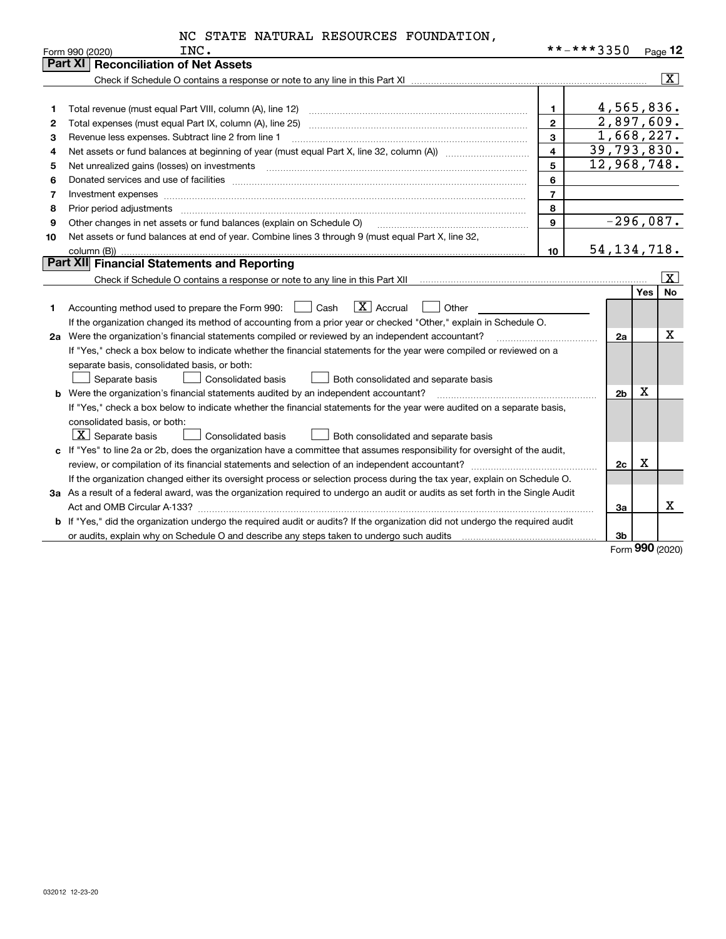|  |  | NC STATE NATURAL RESOURCES FOUNDATION, |
|--|--|----------------------------------------|
|  |  |                                        |

|    | INC.<br>Form 990 (2020)                                                                                                                                                                                                        |                         | **-***3350 |                |     | Page 12                 |
|----|--------------------------------------------------------------------------------------------------------------------------------------------------------------------------------------------------------------------------------|-------------------------|------------|----------------|-----|-------------------------|
|    | <b>Part XI   Reconciliation of Net Assets</b>                                                                                                                                                                                  |                         |            |                |     |                         |
|    |                                                                                                                                                                                                                                |                         |            |                |     | $\overline{\mathbf{x}}$ |
|    |                                                                                                                                                                                                                                |                         |            |                |     |                         |
| 1  |                                                                                                                                                                                                                                | $\mathbf 1$             |            | 4,565,836.     |     |                         |
| 2  |                                                                                                                                                                                                                                | $\mathbf{2}$            |            | 2,897,609.     |     |                         |
| з  | Revenue less expenses. Subtract line 2 from line 1                                                                                                                                                                             | $\mathbf{3}$            |            | 1,668,227.     |     |                         |
| 4  | Net assets or fund balances at beginning of year (must equal Part X, line 32, column (A)) <i>massets</i> or fund balances at beginning of year (must equal Part X, line 32, column (A))                                        | $\overline{\mathbf{4}}$ |            | 39,793,830.    |     |                         |
| 5  | Net unrealized gains (losses) on investments [11] matter contracts and the state of the state of the state of the state of the state of the state of the state of the state of the state of the state of the state of the stat | 5                       |            | 12,968,748.    |     |                         |
| 6  | Donated services and use of facilities [111] Donated and the service of facilities [11] Donated services and use of facilities [11] Donated and the service of the service of the service of the service of the service of the | 6                       |            |                |     |                         |
| 7  | Investment expenses www.communication.com/www.communication.com/www.communication.com/www.communication.com                                                                                                                    | $\overline{7}$          |            |                |     |                         |
| 8  |                                                                                                                                                                                                                                | 8                       |            |                |     |                         |
| 9  | Other changes in net assets or fund balances (explain on Schedule O)                                                                                                                                                           | $\mathbf{9}$            |            | $-296,087.$    |     |                         |
| 10 | Net assets or fund balances at end of year. Combine lines 3 through 9 (must equal Part X, line 32,                                                                                                                             |                         |            |                |     |                         |
|    | column (B))                                                                                                                                                                                                                    | 10                      |            | 54, 134, 718.  |     |                         |
|    | Part XII Financial Statements and Reporting                                                                                                                                                                                    |                         |            |                |     |                         |
|    |                                                                                                                                                                                                                                |                         |            |                |     | $ \mathbf{X} $          |
|    |                                                                                                                                                                                                                                |                         |            |                | Yes | <b>No</b>               |
| 1  | $\boxed{\mathbf{X}}$ Accrual<br>Other<br>Accounting method used to prepare the Form 990: <u>June</u> Cash                                                                                                                      |                         |            |                |     |                         |
|    | If the organization changed its method of accounting from a prior year or checked "Other," explain in Schedule O.                                                                                                              |                         |            |                |     |                         |
|    | 2a Were the organization's financial statements compiled or reviewed by an independent accountant?                                                                                                                             |                         |            | 2a             |     | х                       |
|    | If "Yes," check a box below to indicate whether the financial statements for the year were compiled or reviewed on a                                                                                                           |                         |            |                |     |                         |
|    | separate basis, consolidated basis, or both:                                                                                                                                                                                   |                         |            |                |     |                         |
|    | Separate basis<br>Consolidated basis<br>Both consolidated and separate basis                                                                                                                                                   |                         |            |                |     |                         |
|    | <b>b</b> Were the organization's financial statements audited by an independent accountant?                                                                                                                                    |                         |            | 2 <sub>b</sub> | x   |                         |
|    | If "Yes," check a box below to indicate whether the financial statements for the year were audited on a separate basis,                                                                                                        |                         |            |                |     |                         |
|    | consolidated basis, or both:                                                                                                                                                                                                   |                         |            |                |     |                         |
|    | $ \mathbf{X} $ Separate basis<br><b>Consolidated basis</b><br>Both consolidated and separate basis                                                                                                                             |                         |            |                |     |                         |
|    | c If "Yes" to line 2a or 2b, does the organization have a committee that assumes responsibility for oversight of the audit,                                                                                                    |                         |            |                |     |                         |
|    |                                                                                                                                                                                                                                |                         |            | 2c             | x   |                         |
|    | If the organization changed either its oversight process or selection process during the tax year, explain on Schedule O.                                                                                                      |                         |            |                |     |                         |
|    | 3a As a result of a federal award, was the organization required to undergo an audit or audits as set forth in the Single Audit                                                                                                |                         |            |                |     |                         |
|    |                                                                                                                                                                                                                                |                         |            | За             |     | x                       |
|    | <b>b</b> If "Yes," did the organization undergo the required audit or audits? If the organization did not undergo the required audit                                                                                           |                         |            |                |     |                         |
|    |                                                                                                                                                                                                                                |                         |            | 3b             |     |                         |

Form (2020) **990**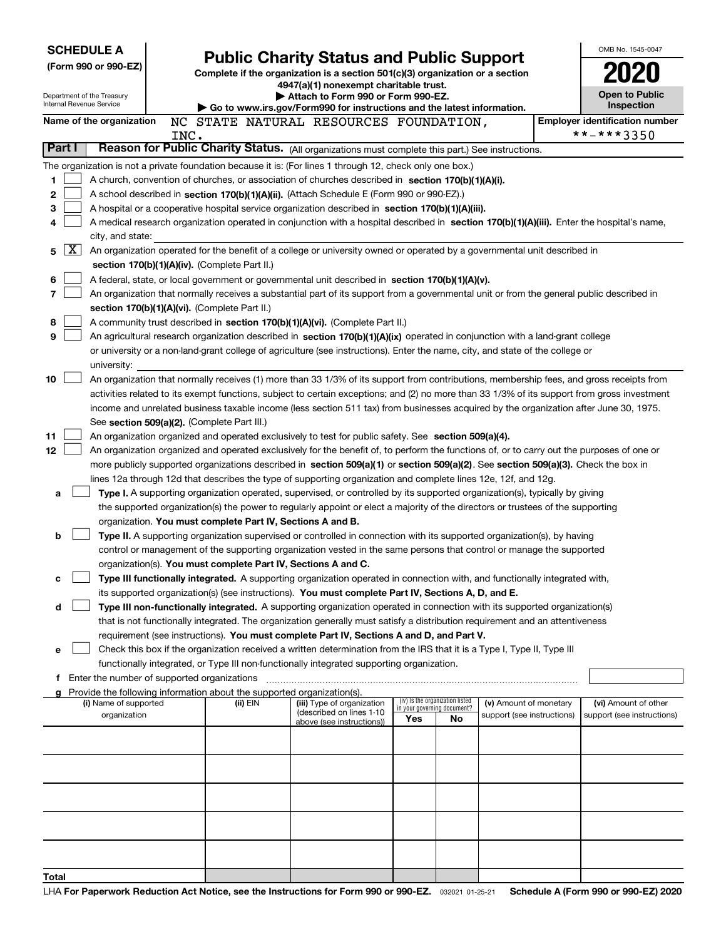| <b>SCHEDULE A</b>                                                                                         | <b>Public Charity Status and Public Support</b> |                                                                               |                                                                                                                                                                                                                                                                                  |                                                                |     | OMB No. 1545-0047          |  |                                            |
|-----------------------------------------------------------------------------------------------------------|-------------------------------------------------|-------------------------------------------------------------------------------|----------------------------------------------------------------------------------------------------------------------------------------------------------------------------------------------------------------------------------------------------------------------------------|----------------------------------------------------------------|-----|----------------------------|--|--------------------------------------------|
| (Form 990 or 990-EZ)                                                                                      |                                                 | Complete if the organization is a section 501(c)(3) organization or a section |                                                                                                                                                                                                                                                                                  |                                                                |     |                            |  |                                            |
|                                                                                                           |                                                 | 4947(a)(1) nonexempt charitable trust.                                        |                                                                                                                                                                                                                                                                                  |                                                                |     |                            |  |                                            |
| Department of the Treasury<br>Internal Revenue Service                                                    |                                                 |                                                                               | Attach to Form 990 or Form 990-EZ.                                                                                                                                                                                                                                               |                                                                |     |                            |  | <b>Open to Public</b><br><b>Inspection</b> |
| Name of the organization                                                                                  |                                                 |                                                                               | Go to www.irs.gov/Form990 for instructions and the latest information.<br>NC STATE NATURAL RESOURCES FOUNDATION,                                                                                                                                                                 |                                                                |     |                            |  | <b>Employer identification number</b>      |
|                                                                                                           | INC.                                            |                                                                               |                                                                                                                                                                                                                                                                                  |                                                                |     |                            |  | **-***3350                                 |
| Part I                                                                                                    |                                                 |                                                                               | Reason for Public Charity Status. (All organizations must complete this part.) See instructions.                                                                                                                                                                                 |                                                                |     |                            |  |                                            |
| The organization is not a private foundation because it is: (For lines 1 through 12, check only one box.) |                                                 |                                                                               |                                                                                                                                                                                                                                                                                  |                                                                |     |                            |  |                                            |
| 1                                                                                                         |                                                 |                                                                               | A church, convention of churches, or association of churches described in section 170(b)(1)(A)(i).                                                                                                                                                                               |                                                                |     |                            |  |                                            |
| 2                                                                                                         |                                                 |                                                                               | A school described in section 170(b)(1)(A)(ii). (Attach Schedule E (Form 990 or 990-EZ).)                                                                                                                                                                                        |                                                                |     |                            |  |                                            |
| 3                                                                                                         |                                                 |                                                                               | A hospital or a cooperative hospital service organization described in section $170(b)(1)(A)(iii)$ .                                                                                                                                                                             |                                                                |     |                            |  |                                            |
| 4                                                                                                         |                                                 |                                                                               | A medical research organization operated in conjunction with a hospital described in section 170(b)(1)(A)(iii). Enter the hospital's name,                                                                                                                                       |                                                                |     |                            |  |                                            |
| city, and state:                                                                                          |                                                 |                                                                               |                                                                                                                                                                                                                                                                                  |                                                                |     |                            |  |                                            |
| X  <br>5                                                                                                  |                                                 |                                                                               | An organization operated for the benefit of a college or university owned or operated by a governmental unit described in                                                                                                                                                        |                                                                |     |                            |  |                                            |
|                                                                                                           |                                                 | section 170(b)(1)(A)(iv). (Complete Part II.)                                 |                                                                                                                                                                                                                                                                                  |                                                                |     |                            |  |                                            |
| 6<br>7                                                                                                    |                                                 |                                                                               | A federal, state, or local government or governmental unit described in section 170(b)(1)(A)(v).<br>An organization that normally receives a substantial part of its support from a governmental unit or from the general public described in                                    |                                                                |     |                            |  |                                            |
|                                                                                                           |                                                 | section 170(b)(1)(A)(vi). (Complete Part II.)                                 |                                                                                                                                                                                                                                                                                  |                                                                |     |                            |  |                                            |
| 8                                                                                                         |                                                 |                                                                               | A community trust described in section 170(b)(1)(A)(vi). (Complete Part II.)                                                                                                                                                                                                     |                                                                |     |                            |  |                                            |
| 9                                                                                                         |                                                 |                                                                               | An agricultural research organization described in section 170(b)(1)(A)(ix) operated in conjunction with a land-grant college                                                                                                                                                    |                                                                |     |                            |  |                                            |
|                                                                                                           |                                                 |                                                                               | or university or a non-land-grant college of agriculture (see instructions). Enter the name, city, and state of the college or                                                                                                                                                   |                                                                |     |                            |  |                                            |
| university:                                                                                               |                                                 |                                                                               |                                                                                                                                                                                                                                                                                  |                                                                |     |                            |  |                                            |
| 10                                                                                                        |                                                 |                                                                               | An organization that normally receives (1) more than 33 1/3% of its support from contributions, membership fees, and gross receipts from                                                                                                                                         |                                                                |     |                            |  |                                            |
|                                                                                                           |                                                 |                                                                               | activities related to its exempt functions, subject to certain exceptions; and (2) no more than 33 1/3% of its support from gross investment                                                                                                                                     |                                                                |     |                            |  |                                            |
|                                                                                                           |                                                 |                                                                               | income and unrelated business taxable income (less section 511 tax) from businesses acquired by the organization after June 30, 1975.                                                                                                                                            |                                                                |     |                            |  |                                            |
|                                                                                                           |                                                 | See section 509(a)(2). (Complete Part III.)                                   |                                                                                                                                                                                                                                                                                  |                                                                |     |                            |  |                                            |
| 11                                                                                                        |                                                 |                                                                               | An organization organized and operated exclusively to test for public safety. See section 509(a)(4).                                                                                                                                                                             |                                                                |     |                            |  |                                            |
| 12                                                                                                        |                                                 |                                                                               | An organization organized and operated exclusively for the benefit of, to perform the functions of, or to carry out the purposes of one or<br>more publicly supported organizations described in section 509(a)(1) or section 509(a)(2). See section 509(a)(3). Check the box in |                                                                |     |                            |  |                                            |
|                                                                                                           |                                                 |                                                                               | lines 12a through 12d that describes the type of supporting organization and complete lines 12e, 12f, and 12g.                                                                                                                                                                   |                                                                |     |                            |  |                                            |
| a                                                                                                         |                                                 |                                                                               | Type I. A supporting organization operated, supervised, or controlled by its supported organization(s), typically by giving                                                                                                                                                      |                                                                |     |                            |  |                                            |
|                                                                                                           |                                                 |                                                                               | the supported organization(s) the power to regularly appoint or elect a majority of the directors or trustees of the supporting                                                                                                                                                  |                                                                |     |                            |  |                                            |
|                                                                                                           |                                                 | organization. You must complete Part IV, Sections A and B.                    |                                                                                                                                                                                                                                                                                  |                                                                |     |                            |  |                                            |
| b                                                                                                         |                                                 |                                                                               | Type II. A supporting organization supervised or controlled in connection with its supported organization(s), by having                                                                                                                                                          |                                                                |     |                            |  |                                            |
|                                                                                                           |                                                 |                                                                               | control or management of the supporting organization vested in the same persons that control or manage the supported                                                                                                                                                             |                                                                |     |                            |  |                                            |
|                                                                                                           |                                                 | organization(s). You must complete Part IV, Sections A and C.                 |                                                                                                                                                                                                                                                                                  |                                                                |     |                            |  |                                            |
| с                                                                                                         |                                                 |                                                                               | Type III functionally integrated. A supporting organization operated in connection with, and functionally integrated with,                                                                                                                                                       |                                                                |     |                            |  |                                            |
|                                                                                                           |                                                 |                                                                               | its supported organization(s) (see instructions). You must complete Part IV, Sections A, D, and E.                                                                                                                                                                               |                                                                |     |                            |  |                                            |
| d                                                                                                         |                                                 |                                                                               | Type III non-functionally integrated. A supporting organization operated in connection with its supported organization(s)                                                                                                                                                        |                                                                |     |                            |  |                                            |
|                                                                                                           |                                                 |                                                                               | that is not functionally integrated. The organization generally must satisfy a distribution requirement and an attentiveness<br>requirement (see instructions). You must complete Part IV, Sections A and D, and Part V.                                                         |                                                                |     |                            |  |                                            |
| е                                                                                                         |                                                 |                                                                               | Check this box if the organization received a written determination from the IRS that it is a Type I, Type II, Type III                                                                                                                                                          |                                                                |     |                            |  |                                            |
|                                                                                                           |                                                 |                                                                               | functionally integrated, or Type III non-functionally integrated supporting organization.                                                                                                                                                                                        |                                                                |     |                            |  |                                            |
| f Enter the number of supported organizations                                                             |                                                 |                                                                               |                                                                                                                                                                                                                                                                                  |                                                                |     |                            |  |                                            |
| g Provide the following information about the supported organization(s).                                  |                                                 |                                                                               |                                                                                                                                                                                                                                                                                  |                                                                |     |                            |  |                                            |
| (i) Name of supported                                                                                     |                                                 | (ii) EIN                                                                      | (iii) Type of organization<br>(described on lines 1-10                                                                                                                                                                                                                           | (iv) Is the organization listed<br>in your governing document? |     | (v) Amount of monetary     |  | (vi) Amount of other                       |
| organization                                                                                              |                                                 |                                                                               | above (see instructions))                                                                                                                                                                                                                                                        | Yes                                                            | No. | support (see instructions) |  | support (see instructions)                 |
|                                                                                                           |                                                 |                                                                               |                                                                                                                                                                                                                                                                                  |                                                                |     |                            |  |                                            |
|                                                                                                           |                                                 |                                                                               |                                                                                                                                                                                                                                                                                  |                                                                |     |                            |  |                                            |
|                                                                                                           |                                                 |                                                                               |                                                                                                                                                                                                                                                                                  |                                                                |     |                            |  |                                            |
|                                                                                                           |                                                 |                                                                               |                                                                                                                                                                                                                                                                                  |                                                                |     |                            |  |                                            |
|                                                                                                           |                                                 |                                                                               |                                                                                                                                                                                                                                                                                  |                                                                |     |                            |  |                                            |
|                                                                                                           |                                                 |                                                                               |                                                                                                                                                                                                                                                                                  |                                                                |     |                            |  |                                            |
|                                                                                                           |                                                 |                                                                               |                                                                                                                                                                                                                                                                                  |                                                                |     |                            |  |                                            |
|                                                                                                           |                                                 |                                                                               |                                                                                                                                                                                                                                                                                  |                                                                |     |                            |  |                                            |
| Total                                                                                                     |                                                 |                                                                               |                                                                                                                                                                                                                                                                                  |                                                                |     |                            |  |                                            |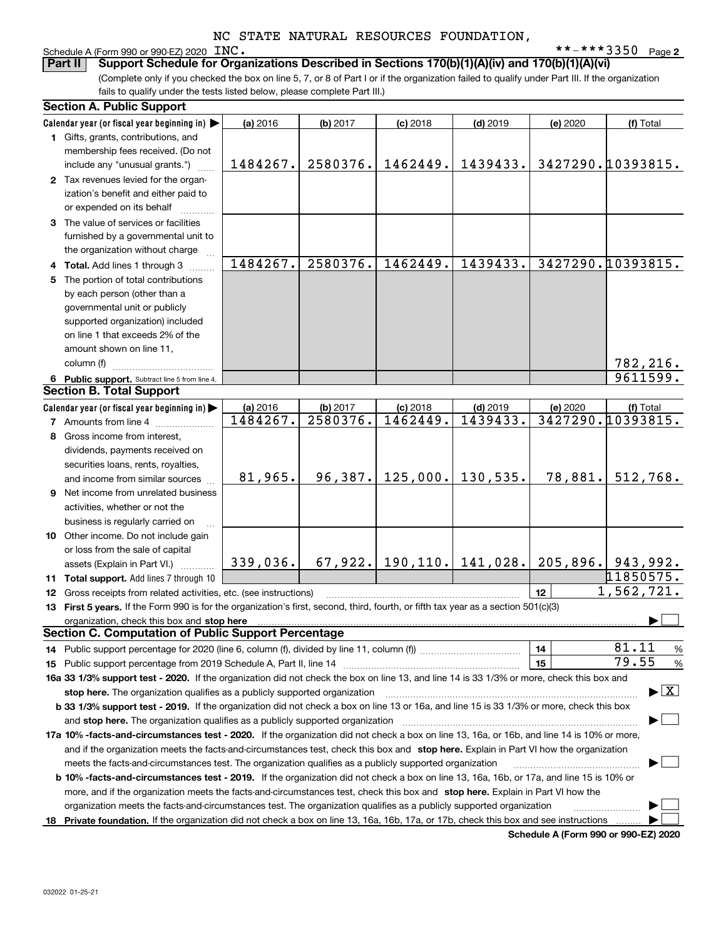# Schedule A (Form 990 or 990-EZ) 2020 INC.<br>**Part II** Support Schedule for Orga

**2** INC. \*\*-\*\*\*3350

(Complete only if you checked the box on line 5, 7, or 8 of Part I or if the organization failed to qualify under Part III. If the organization fails to qualify under the tests listed below, please complete Part III.) **Part II Support Schedule for Organizations Described in Sections 170(b)(1)(A)(iv) and 170(b)(1)(A)(vi)**

| <b>Section A. Public Support</b>                                                                                                               |          |          |                    |                               |          |                     |
|------------------------------------------------------------------------------------------------------------------------------------------------|----------|----------|--------------------|-------------------------------|----------|---------------------|
| Calendar year (or fiscal year beginning in)                                                                                                    | (a) 2016 | (b) 2017 | $(c)$ 2018         | $(d)$ 2019                    | (e) 2020 | (f) Total           |
| 1 Gifts, grants, contributions, and                                                                                                            |          |          |                    |                               |          |                     |
| membership fees received. (Do not                                                                                                              |          |          |                    |                               |          |                     |
| include any "unusual grants.")                                                                                                                 | 1484267. | 2580376. | 1462449.           | 1439433.                      |          | 3427290.10393815.   |
| 2 Tax revenues levied for the organ-                                                                                                           |          |          |                    |                               |          |                     |
| ization's benefit and either paid to                                                                                                           |          |          |                    |                               |          |                     |
| or expended on its behalf                                                                                                                      |          |          |                    |                               |          |                     |
| 3 The value of services or facilities                                                                                                          |          |          |                    |                               |          |                     |
| furnished by a governmental unit to                                                                                                            |          |          |                    |                               |          |                     |
| the organization without charge                                                                                                                |          |          |                    |                               |          |                     |
| 4 Total. Add lines 1 through 3                                                                                                                 | 1484267. | 2580376. | 1462449.           | 1439433.                      |          | 3427290.10393815.   |
| 5 The portion of total contributions                                                                                                           |          |          |                    |                               |          |                     |
| by each person (other than a                                                                                                                   |          |          |                    |                               |          |                     |
| governmental unit or publicly                                                                                                                  |          |          |                    |                               |          |                     |
| supported organization) included                                                                                                               |          |          |                    |                               |          |                     |
| on line 1 that exceeds 2% of the                                                                                                               |          |          |                    |                               |          |                     |
| amount shown on line 11,                                                                                                                       |          |          |                    |                               |          |                     |
| column (f)                                                                                                                                     |          |          |                    |                               |          | 782,216.            |
| 6 Public support. Subtract line 5 from line 4.                                                                                                 |          |          |                    |                               |          | 9611599.            |
| <b>Section B. Total Support</b>                                                                                                                |          |          |                    |                               |          |                     |
| Calendar year (or fiscal year beginning in)                                                                                                    | (a) 2016 | (b) 2017 | $(c)$ 2018         | $(d)$ 2019                    | (e) 2020 | (f) Total           |
| <b>7</b> Amounts from line 4                                                                                                                   | 1484267. | 2580376. | 1462449.           | 1439433.                      |          | 3427290.10393815.   |
| 8 Gross income from interest,                                                                                                                  |          |          |                    |                               |          |                     |
| dividends, payments received on                                                                                                                |          |          |                    |                               |          |                     |
| securities loans, rents, royalties,                                                                                                            |          |          |                    |                               |          |                     |
| and income from similar sources                                                                                                                | 81,965.  |          | $96,387.$ 125,000. | 130, 535.                     | 78,881.  | 512,768.            |
| 9 Net income from unrelated business                                                                                                           |          |          |                    |                               |          |                     |
| activities, whether or not the                                                                                                                 |          |          |                    |                               |          |                     |
| business is regularly carried on                                                                                                               |          |          |                    |                               |          |                     |
| 10 Other income. Do not include gain                                                                                                           |          |          |                    |                               |          |                     |
| or loss from the sale of capital                                                                                                               |          |          |                    |                               |          |                     |
| assets (Explain in Part VI.)                                                                                                                   | 339,036. |          |                    | $67,922.$ 190, 110. 141, 028. |          | $205,896.$ 943,992. |
| 11 Total support. Add lines 7 through 10                                                                                                       |          |          |                    |                               |          | 11850575.           |
| 12 Gross receipts from related activities, etc. (see instructions)                                                                             |          |          |                    |                               | 12       | 1,562,721.          |
| 13 First 5 years. If the Form 990 is for the organization's first, second, third, fourth, or fifth tax year as a section 501(c)(3)             |          |          |                    |                               |          |                     |
| organization, check this box and stop here                                                                                                     |          |          |                    |                               |          |                     |
| <b>Section C. Computation of Public Support Percentage</b>                                                                                     |          |          |                    |                               |          |                     |
| 14 Public support percentage for 2020 (line 6, column (f), divided by line 11, column (f) <i>mummumumum</i>                                    |          |          |                    |                               | 14       | 81.11<br>%          |
|                                                                                                                                                |          |          |                    |                               | 15       | 79.55<br>%          |
| 16a 33 1/3% support test - 2020. If the organization did not check the box on line 13, and line 14 is 33 1/3% or more, check this box and      |          |          |                    |                               |          |                     |
| $\blacktriangleright$ $\boxed{\text{X}}$<br>stop here. The organization qualifies as a publicly supported organization                         |          |          |                    |                               |          |                     |
| b 33 1/3% support test - 2019. If the organization did not check a box on line 13 or 16a, and line 15 is 33 1/3% or more, check this box       |          |          |                    |                               |          |                     |
| and stop here. The organization qualifies as a publicly supported organization                                                                 |          |          |                    |                               |          |                     |
| 17a 10% -facts-and-circumstances test - 2020. If the organization did not check a box on line 13, 16a, or 16b, and line 14 is 10% or more,     |          |          |                    |                               |          |                     |
| and if the organization meets the facts-and-circumstances test, check this box and stop here. Explain in Part VI how the organization          |          |          |                    |                               |          |                     |
| meets the facts-and-circumstances test. The organization qualifies as a publicly supported organization                                        |          |          |                    |                               |          |                     |
| <b>b 10% -facts-and-circumstances test - 2019.</b> If the organization did not check a box on line 13, 16a, 16b, or 17a, and line 15 is 10% or |          |          |                    |                               |          |                     |
| more, and if the organization meets the facts-and-circumstances test, check this box and stop here. Explain in Part VI how the                 |          |          |                    |                               |          |                     |
| organization meets the facts-and-circumstances test. The organization qualifies as a publicly supported organization                           |          |          |                    |                               |          |                     |
| 18 Private foundation. If the organization did not check a box on line 13, 16a, 16b, 17a, or 17b, check this box and see instructions          |          |          |                    |                               |          |                     |
|                                                                                                                                                |          |          |                    |                               |          |                     |

**Schedule A (Form 990 or 990-EZ) 2020**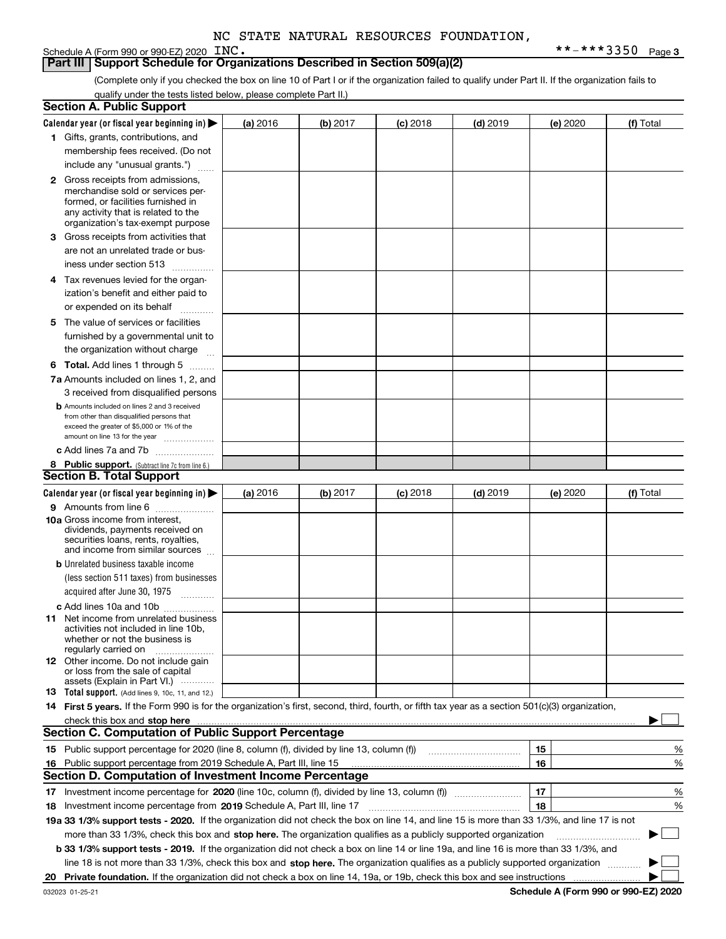### **Part III Support Schedule for Organizations Described in Section 509(a)(2)**

(Complete only if you checked the box on line 10 of Part I or if the organization failed to qualify under Part II. If the organization fails to qualify under the tests listed below, please complete Part II.)

| <b>Section A. Public Support</b>                                                                                                                 |          |          |                 |                                                      |          |             |
|--------------------------------------------------------------------------------------------------------------------------------------------------|----------|----------|-----------------|------------------------------------------------------|----------|-------------|
| Calendar year (or fiscal year beginning in) $\blacktriangleright$                                                                                | (a) 2016 | (b) 2017 | <b>(c)</b> 2018 | $(d)$ 2019                                           | (e) 2020 | (f) Total   |
| 1 Gifts, grants, contributions, and                                                                                                              |          |          |                 |                                                      |          |             |
| membership fees received. (Do not                                                                                                                |          |          |                 |                                                      |          |             |
| include any "unusual grants.")                                                                                                                   |          |          |                 |                                                      |          |             |
| <b>2</b> Gross receipts from admissions,                                                                                                         |          |          |                 |                                                      |          |             |
| merchandise sold or services per-                                                                                                                |          |          |                 |                                                      |          |             |
| formed, or facilities furnished in                                                                                                               |          |          |                 |                                                      |          |             |
| any activity that is related to the<br>organization's tax-exempt purpose                                                                         |          |          |                 |                                                      |          |             |
| 3 Gross receipts from activities that                                                                                                            |          |          |                 |                                                      |          |             |
| are not an unrelated trade or bus-                                                                                                               |          |          |                 |                                                      |          |             |
| iness under section 513                                                                                                                          |          |          |                 |                                                      |          |             |
| 4 Tax revenues levied for the organ-                                                                                                             |          |          |                 |                                                      |          |             |
| ization's benefit and either paid to                                                                                                             |          |          |                 |                                                      |          |             |
| or expended on its behalf                                                                                                                        |          |          |                 |                                                      |          |             |
| .<br>5 The value of services or facilities                                                                                                       |          |          |                 |                                                      |          |             |
| furnished by a governmental unit to                                                                                                              |          |          |                 |                                                      |          |             |
| the organization without charge                                                                                                                  |          |          |                 |                                                      |          |             |
|                                                                                                                                                  |          |          |                 |                                                      |          |             |
| <b>6 Total.</b> Add lines 1 through 5                                                                                                            |          |          |                 |                                                      |          |             |
| 7a Amounts included on lines 1, 2, and<br>3 received from disqualified persons                                                                   |          |          |                 |                                                      |          |             |
| <b>b</b> Amounts included on lines 2 and 3 received                                                                                              |          |          |                 |                                                      |          |             |
| from other than disqualified persons that                                                                                                        |          |          |                 |                                                      |          |             |
| exceed the greater of \$5,000 or 1% of the                                                                                                       |          |          |                 |                                                      |          |             |
| amount on line 13 for the year                                                                                                                   |          |          |                 |                                                      |          |             |
| c Add lines 7a and 7b                                                                                                                            |          |          |                 |                                                      |          |             |
| 8 Public support. (Subtract line 7c from line 6.)<br><b>Section B. Total Support</b>                                                             |          |          |                 |                                                      |          |             |
|                                                                                                                                                  |          |          |                 |                                                      |          |             |
| Calendar year (or fiscal year beginning in) $\blacktriangleright$                                                                                | (a) 2016 | (b) 2017 | $(c)$ 2018      | $(d)$ 2019                                           | (e) 2020 | (f) Total   |
| 9 Amounts from line 6                                                                                                                            |          |          |                 |                                                      |          |             |
| 10a Gross income from interest,<br>dividends, payments received on                                                                               |          |          |                 |                                                      |          |             |
| securities loans, rents, royalties,                                                                                                              |          |          |                 |                                                      |          |             |
| and income from similar sources                                                                                                                  |          |          |                 |                                                      |          |             |
| <b>b</b> Unrelated business taxable income                                                                                                       |          |          |                 |                                                      |          |             |
| (less section 511 taxes) from businesses                                                                                                         |          |          |                 |                                                      |          |             |
| acquired after June 30, 1975                                                                                                                     |          |          |                 |                                                      |          |             |
| c Add lines 10a and 10b                                                                                                                          |          |          |                 |                                                      |          |             |
| 11 Net income from unrelated business<br>activities not included in line 10b.                                                                    |          |          |                 |                                                      |          |             |
| whether or not the business is                                                                                                                   |          |          |                 |                                                      |          |             |
| regularly carried on                                                                                                                             |          |          |                 |                                                      |          |             |
| 12 Other income. Do not include gain                                                                                                             |          |          |                 |                                                      |          |             |
| or loss from the sale of capital<br>assets (Explain in Part VI.)                                                                                 |          |          |                 |                                                      |          |             |
| <b>13</b> Total support. (Add lines 9, 10c, 11, and 12.)                                                                                         |          |          |                 |                                                      |          |             |
| 14 First 5 years. If the Form 990 is for the organization's first, second, third, fourth, or fifth tax year as a section 501(c)(3) organization, |          |          |                 |                                                      |          |             |
| check this box and stop here measurements are constructed as the state of the state of the state and stop here                                   |          |          |                 |                                                      |          |             |
| <b>Section C. Computation of Public Support Percentage</b>                                                                                       |          |          |                 |                                                      |          |             |
| 15 Public support percentage for 2020 (line 8, column (f), divided by line 13, column (f))                                                       |          |          |                 | <u> 1986 - Johann Stoff, Amerikaansk politiker (</u> | 15       | %           |
| 16 Public support percentage from 2019 Schedule A, Part III, line 15                                                                             |          |          |                 |                                                      | 16       | %           |
| <b>Section D. Computation of Investment Income Percentage</b>                                                                                    |          |          |                 |                                                      |          |             |
|                                                                                                                                                  |          |          |                 |                                                      | 17       | %           |
| <b>18</b> Investment income percentage from <b>2019</b> Schedule A, Part III, line 17                                                            |          |          |                 |                                                      | 18       | %           |
| 19a 33 1/3% support tests - 2020. If the organization did not check the box on line 14, and line 15 is more than 33 1/3%, and line 17 is not     |          |          |                 |                                                      |          |             |
| more than 33 1/3%, check this box and stop here. The organization qualifies as a publicly supported organization                                 |          |          |                 |                                                      |          | $\sim$<br>▶ |
| b 33 1/3% support tests - 2019. If the organization did not check a box on line 14 or line 19a, and line 16 is more than 33 1/3%, and            |          |          |                 |                                                      |          |             |
| line 18 is not more than 33 1/3%, check this box and stop here. The organization qualifies as a publicly supported organization                  |          |          |                 |                                                      |          |             |
|                                                                                                                                                  |          |          |                 |                                                      |          |             |
|                                                                                                                                                  |          |          |                 |                                                      |          |             |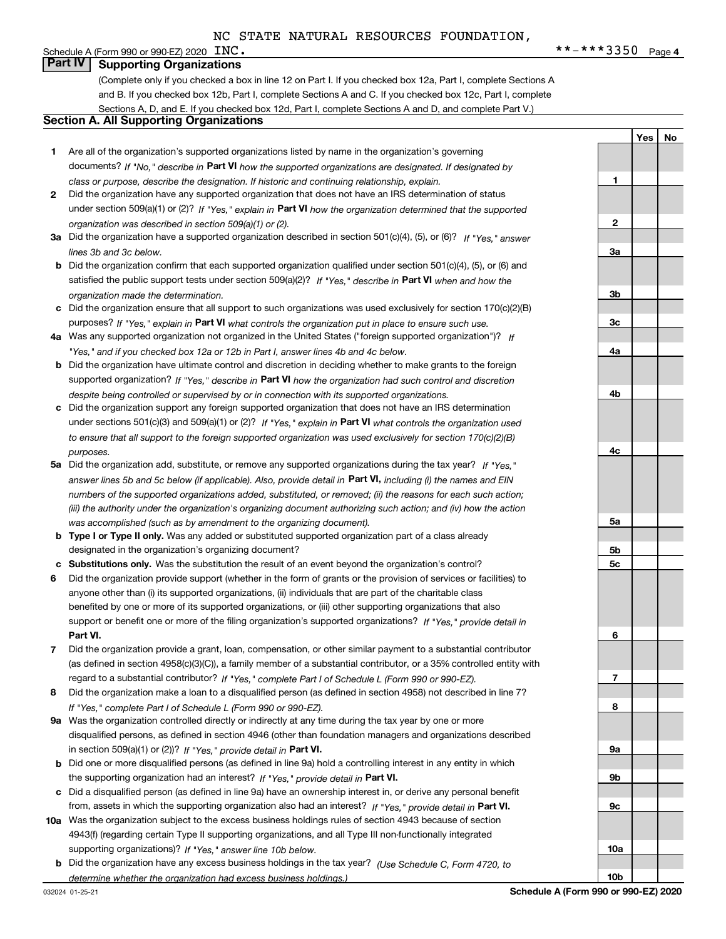**1**

**YesNo**

### Schedule A (Form 990 or 990-EZ) 2020  $\text{INC.}$ **Part IV Supporting Organizations**

(Complete only if you checked a box in line 12 on Part I. If you checked box 12a, Part I, complete Sections A and B. If you checked box 12b, Part I, complete Sections A and C. If you checked box 12c, Part I, complete Sections A, D, and E. If you checked box 12d, Part I, complete Sections A and D, and complete Part V.)

### **Section A. All Supporting Organizations**

- **1** Are all of the organization's supported organizations listed by name in the organization's governing documents? If "No," describe in **Part VI** how the supported organizations are designated. If designated by *class or purpose, describe the designation. If historic and continuing relationship, explain.*
- **2** Did the organization have any supported organization that does not have an IRS determination of status under section 509(a)(1) or (2)? If "Yes," explain in Part VI how the organization determined that the supported *organization was described in section 509(a)(1) or (2).*
- **3a** Did the organization have a supported organization described in section 501(c)(4), (5), or (6)? If "Yes," answer *lines 3b and 3c below.*
- **b** Did the organization confirm that each supported organization qualified under section 501(c)(4), (5), or (6) and satisfied the public support tests under section 509(a)(2)? If "Yes," describe in **Part VI** when and how the *organization made the determination.*
- **c**Did the organization ensure that all support to such organizations was used exclusively for section 170(c)(2)(B) purposes? If "Yes," explain in **Part VI** what controls the organization put in place to ensure such use.
- **4a***If* Was any supported organization not organized in the United States ("foreign supported organization")? *"Yes," and if you checked box 12a or 12b in Part I, answer lines 4b and 4c below.*
- **b** Did the organization have ultimate control and discretion in deciding whether to make grants to the foreign supported organization? If "Yes," describe in **Part VI** how the organization had such control and discretion *despite being controlled or supervised by or in connection with its supported organizations.*
- **c** Did the organization support any foreign supported organization that does not have an IRS determination under sections 501(c)(3) and 509(a)(1) or (2)? If "Yes," explain in **Part VI** what controls the organization used *to ensure that all support to the foreign supported organization was used exclusively for section 170(c)(2)(B) purposes.*
- **5a***If "Yes,"* Did the organization add, substitute, or remove any supported organizations during the tax year? answer lines 5b and 5c below (if applicable). Also, provide detail in **Part VI,** including (i) the names and EIN *numbers of the supported organizations added, substituted, or removed; (ii) the reasons for each such action; (iii) the authority under the organization's organizing document authorizing such action; and (iv) how the action was accomplished (such as by amendment to the organizing document).*
- **b** Type I or Type II only. Was any added or substituted supported organization part of a class already designated in the organization's organizing document?
- **cSubstitutions only.**  Was the substitution the result of an event beyond the organization's control?
- **6** Did the organization provide support (whether in the form of grants or the provision of services or facilities) to **Part VI.** *If "Yes," provide detail in* support or benefit one or more of the filing organization's supported organizations? anyone other than (i) its supported organizations, (ii) individuals that are part of the charitable class benefited by one or more of its supported organizations, or (iii) other supporting organizations that also
- **7**Did the organization provide a grant, loan, compensation, or other similar payment to a substantial contributor *If "Yes," complete Part I of Schedule L (Form 990 or 990-EZ).* regard to a substantial contributor? (as defined in section 4958(c)(3)(C)), a family member of a substantial contributor, or a 35% controlled entity with
- **8** Did the organization make a loan to a disqualified person (as defined in section 4958) not described in line 7? *If "Yes," complete Part I of Schedule L (Form 990 or 990-EZ).*
- **9a** Was the organization controlled directly or indirectly at any time during the tax year by one or more in section 509(a)(1) or (2))? If "Yes," *provide detail in* <code>Part VI.</code> disqualified persons, as defined in section 4946 (other than foundation managers and organizations described
- **b** Did one or more disqualified persons (as defined in line 9a) hold a controlling interest in any entity in which the supporting organization had an interest? If "Yes," provide detail in P**art VI**.
- **c**Did a disqualified person (as defined in line 9a) have an ownership interest in, or derive any personal benefit from, assets in which the supporting organization also had an interest? If "Yes," provide detail in P**art VI.**
- **10a** Was the organization subject to the excess business holdings rules of section 4943 because of section supporting organizations)? If "Yes," answer line 10b below. 4943(f) (regarding certain Type II supporting organizations, and all Type III non-functionally integrated
- **b** Did the organization have any excess business holdings in the tax year? (Use Schedule C, Form 4720, to *determine whether the organization had excess business holdings.)*

**23a3b3c4a4b4c5a5b5c6789a 9b9c**

**10a**

**10b**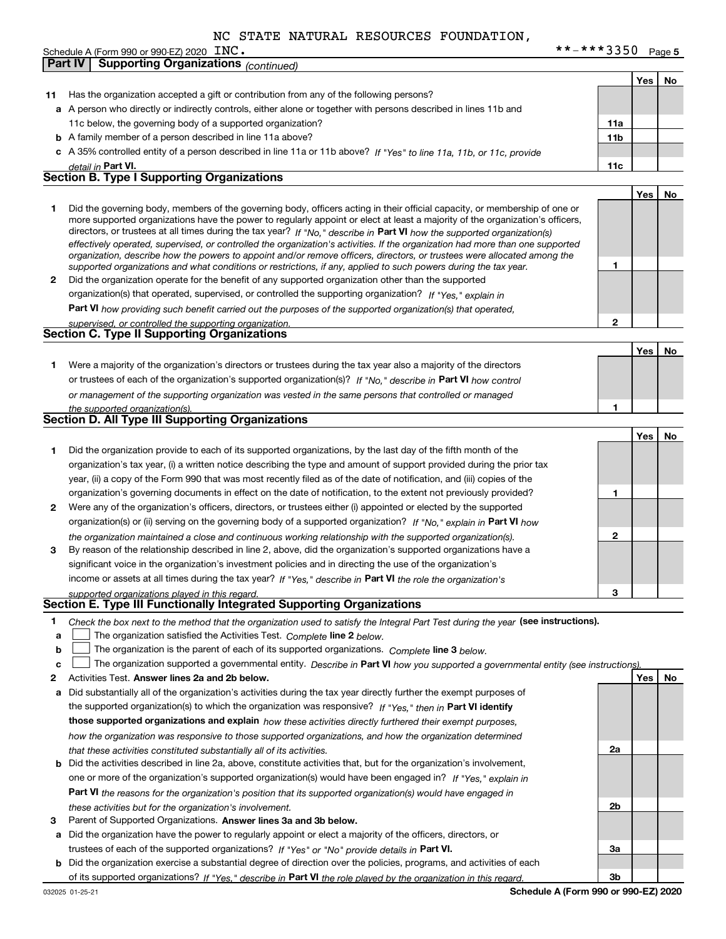|                | INC.<br>Schedule A (Form 990 or 990-EZ) 2020 | **-***3350 | Page 5 |
|----------------|----------------------------------------------|------------|--------|
| <b>Part IV</b> | <b>Supporting Organizations (continued)</b>  |            |        |
|                |                                              |            |        |

|                  |                                                                                                                                                                                                                                                                                                                                                                                                                                                                                                                                                                                                                                                      |     | Yes        | No |
|------------------|------------------------------------------------------------------------------------------------------------------------------------------------------------------------------------------------------------------------------------------------------------------------------------------------------------------------------------------------------------------------------------------------------------------------------------------------------------------------------------------------------------------------------------------------------------------------------------------------------------------------------------------------------|-----|------------|----|
| 11               | Has the organization accepted a gift or contribution from any of the following persons?                                                                                                                                                                                                                                                                                                                                                                                                                                                                                                                                                              |     |            |    |
|                  | a A person who directly or indirectly controls, either alone or together with persons described in lines 11b and                                                                                                                                                                                                                                                                                                                                                                                                                                                                                                                                     |     |            |    |
|                  | 11c below, the governing body of a supported organization?                                                                                                                                                                                                                                                                                                                                                                                                                                                                                                                                                                                           | 11a |            |    |
|                  | <b>b</b> A family member of a person described in line 11a above?                                                                                                                                                                                                                                                                                                                                                                                                                                                                                                                                                                                    | 11b |            |    |
|                  | c A 35% controlled entity of a person described in line 11a or 11b above? If "Yes" to line 11a, 11b, or 11c, provide                                                                                                                                                                                                                                                                                                                                                                                                                                                                                                                                 |     |            |    |
|                  | detail in Part VI.                                                                                                                                                                                                                                                                                                                                                                                                                                                                                                                                                                                                                                   | 11c |            |    |
|                  | <b>Section B. Type I Supporting Organizations</b>                                                                                                                                                                                                                                                                                                                                                                                                                                                                                                                                                                                                    |     |            |    |
|                  |                                                                                                                                                                                                                                                                                                                                                                                                                                                                                                                                                                                                                                                      |     | <b>Yes</b> | No |
| 1                | Did the governing body, members of the governing body, officers acting in their official capacity, or membership of one or<br>more supported organizations have the power to regularly appoint or elect at least a majority of the organization's officers,<br>directors, or trustees at all times during the tax year? If "No," describe in Part VI how the supported organization(s)<br>effectively operated, supervised, or controlled the organization's activities. If the organization had more than one supported<br>organization, describe how the powers to appoint and/or remove officers, directors, or trustees were allocated among the |     |            |    |
|                  | supported organizations and what conditions or restrictions, if any, applied to such powers during the tax year.                                                                                                                                                                                                                                                                                                                                                                                                                                                                                                                                     | 1   |            |    |
| 2                | Did the organization operate for the benefit of any supported organization other than the supported                                                                                                                                                                                                                                                                                                                                                                                                                                                                                                                                                  |     |            |    |
|                  | organization(s) that operated, supervised, or controlled the supporting organization? If "Yes," explain in                                                                                                                                                                                                                                                                                                                                                                                                                                                                                                                                           |     |            |    |
|                  | Part VI how providing such benefit carried out the purposes of the supported organization(s) that operated,                                                                                                                                                                                                                                                                                                                                                                                                                                                                                                                                          |     |            |    |
|                  | supervised, or controlled the supporting organization.                                                                                                                                                                                                                                                                                                                                                                                                                                                                                                                                                                                               | 2   |            |    |
|                  | Section C. Type II Supporting Organizations                                                                                                                                                                                                                                                                                                                                                                                                                                                                                                                                                                                                          |     |            |    |
|                  |                                                                                                                                                                                                                                                                                                                                                                                                                                                                                                                                                                                                                                                      |     | <b>Yes</b> | No |
| 1.               | Were a majority of the organization's directors or trustees during the tax year also a majority of the directors                                                                                                                                                                                                                                                                                                                                                                                                                                                                                                                                     |     |            |    |
|                  | or trustees of each of the organization's supported organization(s)? If "No," describe in Part VI how control                                                                                                                                                                                                                                                                                                                                                                                                                                                                                                                                        |     |            |    |
|                  | or management of the supporting organization was vested in the same persons that controlled or managed                                                                                                                                                                                                                                                                                                                                                                                                                                                                                                                                               |     |            |    |
|                  | the supported organization(s).                                                                                                                                                                                                                                                                                                                                                                                                                                                                                                                                                                                                                       | 1   |            |    |
|                  | Section D. All Type III Supporting Organizations                                                                                                                                                                                                                                                                                                                                                                                                                                                                                                                                                                                                     |     |            |    |
|                  |                                                                                                                                                                                                                                                                                                                                                                                                                                                                                                                                                                                                                                                      |     | <b>Yes</b> | No |
| 1.               | Did the organization provide to each of its supported organizations, by the last day of the fifth month of the                                                                                                                                                                                                                                                                                                                                                                                                                                                                                                                                       |     |            |    |
|                  | organization's tax year, (i) a written notice describing the type and amount of support provided during the prior tax                                                                                                                                                                                                                                                                                                                                                                                                                                                                                                                                |     |            |    |
|                  | year, (ii) a copy of the Form 990 that was most recently filed as of the date of notification, and (iii) copies of the                                                                                                                                                                                                                                                                                                                                                                                                                                                                                                                               |     |            |    |
|                  | organization's governing documents in effect on the date of notification, to the extent not previously provided?                                                                                                                                                                                                                                                                                                                                                                                                                                                                                                                                     | 1   |            |    |
| 2                | Were any of the organization's officers, directors, or trustees either (i) appointed or elected by the supported                                                                                                                                                                                                                                                                                                                                                                                                                                                                                                                                     |     |            |    |
|                  | organization(s) or (ii) serving on the governing body of a supported organization? If "No," explain in Part VI how                                                                                                                                                                                                                                                                                                                                                                                                                                                                                                                                   |     |            |    |
|                  | the organization maintained a close and continuous working relationship with the supported organization(s).                                                                                                                                                                                                                                                                                                                                                                                                                                                                                                                                          | 2   |            |    |
| 3                | By reason of the relationship described in line 2, above, did the organization's supported organizations have a                                                                                                                                                                                                                                                                                                                                                                                                                                                                                                                                      |     |            |    |
|                  | significant voice in the organization's investment policies and in directing the use of the organization's                                                                                                                                                                                                                                                                                                                                                                                                                                                                                                                                           |     |            |    |
|                  | income or assets at all times during the tax year? If "Yes," describe in Part VI the role the organization's                                                                                                                                                                                                                                                                                                                                                                                                                                                                                                                                         |     |            |    |
|                  | supported organizations played in this regard.                                                                                                                                                                                                                                                                                                                                                                                                                                                                                                                                                                                                       | 3   |            |    |
|                  | Section E. Type III Functionally Integrated Supporting Organizations                                                                                                                                                                                                                                                                                                                                                                                                                                                                                                                                                                                 |     |            |    |
| 1<br>a<br>b<br>c | Check the box next to the method that the organization used to satisfy the Integral Part Test during the year (see instructions).<br>The organization satisfied the Activities Test. Complete line 2 below.<br>The organization is the parent of each of its supported organizations. Complete line 3 below.<br>The organization supported a governmental entity. Describe in Part VI how you supported a governmental entity (see instructions)                                                                                                                                                                                                     |     |            |    |
| 2                | Activities Test. Answer lines 2a and 2b below.                                                                                                                                                                                                                                                                                                                                                                                                                                                                                                                                                                                                       |     | Yes        | No |
| а                | Did substantially all of the organization's activities during the tax year directly further the exempt purposes of                                                                                                                                                                                                                                                                                                                                                                                                                                                                                                                                   |     |            |    |
|                  | the supported organization(s) to which the organization was responsive? If "Yes," then in Part VI identify                                                                                                                                                                                                                                                                                                                                                                                                                                                                                                                                           |     |            |    |
|                  | those supported organizations and explain how these activities directly furthered their exempt purposes,                                                                                                                                                                                                                                                                                                                                                                                                                                                                                                                                             |     |            |    |
|                  | how the organization was responsive to those supported organizations, and how the organization determined                                                                                                                                                                                                                                                                                                                                                                                                                                                                                                                                            |     |            |    |
|                  | that these activities constituted substantially all of its activities.                                                                                                                                                                                                                                                                                                                                                                                                                                                                                                                                                                               | 2a  |            |    |
|                  | <b>b</b> Did the activities described in line 2a, above, constitute activities that, but for the organization's involvement,                                                                                                                                                                                                                                                                                                                                                                                                                                                                                                                         |     |            |    |
|                  | one or more of the organization's supported organization(s) would have been engaged in? If "Yes," explain in                                                                                                                                                                                                                                                                                                                                                                                                                                                                                                                                         |     |            |    |
|                  | Part VI the reasons for the organization's position that its supported organization(s) would have engaged in                                                                                                                                                                                                                                                                                                                                                                                                                                                                                                                                         |     |            |    |
|                  | these activities but for the organization's involvement.                                                                                                                                                                                                                                                                                                                                                                                                                                                                                                                                                                                             | 2b  |            |    |
| 3                | Parent of Supported Organizations. Answer lines 3a and 3b below.                                                                                                                                                                                                                                                                                                                                                                                                                                                                                                                                                                                     |     |            |    |
| а                | Did the organization have the power to regularly appoint or elect a majority of the officers, directors, or                                                                                                                                                                                                                                                                                                                                                                                                                                                                                                                                          |     |            |    |
|                  | trustees of each of the supported organizations? If "Yes" or "No" provide details in Part VI.                                                                                                                                                                                                                                                                                                                                                                                                                                                                                                                                                        | За  |            |    |
|                  | <b>b</b> Did the organization exercise a substantial degree of direction over the policies, programs, and activities of each                                                                                                                                                                                                                                                                                                                                                                                                                                                                                                                         |     |            |    |
|                  | of its supported organizations? If "Yes." describe in Part VI the role played by the organization in this regard.                                                                                                                                                                                                                                                                                                                                                                                                                                                                                                                                    | 3b  |            |    |
|                  | Schedule A (Form 990 or 990-EZ) 2020<br>032025 01-25-21                                                                                                                                                                                                                                                                                                                                                                                                                                                                                                                                                                                              |     |            |    |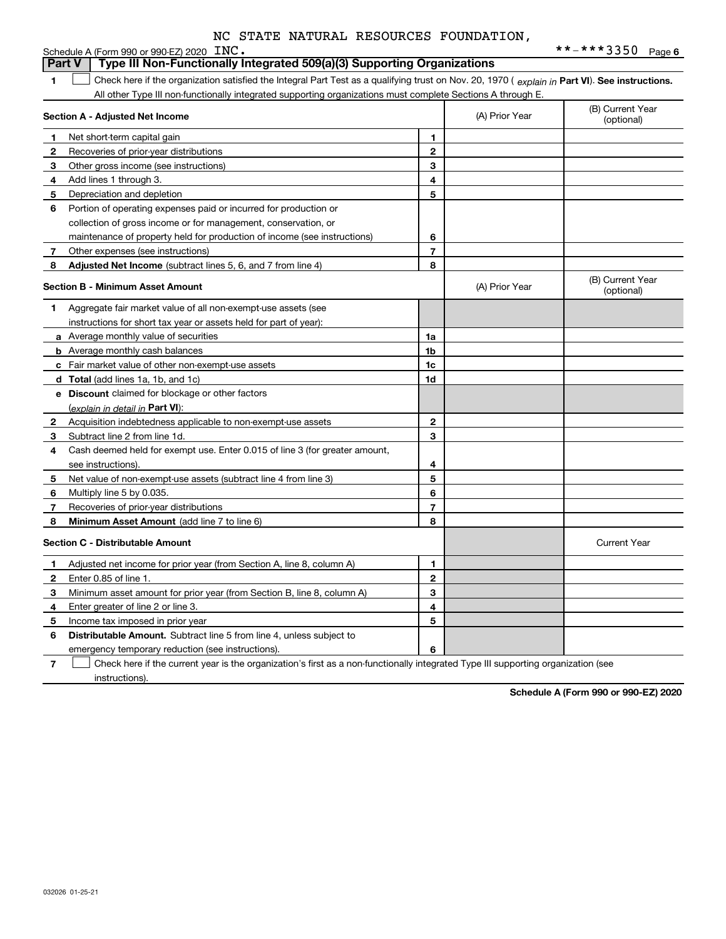|              | Schedule A (Form 990 or 990-EZ) 2020 INC.                                                                                                      |                |                | **-***3350 Page 6              |
|--------------|------------------------------------------------------------------------------------------------------------------------------------------------|----------------|----------------|--------------------------------|
|              | Type III Non-Functionally Integrated 509(a)(3) Supporting Organizations<br><b>Part V</b>                                                       |                |                |                                |
| 1            | Check here if the organization satisfied the Integral Part Test as a qualifying trust on Nov. 20, 1970 (explain in Part VI). See instructions. |                |                |                                |
|              | All other Type III non-functionally integrated supporting organizations must complete Sections A through E.                                    |                |                |                                |
|              | Section A - Adjusted Net Income                                                                                                                |                | (A) Prior Year | (B) Current Year<br>(optional) |
| 1            | Net short-term capital gain                                                                                                                    | 1              |                |                                |
| 2            | Recoveries of prior-year distributions                                                                                                         | $\mathbf{2}$   |                |                                |
| З            | Other gross income (see instructions)                                                                                                          | 3              |                |                                |
| 4            | Add lines 1 through 3.                                                                                                                         | 4              |                |                                |
| 5            | Depreciation and depletion                                                                                                                     | 5              |                |                                |
| 6            | Portion of operating expenses paid or incurred for production or                                                                               |                |                |                                |
|              | collection of gross income or for management, conservation, or                                                                                 |                |                |                                |
|              | maintenance of property held for production of income (see instructions)                                                                       | 6              |                |                                |
| 7            | Other expenses (see instructions)                                                                                                              | $\overline{7}$ |                |                                |
| 8            | <b>Adjusted Net Income</b> (subtract lines 5, 6, and 7 from line 4)                                                                            | 8              |                |                                |
|              | Section B - Minimum Asset Amount                                                                                                               |                | (A) Prior Year | (B) Current Year<br>(optional) |
| 1.           | Aggregate fair market value of all non-exempt-use assets (see                                                                                  |                |                |                                |
|              | instructions for short tax year or assets held for part of year):                                                                              |                |                |                                |
|              | a Average monthly value of securities                                                                                                          | 1a             |                |                                |
|              | <b>b</b> Average monthly cash balances                                                                                                         | 1b             |                |                                |
|              | c Fair market value of other non-exempt-use assets                                                                                             | 1c             |                |                                |
|              | <b>d</b> Total (add lines 1a, 1b, and 1c)                                                                                                      | 1d             |                |                                |
|              | <b>e</b> Discount claimed for blockage or other factors                                                                                        |                |                |                                |
|              | (explain in detail in Part VI):                                                                                                                |                |                |                                |
| 2            | Acquisition indebtedness applicable to non-exempt-use assets                                                                                   | $\mathbf{2}$   |                |                                |
| 3            | Subtract line 2 from line 1d.                                                                                                                  | 3              |                |                                |
| 4            | Cash deemed held for exempt use. Enter 0.015 of line 3 (for greater amount,                                                                    |                |                |                                |
|              | see instructions).                                                                                                                             | 4              |                |                                |
| 5            | Net value of non-exempt-use assets (subtract line 4 from line 3)                                                                               | 5              |                |                                |
| 6            | Multiply line 5 by 0.035.                                                                                                                      | 6              |                |                                |
| 7            | Recoveries of prior-year distributions                                                                                                         | $\overline{7}$ |                |                                |
| 8            | Minimum Asset Amount (add line 7 to line 6)                                                                                                    | 8              |                |                                |
|              | <b>Section C - Distributable Amount</b>                                                                                                        |                |                | <b>Current Year</b>            |
| 1            | Adjusted net income for prior year (from Section A, line 8, column A)                                                                          | 1              |                |                                |
| $\mathbf{2}$ | Enter 0.85 of line 1.                                                                                                                          | $\mathbf{2}$   |                |                                |
| 3            | Minimum asset amount for prior year (from Section B, line 8, column A)                                                                         | 3              |                |                                |
| 4            | Enter greater of line 2 or line 3.                                                                                                             | 4              |                |                                |
| 5            | Income tax imposed in prior year                                                                                                               | 5              |                |                                |
| 6            | <b>Distributable Amount.</b> Subtract line 5 from line 4, unless subject to                                                                    |                |                |                                |
|              | emergency temporary reduction (see instructions).                                                                                              | 6              |                |                                |

**7**Check here if the current year is the organization's first as a non-functionally integrated Type III supporting organization (see instructions).

**Schedule A (Form 990 or 990-EZ) 2020**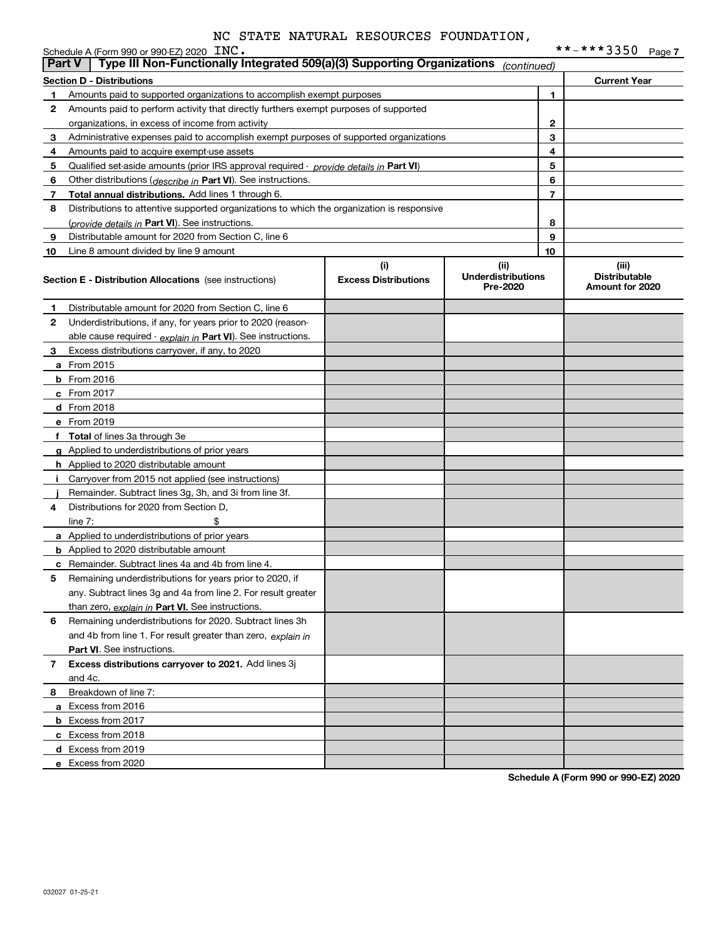|    | Schedule A (Form 990 or 990-EZ) 2020 INC.                                                                             |                                    |                                               |              | **-***3350 Page7                                 |
|----|-----------------------------------------------------------------------------------------------------------------------|------------------------------------|-----------------------------------------------|--------------|--------------------------------------------------|
|    | Type III Non-Functionally Integrated 509(a)(3) Supporting Organizations<br><b>Part V</b>                              |                                    | (continued)                                   |              |                                                  |
|    | <b>Section D - Distributions</b>                                                                                      |                                    |                                               |              | <b>Current Year</b>                              |
| 1  | Amounts paid to supported organizations to accomplish exempt purposes                                                 |                                    |                                               | 1            |                                                  |
| 2  | Amounts paid to perform activity that directly furthers exempt purposes of supported                                  |                                    |                                               |              |                                                  |
|    | organizations, in excess of income from activity                                                                      |                                    |                                               | $\mathbf{2}$ |                                                  |
| 3  | Administrative expenses paid to accomplish exempt purposes of supported organizations                                 |                                    |                                               | 3            |                                                  |
| 4  | Amounts paid to acquire exempt-use assets                                                                             |                                    |                                               | 4            |                                                  |
| 5  | Qualified set-aside amounts (prior IRS approval required - <i>provide details in</i> Part VI)                         |                                    |                                               | 5            |                                                  |
| 6  | Other distributions (describe in Part VI). See instructions.                                                          |                                    |                                               | 6            |                                                  |
| 7  | Total annual distributions. Add lines 1 through 6.                                                                    |                                    |                                               | 7            |                                                  |
| 8  | Distributions to attentive supported organizations to which the organization is responsive                            |                                    |                                               |              |                                                  |
|    | (provide details in Part VI). See instructions.                                                                       |                                    |                                               | 8            |                                                  |
| 9  | Distributable amount for 2020 from Section C, line 6                                                                  |                                    |                                               | 9            |                                                  |
| 10 | Line 8 amount divided by line 9 amount                                                                                |                                    |                                               | 10           |                                                  |
|    | <b>Section E - Distribution Allocations</b> (see instructions)                                                        | (i)<br><b>Excess Distributions</b> | (ii)<br><b>Underdistributions</b><br>Pre-2020 |              | (iii)<br><b>Distributable</b><br>Amount for 2020 |
| 1  | Distributable amount for 2020 from Section C, line 6                                                                  |                                    |                                               |              |                                                  |
| 2  | Underdistributions, if any, for years prior to 2020 (reason-                                                          |                                    |                                               |              |                                                  |
|    | able cause required - explain in Part VI). See instructions.                                                          |                                    |                                               |              |                                                  |
| 3  | Excess distributions carryover, if any, to 2020                                                                       |                                    |                                               |              |                                                  |
|    | a From 2015                                                                                                           |                                    |                                               |              |                                                  |
|    | <b>b</b> From 2016                                                                                                    |                                    |                                               |              |                                                  |
|    | c From 2017                                                                                                           |                                    |                                               |              |                                                  |
|    | d From 2018                                                                                                           |                                    |                                               |              |                                                  |
|    | e From 2019                                                                                                           |                                    |                                               |              |                                                  |
|    | f Total of lines 3a through 3e                                                                                        |                                    |                                               |              |                                                  |
|    | g Applied to underdistributions of prior years                                                                        |                                    |                                               |              |                                                  |
|    | <b>h</b> Applied to 2020 distributable amount                                                                         |                                    |                                               |              |                                                  |
| Ť. | Carryover from 2015 not applied (see instructions)                                                                    |                                    |                                               |              |                                                  |
|    | Remainder. Subtract lines 3g, 3h, and 3i from line 3f.                                                                |                                    |                                               |              |                                                  |
| 4  | Distributions for 2020 from Section D,                                                                                |                                    |                                               |              |                                                  |
|    | line $7:$                                                                                                             |                                    |                                               |              |                                                  |
|    | a Applied to underdistributions of prior years                                                                        |                                    |                                               |              |                                                  |
|    | <b>b</b> Applied to 2020 distributable amount                                                                         |                                    |                                               |              |                                                  |
|    |                                                                                                                       |                                    |                                               |              |                                                  |
|    | <b>c</b> Remainder. Subtract lines 4a and 4b from line 4.<br>Remaining underdistributions for years prior to 2020, if |                                    |                                               |              |                                                  |
|    |                                                                                                                       |                                    |                                               |              |                                                  |
|    | any. Subtract lines 3g and 4a from line 2. For result greater                                                         |                                    |                                               |              |                                                  |
|    | than zero, explain in Part VI. See instructions.                                                                      |                                    |                                               |              |                                                  |
| 6  | Remaining underdistributions for 2020. Subtract lines 3h                                                              |                                    |                                               |              |                                                  |
|    | and 4b from line 1. For result greater than zero, explain in                                                          |                                    |                                               |              |                                                  |
|    | <b>Part VI.</b> See instructions.                                                                                     |                                    |                                               |              |                                                  |
| 7  | Excess distributions carryover to 2021. Add lines 3j                                                                  |                                    |                                               |              |                                                  |
|    | and 4c.                                                                                                               |                                    |                                               |              |                                                  |
| 8  | Breakdown of line 7:                                                                                                  |                                    |                                               |              |                                                  |
|    | a Excess from 2016                                                                                                    |                                    |                                               |              |                                                  |
|    | <b>b</b> Excess from 2017                                                                                             |                                    |                                               |              |                                                  |
|    | c Excess from 2018                                                                                                    |                                    |                                               |              |                                                  |
|    | d Excess from 2019                                                                                                    |                                    |                                               |              |                                                  |
|    | e Excess from 2020                                                                                                    |                                    |                                               |              |                                                  |

**Schedule A (Form 990 or 990-EZ) 2020**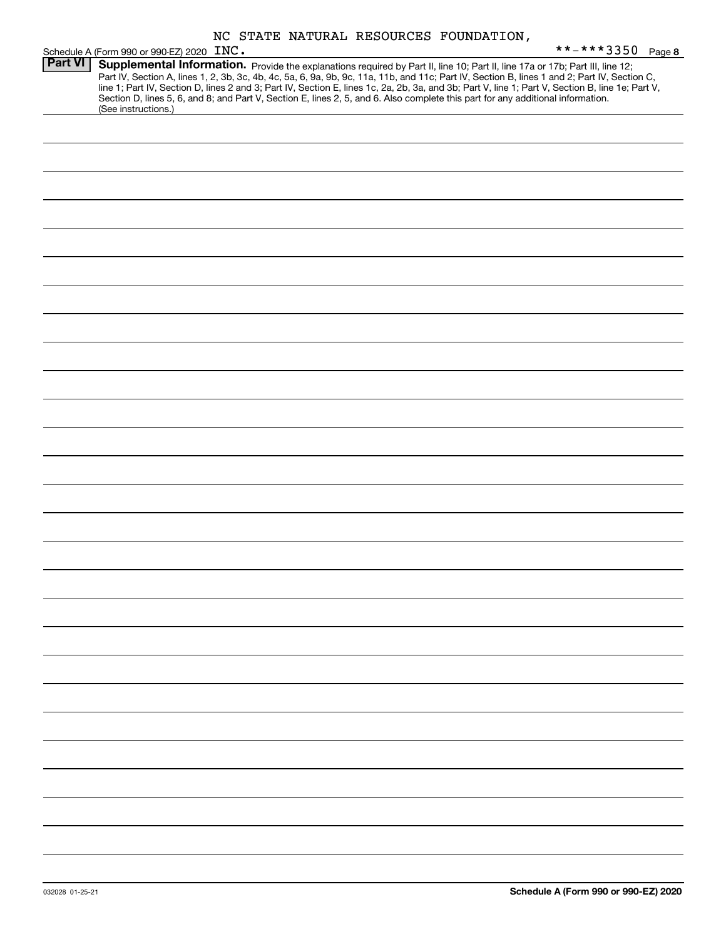|  |  |  |  | NC STATE NATURAL RESOURCES FOUNDATION, |
|--|--|--|--|----------------------------------------|
|--|--|--|--|----------------------------------------|

|                | Schedule A (Form 990 or 990-EZ) 2020 INC. |                                                                                                                                 | **-***3350 Page 8                                                                                                                                                                                                                                                                                                                                                                                                                 |  |
|----------------|-------------------------------------------|---------------------------------------------------------------------------------------------------------------------------------|-----------------------------------------------------------------------------------------------------------------------------------------------------------------------------------------------------------------------------------------------------------------------------------------------------------------------------------------------------------------------------------------------------------------------------------|--|
| <b>Part VI</b> | (See instructions.)                       | Section D, lines 5, 6, and 8; and Part V, Section E, lines 2, 5, and 6. Also complete this part for any additional information. | Supplemental Information. Provide the explanations required by Part II, line 10; Part II, line 17a or 17b; Part III, line 12;<br>Part IV, Section A, lines 1, 2, 3b, 3c, 4b, 4c, 5a, 6, 9a, 9b, 9c, 11a, 11b, and 11c; Part IV, Section B, lines 1 and 2; Part IV, Section C,<br>line 1; Part IV, Section D, lines 2 and 3; Part IV, Section E, lines 1c, 2a, 2b, 3a, and 3b; Part V, line 1; Part V, Section B, line 1e; Part V, |  |
|                |                                           |                                                                                                                                 |                                                                                                                                                                                                                                                                                                                                                                                                                                   |  |
|                |                                           |                                                                                                                                 |                                                                                                                                                                                                                                                                                                                                                                                                                                   |  |
|                |                                           |                                                                                                                                 |                                                                                                                                                                                                                                                                                                                                                                                                                                   |  |
|                |                                           |                                                                                                                                 |                                                                                                                                                                                                                                                                                                                                                                                                                                   |  |
|                |                                           |                                                                                                                                 |                                                                                                                                                                                                                                                                                                                                                                                                                                   |  |
|                |                                           |                                                                                                                                 |                                                                                                                                                                                                                                                                                                                                                                                                                                   |  |
|                |                                           |                                                                                                                                 |                                                                                                                                                                                                                                                                                                                                                                                                                                   |  |
|                |                                           |                                                                                                                                 |                                                                                                                                                                                                                                                                                                                                                                                                                                   |  |
|                |                                           |                                                                                                                                 |                                                                                                                                                                                                                                                                                                                                                                                                                                   |  |
|                |                                           |                                                                                                                                 |                                                                                                                                                                                                                                                                                                                                                                                                                                   |  |
|                |                                           |                                                                                                                                 |                                                                                                                                                                                                                                                                                                                                                                                                                                   |  |
|                |                                           |                                                                                                                                 |                                                                                                                                                                                                                                                                                                                                                                                                                                   |  |
|                |                                           |                                                                                                                                 |                                                                                                                                                                                                                                                                                                                                                                                                                                   |  |
|                |                                           |                                                                                                                                 |                                                                                                                                                                                                                                                                                                                                                                                                                                   |  |
|                |                                           |                                                                                                                                 |                                                                                                                                                                                                                                                                                                                                                                                                                                   |  |
|                |                                           |                                                                                                                                 |                                                                                                                                                                                                                                                                                                                                                                                                                                   |  |
|                |                                           |                                                                                                                                 |                                                                                                                                                                                                                                                                                                                                                                                                                                   |  |
|                |                                           |                                                                                                                                 |                                                                                                                                                                                                                                                                                                                                                                                                                                   |  |
|                |                                           |                                                                                                                                 |                                                                                                                                                                                                                                                                                                                                                                                                                                   |  |
|                |                                           |                                                                                                                                 |                                                                                                                                                                                                                                                                                                                                                                                                                                   |  |
|                |                                           |                                                                                                                                 |                                                                                                                                                                                                                                                                                                                                                                                                                                   |  |
|                |                                           |                                                                                                                                 |                                                                                                                                                                                                                                                                                                                                                                                                                                   |  |
|                |                                           |                                                                                                                                 |                                                                                                                                                                                                                                                                                                                                                                                                                                   |  |
|                |                                           |                                                                                                                                 |                                                                                                                                                                                                                                                                                                                                                                                                                                   |  |
|                |                                           |                                                                                                                                 |                                                                                                                                                                                                                                                                                                                                                                                                                                   |  |
|                |                                           |                                                                                                                                 |                                                                                                                                                                                                                                                                                                                                                                                                                                   |  |
|                |                                           |                                                                                                                                 |                                                                                                                                                                                                                                                                                                                                                                                                                                   |  |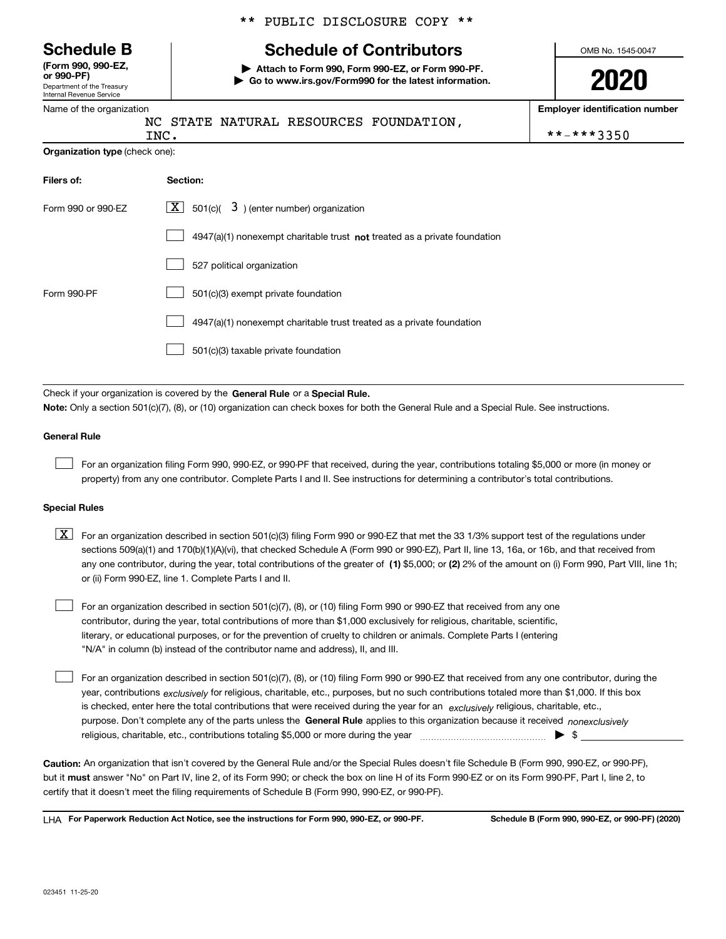Department of the Treasury Internal Revenue Service **(Form 990, 990-EZ, or 990-PF)**

|  | Name of the organization |  |
|--|--------------------------|--|

| ** PUBLIC DISCLOSURE COPY ** |  |
|------------------------------|--|
|------------------------------|--|

# **Schedule B Schedule of Contributors**

**| Attach to Form 990, Form 990-EZ, or Form 990-PF. | Go to www.irs.gov/Form990 for the latest information.** OMB No. 1545-0047

**2020**

**Employer identification number**

| Name of the organization       |                                                                                                                                                                                                                                                                                  |            |  |  |  |
|--------------------------------|----------------------------------------------------------------------------------------------------------------------------------------------------------------------------------------------------------------------------------------------------------------------------------|------------|--|--|--|
|                                | NC STATE NATURAL RESOURCES FOUNDATION,<br>INC.                                                                                                                                                                                                                                   |            |  |  |  |
| Organization type (check one): |                                                                                                                                                                                                                                                                                  | **-***3350 |  |  |  |
| Filers of:                     | Section:                                                                                                                                                                                                                                                                         |            |  |  |  |
| Form 990 or 990-EZ             | $\lfloor x \rfloor$ 501(c)( 3) (enter number) organization                                                                                                                                                                                                                       |            |  |  |  |
|                                | $4947(a)(1)$ nonexempt charitable trust not treated as a private foundation                                                                                                                                                                                                      |            |  |  |  |
|                                | 527 political organization                                                                                                                                                                                                                                                       |            |  |  |  |
| Form 990-PF                    | 501(c)(3) exempt private foundation                                                                                                                                                                                                                                              |            |  |  |  |
|                                | 4947(a)(1) nonexempt charitable trust treated as a private foundation                                                                                                                                                                                                            |            |  |  |  |
|                                | 501(c)(3) taxable private foundation                                                                                                                                                                                                                                             |            |  |  |  |
|                                |                                                                                                                                                                                                                                                                                  |            |  |  |  |
|                                | Check if your organization is covered by the General Rule or a Special Rule.                                                                                                                                                                                                     |            |  |  |  |
|                                | Note: Only a section 501(c)(7), (8), or (10) organization can check boxes for both the General Rule and a Special Rule. See instructions.                                                                                                                                        |            |  |  |  |
| <b>General Rule</b>            |                                                                                                                                                                                                                                                                                  |            |  |  |  |
|                                | For an organization filing Form 990, 990-EZ, or 990-PF that received, during the year, contributions totaling \$5,000 or more (in money or<br>property) from any one contributor. Complete Parts I and II. See instructions for determining a contributor's total contributions. |            |  |  |  |

**Special Rules**

| $\boxed{\textbf{X}}$ For an organization described in section 501(c)(3) filing Form 990 or 990-EZ that met the 33 1/3% support test of the regulations under |
|--------------------------------------------------------------------------------------------------------------------------------------------------------------|
| sections 509(a)(1) and 170(b)(1)(A)(vi), that checked Schedule A (Form 990 or 990-EZ). Part II, line 13, 16a, or 16b, and that received from                 |
| any one contributor, during the year, total contributions of the greater of (1) \$5,000; or (2) 2% of the amount on (i) Form 990, Part VIII, line 1h;        |
| or (ii) Form 990-EZ, line 1. Complete Parts I and II.                                                                                                        |

For an organization described in section 501(c)(7), (8), or (10) filing Form 990 or 990-EZ that received from any one contributor, during the year, total contributions of more than \$1,000 exclusively for religious, charitable, scientific, literary, or educational purposes, or for the prevention of cruelty to children or animals. Complete Parts I (entering "N/A" in column (b) instead of the contributor name and address), II, and III.  $\mathcal{L}^{\text{max}}$ 

purpose. Don't complete any of the parts unless the **General Rule** applies to this organization because it received *nonexclusively* year, contributions <sub>exclusively</sub> for religious, charitable, etc., purposes, but no such contributions totaled more than \$1,000. If this box is checked, enter here the total contributions that were received during the year for an  $\;$ exclusively religious, charitable, etc., For an organization described in section 501(c)(7), (8), or (10) filing Form 990 or 990-EZ that received from any one contributor, during the religious, charitable, etc., contributions totaling \$5,000 or more during the year  $\Box$ — $\Box$  =  $\Box$  $\mathcal{L}^{\text{max}}$ 

**Caution:**  An organization that isn't covered by the General Rule and/or the Special Rules doesn't file Schedule B (Form 990, 990-EZ, or 990-PF),  **must** but it answer "No" on Part IV, line 2, of its Form 990; or check the box on line H of its Form 990-EZ or on its Form 990-PF, Part I, line 2, to certify that it doesn't meet the filing requirements of Schedule B (Form 990, 990-EZ, or 990-PF).

**For Paperwork Reduction Act Notice, see the instructions for Form 990, 990-EZ, or 990-PF. Schedule B (Form 990, 990-EZ, or 990-PF) (2020)** LHA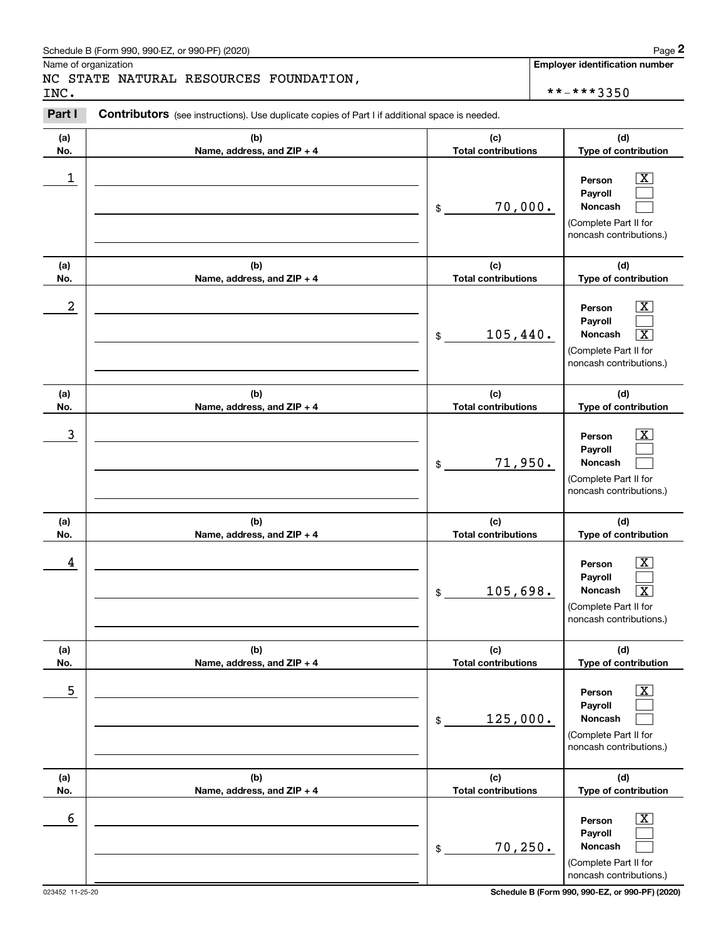#### Schedule B (Form 990, 990-EZ, or 990-PF) (2020) **Page 2** Page 2 and the state of the state of the state of the state of the state of the state of the state of the state of the state of the state of the state of the state o

Name of organization

### NC STATE NATURAL RESOURCES FOUNDATION, INC. \*\*-\*\*\*3350

**Employer identification number**

#### **(a)No.(b)Name, address, and ZIP + 4 (c)Total contributions (d)Type of contribution PersonPayrollNoncash (a)No.(b)Name, address, and ZIP + 4 (c)Total contributions (d)Type of contribution PersonPayrollNoncash (a)No.(b)Name, address, and ZIP + 4 (c)Total contributions (d)Type of contribution PersonPayrollNoncash (a) No.(b) Name, address, and ZIP + 4 (c) Total contributions (d) Type of contribution PersonPayrollNoncash (a) No.(b) Name, address, and ZIP + 4 (c) Total contributions (d) Type of contribution PersonPayrollNoncash (a) No.(b)Name, address, and ZIP + 4 (c) Total contributions (d) Type of contribution PersonPayrollNoncash Contributors** (see instructions). Use duplicate copies of Part I if additional space is needed. \$(Complete Part II for noncash contributions.) \$(Complete Part II for noncash contributions.) \$(Complete Part II for noncash contributions.) \$(Complete Part II for noncash contributions.) \$(Complete Part II for noncash contributions.) \$(Complete Part II for noncash contributions.) Chedule B (Form 990, 990-EZ, or 990-PF) (2020)<br>Iame of organization<br>**IC STATE NATURAL RESOURCES FOUNDATION**,<br>NC.<br>**Part I** Contributors (see instructions). Use duplicate copies of Part I if additional space is needed.  $|X|$  $\mathcal{L}^{\text{max}}$  $\mathcal{L}^{\text{max}}$  $\boxed{\text{X}}$  $\mathcal{L}^{\text{max}}$  $\overline{\mathbf{X}}$  $|X|$  $\mathcal{L}^{\text{max}}$  $\mathcal{L}^{\text{max}}$  $|X|$  $\mathcal{L}^{\text{max}}$  $\sqrt{X}$  $|X|$  $\mathcal{L}^{\text{max}}$  $\mathcal{L}^{\text{max}}$  $\boxed{\text{X}}$  $\mathcal{L}^{\text{max}}$  $\mathcal{L}^{\text{max}}$  $\begin{array}{c|c|c|c|c|c} 1 & \hspace{1.5cm} & \hspace{1.5cm} & \hspace{1.5cm} & \hspace{1.5cm} & \hspace{1.5cm} & \hspace{1.5cm} & \hspace{1.5cm} & \hspace{1.5cm} & \hspace{1.5cm} & \hspace{1.5cm} & \hspace{1.5cm} & \hspace{1.5cm} & \hspace{1.5cm} & \hspace{1.5cm} & \hspace{1.5cm} & \hspace{1.5cm} & \hspace{1.5cm} & \hspace{1.5cm} & \hspace{1.5cm} & \hspace{1.5cm} &$ 70,000.  $2$  | Person  $\overline{\text{X}}$  $105,440.$  $\overline{3}$  | Person  $\overline{X}$ 71,950.  $4$  | Person  $\overline{\text{X}}$  $105,698.$  $\sim$  5 | Person X 125,000.  $\sim$  6 | Person X 70,250.

023452 11-25-20 **Schedule B (Form 990, 990-EZ, or 990-PF) (2020)**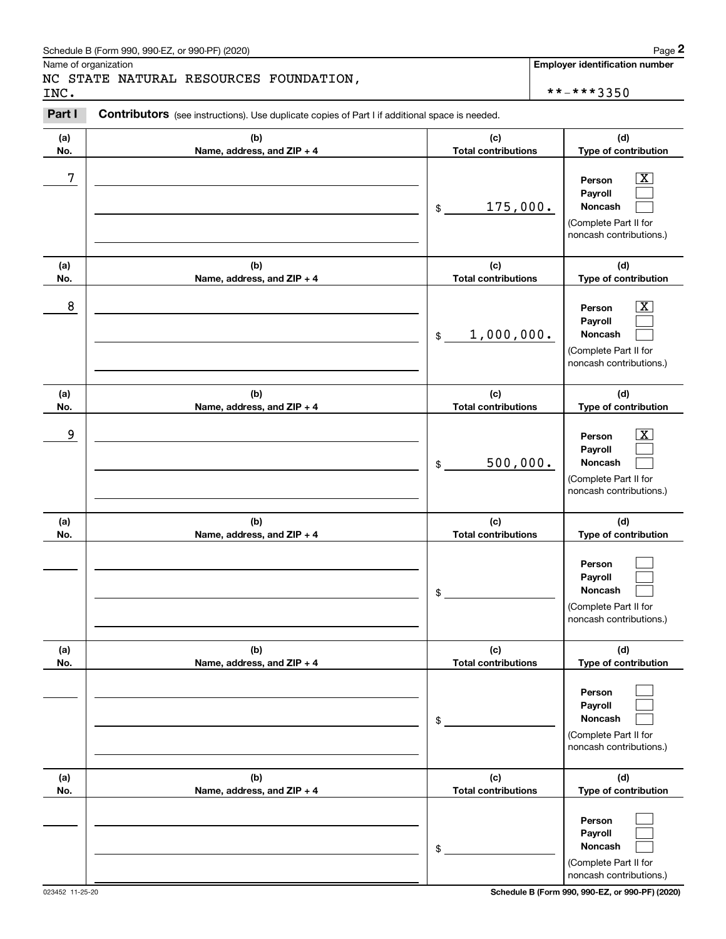# Schedule B (Form 990, 990-EZ, or 990-PF) (2020) Page 2

# NC STATE NATURAL RESOURCES FOUNDATION, INC. \*\*-\*\*\*3350

|            | Schedule B (Form 990, 990-EZ, or 990-PF) (2020)                                                |                                                | Page 2                                                                                                                            |
|------------|------------------------------------------------------------------------------------------------|------------------------------------------------|-----------------------------------------------------------------------------------------------------------------------------------|
| INC.       | Name of organization<br>NC STATE NATURAL RESOURCES FOUNDATION,                                 |                                                | <b>Employer identification number</b><br>**-***3350                                                                               |
| Part I     | Contributors (see instructions). Use duplicate copies of Part I if additional space is needed. |                                                |                                                                                                                                   |
| (a)<br>No. | (b)<br>Name, address, and ZIP + 4                                                              | (c)<br><b>Total contributions</b>              | (d)<br>Type of contribution                                                                                                       |
| 7          |                                                                                                | 175,000.<br>\$                                 | $\overline{\mathbf{X}}$<br>Person<br>Payroll<br>Noncash<br>(Complete Part II for<br>noncash contributions.)                       |
| (a)        | (b)                                                                                            | (c)                                            | (d)                                                                                                                               |
| No.<br>8   | Name, address, and ZIP + 4                                                                     | <b>Total contributions</b><br>1,000,000.<br>\$ | Type of contribution<br>$\overline{\text{X}}$<br>Person<br>Payroll<br>Noncash<br>(Complete Part II for<br>noncash contributions.) |
| (a)<br>No. | (b)<br>Name, address, and ZIP + 4                                                              | (c)<br><b>Total contributions</b>              | (d)<br>Type of contribution                                                                                                       |
| 9          |                                                                                                | 500,000.<br>\$                                 | $\overline{\text{X}}$<br>Person<br>Payroll<br>Noncash<br>(Complete Part II for<br>noncash contributions.)                         |
| (a)<br>No. | (b)<br>Name, address, and ZIP + 4                                                              | (c)<br><b>Total contributions</b>              | (d)<br>Type of contribution                                                                                                       |
|            |                                                                                                | \$                                             | Person<br>Payroll<br>Noncash<br>(Complete Part II for<br>noncash contributions.)                                                  |
| (a)<br>No. | (b)<br>Name, address, and ZIP + 4                                                              | (c)<br><b>Total contributions</b>              | (d)<br>Type of contribution                                                                                                       |
|            |                                                                                                | \$                                             | Person<br>Payroll<br>Noncash<br>(Complete Part II for<br>noncash contributions.)                                                  |
| (a)<br>No. | (b)<br>Name, address, and ZIP + 4                                                              | (c)<br><b>Total contributions</b>              | (d)<br>Type of contribution                                                                                                       |
|            |                                                                                                | \$                                             | Person<br>Payroll<br>Noncash<br>(Complete Part II for<br>noncash contributions.)                                                  |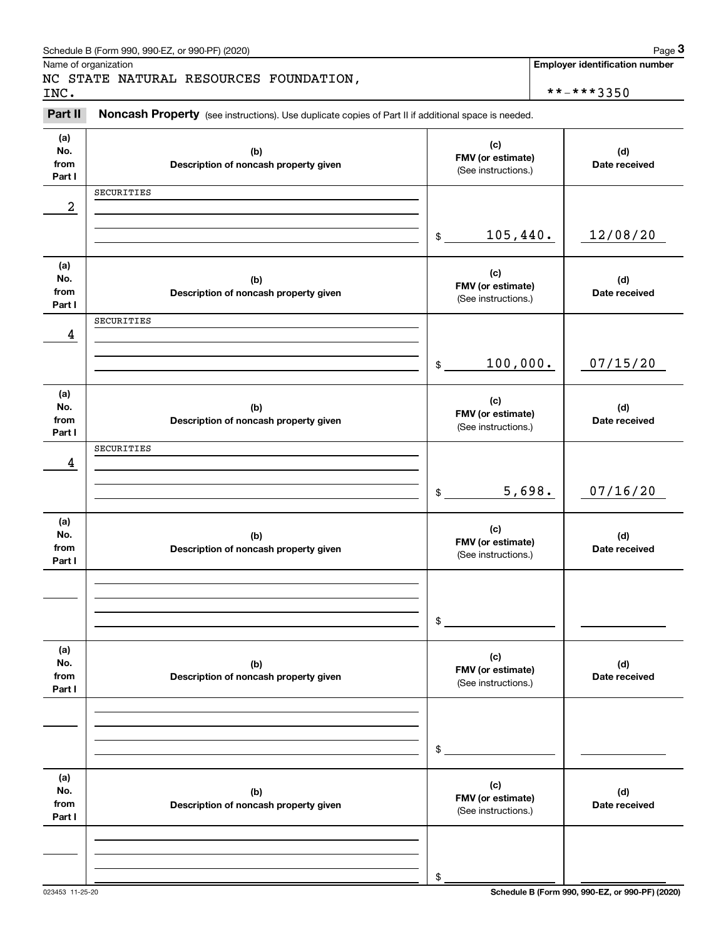|                              | Schedule B (Form 990, 990-EZ, or 990-PF) (2020)                                                     |                                                 |        | Page 3                                |
|------------------------------|-----------------------------------------------------------------------------------------------------|-------------------------------------------------|--------|---------------------------------------|
|                              | Name of organization<br>NC STATE NATURAL RESOURCES FOUNDATION,                                      |                                                 |        | <b>Employer identification number</b> |
| INC.                         |                                                                                                     |                                                 |        | **-***3350                            |
| Part II                      | Noncash Property (see instructions). Use duplicate copies of Part II if additional space is needed. |                                                 |        |                                       |
| (a)<br>No.<br>from<br>Part I | (b)<br>Description of noncash property given                                                        | (c)<br>FMV (or estimate)<br>(See instructions.) |        | (d)<br>Date received                  |
|                              | SECURITIES                                                                                          |                                                 |        |                                       |
| $\boldsymbol{2}$             |                                                                                                     |                                                 |        |                                       |
|                              |                                                                                                     | 105,440.<br>\$                                  |        | 12/08/20                              |
| (a)<br>No.<br>from<br>Part I | (b)<br>Description of noncash property given                                                        | (c)<br>FMV (or estimate)<br>(See instructions.) |        | (d)<br>Date received                  |
|                              | SECURITIES                                                                                          |                                                 |        |                                       |
| 4                            |                                                                                                     | 100,000.<br>\$                                  |        | 07/15/20                              |
| (a)<br>No.<br>from<br>Part I | (b)<br>Description of noncash property given                                                        | (c)<br>FMV (or estimate)<br>(See instructions.) |        | (d)<br>Date received                  |
|                              | SECURITIES                                                                                          |                                                 |        |                                       |
| 4                            |                                                                                                     | $\$\$                                           | 5,698. | 07/16/20                              |
| (a)<br>No.<br>from<br>Part I | (b)<br>Description of noncash property given                                                        | (c)<br>FMV (or estimate)<br>(See instructions.) |        | (d)<br>Date received                  |
|                              |                                                                                                     | \$                                              |        |                                       |
|                              |                                                                                                     |                                                 |        |                                       |
| (a)<br>No.<br>from<br>Part I | (b)<br>Description of noncash property given                                                        | (c)<br>FMV (or estimate)<br>(See instructions.) |        | (d)<br>Date received                  |
|                              |                                                                                                     |                                                 |        |                                       |
|                              |                                                                                                     | $\mathfrak{S}$                                  |        |                                       |
| (a)<br>No.<br>from<br>Part I | (b)<br>Description of noncash property given                                                        | (c)<br>FMV (or estimate)<br>(See instructions.) |        | (d)<br>Date received                  |
|                              |                                                                                                     |                                                 |        |                                       |
|                              |                                                                                                     | \$                                              |        |                                       |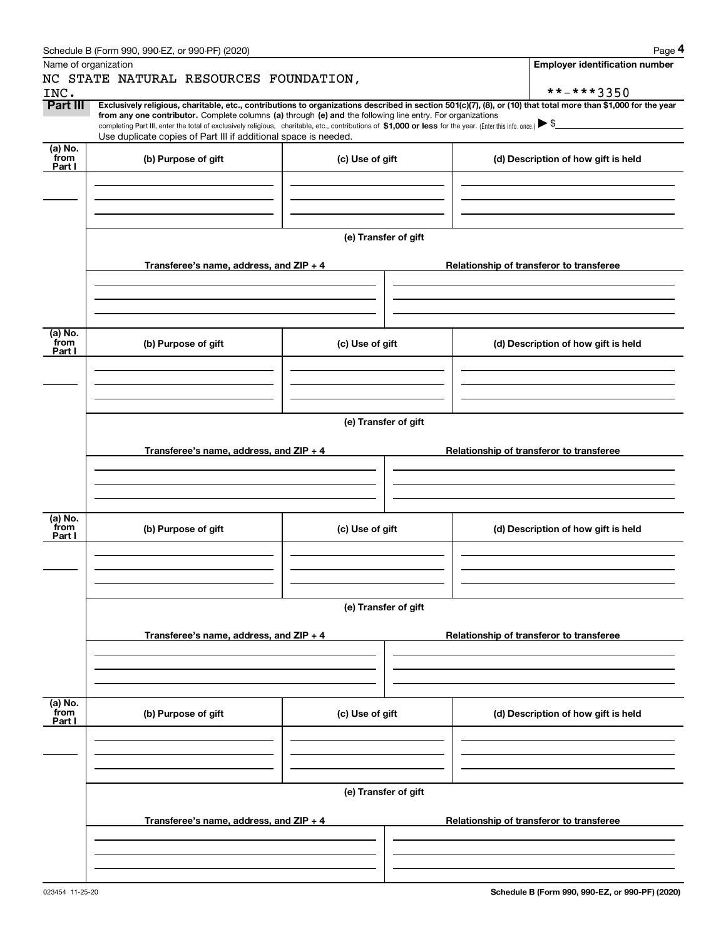|                      | Schedule B (Form 990, 990-EZ, or 990-PF) (2020)                                                                                                                                                                                 |                      | Page 4                                                                                                                                                                       |
|----------------------|---------------------------------------------------------------------------------------------------------------------------------------------------------------------------------------------------------------------------------|----------------------|------------------------------------------------------------------------------------------------------------------------------------------------------------------------------|
| Name of organization |                                                                                                                                                                                                                                 |                      | <b>Employer identification number</b>                                                                                                                                        |
|                      | NC STATE NATURAL RESOURCES FOUNDATION,                                                                                                                                                                                          |                      |                                                                                                                                                                              |
| INC.<br>Part III     |                                                                                                                                                                                                                                 |                      | **-***3350<br>Exclusively religious, charitable, etc., contributions to organizations described in section 501(c)(7), (8), or (10) that total more than \$1,000 for the year |
|                      | from any one contributor. Complete columns (a) through (e) and the following line entry. For organizations                                                                                                                      |                      |                                                                                                                                                                              |
|                      | completing Part III, enter the total of exclusively religious, charitable, etc., contributions of \$1,000 or less for the year. (Enter this info. once.) \\$<br>Use duplicate copies of Part III if additional space is needed. |                      |                                                                                                                                                                              |
| (a) No.<br>from      |                                                                                                                                                                                                                                 |                      |                                                                                                                                                                              |
| Part I               | (b) Purpose of gift                                                                                                                                                                                                             | (c) Use of gift      | (d) Description of how gift is held                                                                                                                                          |
|                      |                                                                                                                                                                                                                                 |                      |                                                                                                                                                                              |
|                      |                                                                                                                                                                                                                                 |                      |                                                                                                                                                                              |
|                      |                                                                                                                                                                                                                                 |                      |                                                                                                                                                                              |
|                      |                                                                                                                                                                                                                                 | (e) Transfer of gift |                                                                                                                                                                              |
|                      |                                                                                                                                                                                                                                 |                      |                                                                                                                                                                              |
|                      | Transferee's name, address, and ZIP + 4                                                                                                                                                                                         |                      | Relationship of transferor to transferee                                                                                                                                     |
|                      |                                                                                                                                                                                                                                 |                      |                                                                                                                                                                              |
|                      |                                                                                                                                                                                                                                 |                      |                                                                                                                                                                              |
|                      |                                                                                                                                                                                                                                 |                      |                                                                                                                                                                              |
| (a) No.<br>from      | (b) Purpose of gift                                                                                                                                                                                                             | (c) Use of gift      | (d) Description of how gift is held                                                                                                                                          |
| Part I               |                                                                                                                                                                                                                                 |                      |                                                                                                                                                                              |
|                      |                                                                                                                                                                                                                                 |                      |                                                                                                                                                                              |
|                      |                                                                                                                                                                                                                                 |                      |                                                                                                                                                                              |
|                      |                                                                                                                                                                                                                                 |                      |                                                                                                                                                                              |
|                      |                                                                                                                                                                                                                                 | (e) Transfer of gift |                                                                                                                                                                              |
|                      |                                                                                                                                                                                                                                 |                      |                                                                                                                                                                              |
|                      | Transferee's name, address, and ZIP + 4                                                                                                                                                                                         |                      | Relationship of transferor to transferee                                                                                                                                     |
|                      |                                                                                                                                                                                                                                 |                      |                                                                                                                                                                              |
|                      |                                                                                                                                                                                                                                 |                      |                                                                                                                                                                              |
|                      |                                                                                                                                                                                                                                 |                      |                                                                                                                                                                              |
| (a) No.<br>from      | (b) Purpose of gift                                                                                                                                                                                                             | (c) Use of gift      | (d) Description of how gift is held                                                                                                                                          |
| Part I               |                                                                                                                                                                                                                                 |                      |                                                                                                                                                                              |
|                      |                                                                                                                                                                                                                                 |                      |                                                                                                                                                                              |
|                      |                                                                                                                                                                                                                                 |                      |                                                                                                                                                                              |
|                      |                                                                                                                                                                                                                                 |                      |                                                                                                                                                                              |
|                      |                                                                                                                                                                                                                                 | (e) Transfer of gift |                                                                                                                                                                              |
|                      | Transferee's name, address, and ZIP + 4                                                                                                                                                                                         |                      | Relationship of transferor to transferee                                                                                                                                     |
|                      |                                                                                                                                                                                                                                 |                      |                                                                                                                                                                              |
|                      |                                                                                                                                                                                                                                 |                      |                                                                                                                                                                              |
|                      |                                                                                                                                                                                                                                 |                      |                                                                                                                                                                              |
| (a) No.<br>from      |                                                                                                                                                                                                                                 |                      |                                                                                                                                                                              |
| Part I               | (b) Purpose of gift                                                                                                                                                                                                             | (c) Use of gift      | (d) Description of how gift is held                                                                                                                                          |
|                      |                                                                                                                                                                                                                                 |                      |                                                                                                                                                                              |
|                      |                                                                                                                                                                                                                                 |                      |                                                                                                                                                                              |
|                      |                                                                                                                                                                                                                                 |                      |                                                                                                                                                                              |
|                      |                                                                                                                                                                                                                                 | (e) Transfer of gift |                                                                                                                                                                              |
|                      |                                                                                                                                                                                                                                 |                      |                                                                                                                                                                              |
|                      | Transferee's name, address, and ZIP + 4                                                                                                                                                                                         |                      | Relationship of transferor to transferee                                                                                                                                     |
|                      |                                                                                                                                                                                                                                 |                      |                                                                                                                                                                              |
|                      |                                                                                                                                                                                                                                 |                      |                                                                                                                                                                              |
|                      |                                                                                                                                                                                                                                 |                      |                                                                                                                                                                              |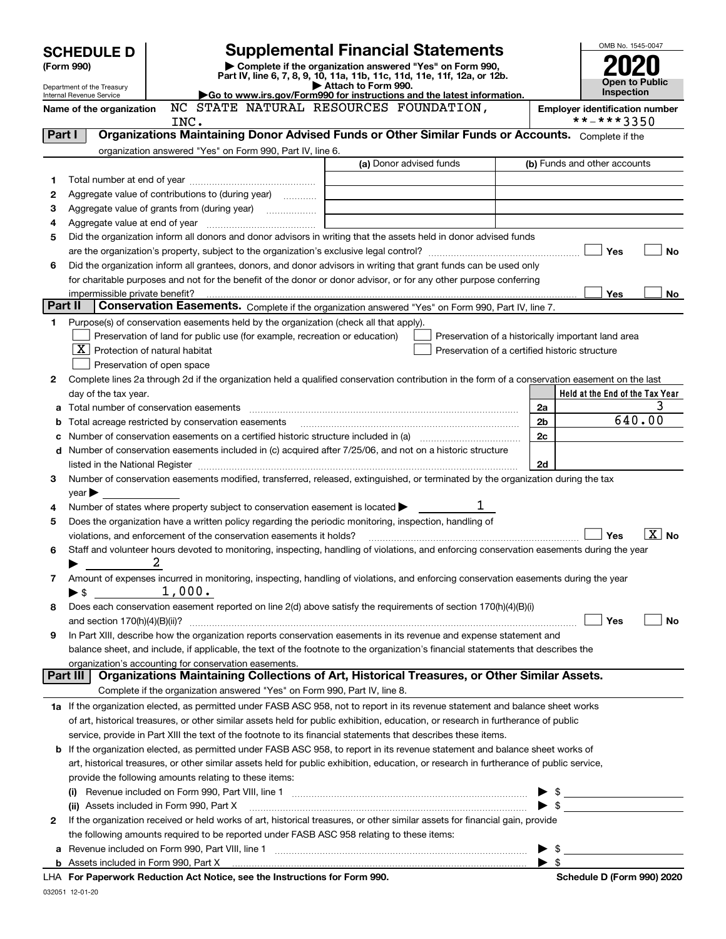|         | <b>SCHEDULE D</b>                 |                                                                                                        | <b>Supplemental Financial Statements</b>                                                                                                                                                                                                                                                                                                                          |                          | OMB No. 1545-0047                                                                                                                                                                                                                                                                                                   |
|---------|-----------------------------------|--------------------------------------------------------------------------------------------------------|-------------------------------------------------------------------------------------------------------------------------------------------------------------------------------------------------------------------------------------------------------------------------------------------------------------------------------------------------------------------|--------------------------|---------------------------------------------------------------------------------------------------------------------------------------------------------------------------------------------------------------------------------------------------------------------------------------------------------------------|
|         | (Form 990)                        |                                                                                                        | Complete if the organization answered "Yes" on Form 990,<br>Part IV, line 6, 7, 8, 9, 10, 11a, 11b, 11c, 11d, 11e, 11f, 12a, or 12b.                                                                                                                                                                                                                              |                          |                                                                                                                                                                                                                                                                                                                     |
|         | Department of the Treasury        |                                                                                                        | Attach to Form 990.                                                                                                                                                                                                                                                                                                                                               |                          | Open to Public<br>Inspection                                                                                                                                                                                                                                                                                        |
|         | Internal Revenue Service          |                                                                                                        | Go to www.irs.gov/Form990 for instructions and the latest information.<br>NC STATE NATURAL RESOURCES FOUNDATION,                                                                                                                                                                                                                                                  |                          |                                                                                                                                                                                                                                                                                                                     |
|         | Name of the organization          | INC.                                                                                                   |                                                                                                                                                                                                                                                                                                                                                                   |                          | <b>Employer identification number</b><br>**-***3350                                                                                                                                                                                                                                                                 |
| Part I  |                                   |                                                                                                        | Organizations Maintaining Donor Advised Funds or Other Similar Funds or Accounts. Complete if the                                                                                                                                                                                                                                                                 |                          |                                                                                                                                                                                                                                                                                                                     |
|         |                                   | organization answered "Yes" on Form 990, Part IV, line 6.                                              |                                                                                                                                                                                                                                                                                                                                                                   |                          |                                                                                                                                                                                                                                                                                                                     |
|         |                                   |                                                                                                        | (a) Donor advised funds                                                                                                                                                                                                                                                                                                                                           |                          | (b) Funds and other accounts                                                                                                                                                                                                                                                                                        |
| 1       |                                   |                                                                                                        |                                                                                                                                                                                                                                                                                                                                                                   |                          |                                                                                                                                                                                                                                                                                                                     |
| 2       |                                   | Aggregate value of contributions to (during year)                                                      |                                                                                                                                                                                                                                                                                                                                                                   |                          |                                                                                                                                                                                                                                                                                                                     |
| З       |                                   |                                                                                                        |                                                                                                                                                                                                                                                                                                                                                                   |                          |                                                                                                                                                                                                                                                                                                                     |
| 4       |                                   |                                                                                                        |                                                                                                                                                                                                                                                                                                                                                                   |                          |                                                                                                                                                                                                                                                                                                                     |
| 5       |                                   |                                                                                                        | Did the organization inform all donors and donor advisors in writing that the assets held in donor advised funds                                                                                                                                                                                                                                                  |                          |                                                                                                                                                                                                                                                                                                                     |
|         |                                   |                                                                                                        |                                                                                                                                                                                                                                                                                                                                                                   |                          | Yes<br>No                                                                                                                                                                                                                                                                                                           |
| 6       |                                   |                                                                                                        | Did the organization inform all grantees, donors, and donor advisors in writing that grant funds can be used only                                                                                                                                                                                                                                                 |                          |                                                                                                                                                                                                                                                                                                                     |
|         |                                   |                                                                                                        | for charitable purposes and not for the benefit of the donor or donor advisor, or for any other purpose conferring                                                                                                                                                                                                                                                |                          |                                                                                                                                                                                                                                                                                                                     |
|         | impermissible private benefit?    |                                                                                                        |                                                                                                                                                                                                                                                                                                                                                                   |                          | Yes<br>No                                                                                                                                                                                                                                                                                                           |
| Part II |                                   |                                                                                                        | Conservation Easements. Complete if the organization answered "Yes" on Form 990, Part IV, line 7.                                                                                                                                                                                                                                                                 |                          |                                                                                                                                                                                                                                                                                                                     |
| 1       |                                   | Purpose(s) of conservation easements held by the organization (check all that apply).                  |                                                                                                                                                                                                                                                                                                                                                                   |                          |                                                                                                                                                                                                                                                                                                                     |
|         |                                   | Preservation of land for public use (for example, recreation or education)                             |                                                                                                                                                                                                                                                                                                                                                                   |                          | Preservation of a historically important land area                                                                                                                                                                                                                                                                  |
|         | $X$ Protection of natural habitat |                                                                                                        | Preservation of a certified historic structure                                                                                                                                                                                                                                                                                                                    |                          |                                                                                                                                                                                                                                                                                                                     |
|         |                                   | Preservation of open space                                                                             |                                                                                                                                                                                                                                                                                                                                                                   |                          |                                                                                                                                                                                                                                                                                                                     |
| 2       |                                   |                                                                                                        | Complete lines 2a through 2d if the organization held a qualified conservation contribution in the form of a conservation easement on the last                                                                                                                                                                                                                    |                          |                                                                                                                                                                                                                                                                                                                     |
|         | day of the tax year.              |                                                                                                        |                                                                                                                                                                                                                                                                                                                                                                   |                          | Held at the End of the Tax Year                                                                                                                                                                                                                                                                                     |
| a       |                                   |                                                                                                        |                                                                                                                                                                                                                                                                                                                                                                   | 2a                       | 640.00                                                                                                                                                                                                                                                                                                              |
| b       |                                   | Total acreage restricted by conservation easements                                                     |                                                                                                                                                                                                                                                                                                                                                                   | 2b                       |                                                                                                                                                                                                                                                                                                                     |
| c       |                                   |                                                                                                        |                                                                                                                                                                                                                                                                                                                                                                   | 2c                       |                                                                                                                                                                                                                                                                                                                     |
|         |                                   |                                                                                                        | d Number of conservation easements included in (c) acquired after 7/25/06, and not on a historic structure                                                                                                                                                                                                                                                        | 2d                       |                                                                                                                                                                                                                                                                                                                     |
| 3       |                                   |                                                                                                        | listed in the National Register [111] Marshall Register [11] Marshall Register [11] Marshall Register [11] Marshall Register [11] Marshall Register [11] Marshall Register [11] Marshall Register [11] Marshall Register [11]<br>Number of conservation easements modified, transferred, released, extinguished, or terminated by the organization during the tax |                          |                                                                                                                                                                                                                                                                                                                     |
|         | $year \blacktriangleright$        |                                                                                                        |                                                                                                                                                                                                                                                                                                                                                                   |                          |                                                                                                                                                                                                                                                                                                                     |
| 4       |                                   | Number of states where property subject to conservation easement is located >                          |                                                                                                                                                                                                                                                                                                                                                                   |                          |                                                                                                                                                                                                                                                                                                                     |
| 5       |                                   | Does the organization have a written policy regarding the periodic monitoring, inspection, handling of |                                                                                                                                                                                                                                                                                                                                                                   |                          |                                                                                                                                                                                                                                                                                                                     |
|         |                                   | violations, and enforcement of the conservation easements it holds?                                    |                                                                                                                                                                                                                                                                                                                                                                   |                          | $ X $ No<br>Yes                                                                                                                                                                                                                                                                                                     |
| 6       |                                   |                                                                                                        | Staff and volunteer hours devoted to monitoring, inspecting, handling of violations, and enforcing conservation easements during the year                                                                                                                                                                                                                         |                          |                                                                                                                                                                                                                                                                                                                     |
|         |                                   | 2                                                                                                      |                                                                                                                                                                                                                                                                                                                                                                   |                          |                                                                                                                                                                                                                                                                                                                     |
| 7       |                                   |                                                                                                        | Amount of expenses incurred in monitoring, inspecting, handling of violations, and enforcing conservation easements during the year                                                                                                                                                                                                                               |                          |                                                                                                                                                                                                                                                                                                                     |
|         | ▶ \$                              | 1,000.                                                                                                 |                                                                                                                                                                                                                                                                                                                                                                   |                          |                                                                                                                                                                                                                                                                                                                     |
| 8       |                                   |                                                                                                        | Does each conservation easement reported on line 2(d) above satisfy the requirements of section 170(h)(4)(B)(i)                                                                                                                                                                                                                                                   |                          |                                                                                                                                                                                                                                                                                                                     |
|         |                                   |                                                                                                        |                                                                                                                                                                                                                                                                                                                                                                   |                          | Yes<br>No                                                                                                                                                                                                                                                                                                           |
| 9       |                                   |                                                                                                        | In Part XIII, describe how the organization reports conservation easements in its revenue and expense statement and                                                                                                                                                                                                                                               |                          |                                                                                                                                                                                                                                                                                                                     |
|         |                                   |                                                                                                        | balance sheet, and include, if applicable, the text of the footnote to the organization's financial statements that describes the                                                                                                                                                                                                                                 |                          |                                                                                                                                                                                                                                                                                                                     |
|         |                                   | organization's accounting for conservation easements.                                                  | Organizations Maintaining Collections of Art, Historical Treasures, or Other Similar Assets.                                                                                                                                                                                                                                                                      |                          |                                                                                                                                                                                                                                                                                                                     |
|         | Part III                          |                                                                                                        |                                                                                                                                                                                                                                                                                                                                                                   |                          |                                                                                                                                                                                                                                                                                                                     |
|         |                                   | Complete if the organization answered "Yes" on Form 990, Part IV, line 8.                              |                                                                                                                                                                                                                                                                                                                                                                   |                          |                                                                                                                                                                                                                                                                                                                     |
|         |                                   |                                                                                                        | 1a If the organization elected, as permitted under FASB ASC 958, not to report in its revenue statement and balance sheet works                                                                                                                                                                                                                                   |                          |                                                                                                                                                                                                                                                                                                                     |
|         |                                   |                                                                                                        | of art, historical treasures, or other similar assets held for public exhibition, education, or research in furtherance of public                                                                                                                                                                                                                                 |                          |                                                                                                                                                                                                                                                                                                                     |
|         |                                   |                                                                                                        | service, provide in Part XIII the text of the footnote to its financial statements that describes these items.                                                                                                                                                                                                                                                    |                          |                                                                                                                                                                                                                                                                                                                     |
|         |                                   |                                                                                                        | <b>b</b> If the organization elected, as permitted under FASB ASC 958, to report in its revenue statement and balance sheet works of                                                                                                                                                                                                                              |                          |                                                                                                                                                                                                                                                                                                                     |
|         |                                   |                                                                                                        | art, historical treasures, or other similar assets held for public exhibition, education, or research in furtherance of public service,                                                                                                                                                                                                                           |                          |                                                                                                                                                                                                                                                                                                                     |
|         |                                   | provide the following amounts relating to these items:                                                 |                                                                                                                                                                                                                                                                                                                                                                   |                          |                                                                                                                                                                                                                                                                                                                     |
|         |                                   |                                                                                                        |                                                                                                                                                                                                                                                                                                                                                                   |                          | $\frac{1}{2}$ $\frac{1}{2}$ $\frac{1}{2}$ $\frac{1}{2}$ $\frac{1}{2}$ $\frac{1}{2}$ $\frac{1}{2}$ $\frac{1}{2}$ $\frac{1}{2}$ $\frac{1}{2}$ $\frac{1}{2}$ $\frac{1}{2}$ $\frac{1}{2}$ $\frac{1}{2}$ $\frac{1}{2}$ $\frac{1}{2}$ $\frac{1}{2}$ $\frac{1}{2}$ $\frac{1}{2}$ $\frac{1}{2}$ $\frac{1}{2}$ $\frac{1}{2}$ |
|         |                                   |                                                                                                        |                                                                                                                                                                                                                                                                                                                                                                   |                          | $\triangleright$ \$                                                                                                                                                                                                                                                                                                 |
| 2       |                                   |                                                                                                        | If the organization received or held works of art, historical treasures, or other similar assets for financial gain, provide                                                                                                                                                                                                                                      |                          |                                                                                                                                                                                                                                                                                                                     |
|         |                                   | the following amounts required to be reported under FASB ASC 958 relating to these items:              |                                                                                                                                                                                                                                                                                                                                                                   |                          |                                                                                                                                                                                                                                                                                                                     |
|         |                                   |                                                                                                        |                                                                                                                                                                                                                                                                                                                                                                   | $\blacktriangleright$ \$ | $\mathbb{S}$                                                                                                                                                                                                                                                                                                        |
|         |                                   | LHA For Paperwork Reduction Act Notice, see the Instructions for Form 990.                             |                                                                                                                                                                                                                                                                                                                                                                   |                          | Schedule D (Form 990) 2020                                                                                                                                                                                                                                                                                          |
|         |                                   |                                                                                                        |                                                                                                                                                                                                                                                                                                                                                                   |                          |                                                                                                                                                                                                                                                                                                                     |

|  | LHA For Paperwork Reduction Act Notice, see the Instructions for Form |  |  |  |  |
|--|-----------------------------------------------------------------------|--|--|--|--|
|--|-----------------------------------------------------------------------|--|--|--|--|

032051 12-01-20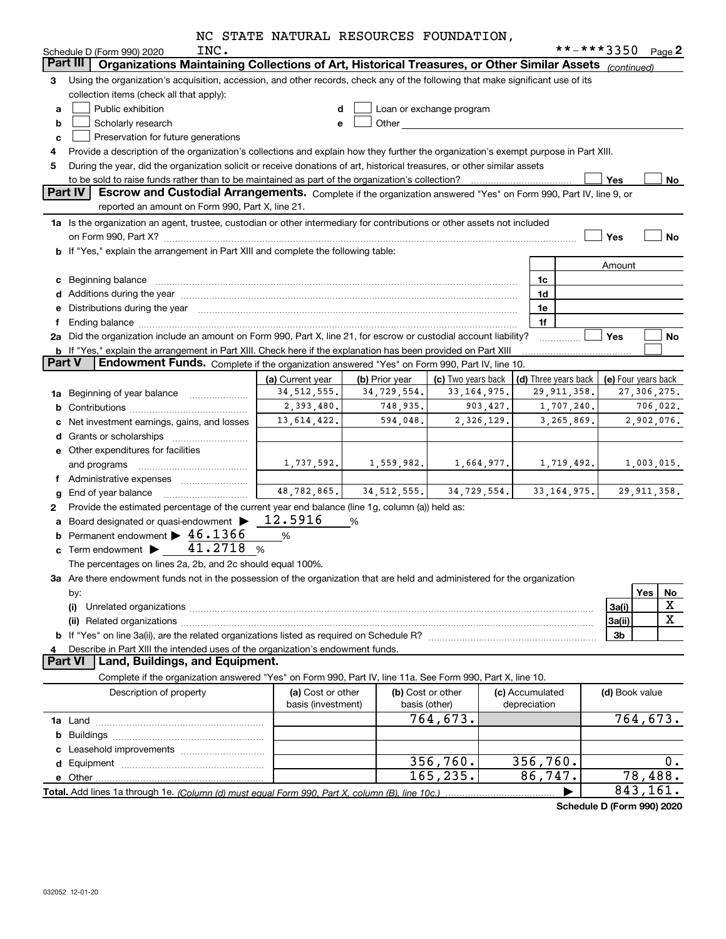|  |  |  |  | NC STATE NATURAL RESOURCES FOUNDATION, |
|--|--|--|--|----------------------------------------|
|--|--|--|--|----------------------------------------|

|                | INC.<br>Schedule D (Form 990) 2020                                                                                                                                                                                             |                                         |                |                          |                                 |            | **-***3350     | Page 2                 |
|----------------|--------------------------------------------------------------------------------------------------------------------------------------------------------------------------------------------------------------------------------|-----------------------------------------|----------------|--------------------------|---------------------------------|------------|----------------|------------------------|
|                | Organizations Maintaining Collections of Art, Historical Treasures, or Other Similar Assets (continued)<br>Part III                                                                                                            |                                         |                |                          |                                 |            |                |                        |
| 3              | Using the organization's acquisition, accession, and other records, check any of the following that make significant use of its                                                                                                |                                         |                |                          |                                 |            |                |                        |
|                | collection items (check all that apply):                                                                                                                                                                                       |                                         |                |                          |                                 |            |                |                        |
| a              | Public exhibition                                                                                                                                                                                                              | d                                       |                | Loan or exchange program |                                 |            |                |                        |
| b              | Scholarly research                                                                                                                                                                                                             | e                                       | Other          |                          |                                 |            |                |                        |
| c              | Preservation for future generations                                                                                                                                                                                            |                                         |                |                          |                                 |            |                |                        |
| 4              | Provide a description of the organization's collections and explain how they further the organization's exempt purpose in Part XIII.                                                                                           |                                         |                |                          |                                 |            |                |                        |
| 5              | During the year, did the organization solicit or receive donations of art, historical treasures, or other similar assets                                                                                                       |                                         |                |                          |                                 |            |                |                        |
|                |                                                                                                                                                                                                                                |                                         |                |                          |                                 |            | <b>Yes</b>     | No                     |
| <b>Part IV</b> | Escrow and Custodial Arrangements. Complete if the organization answered "Yes" on Form 990, Part IV, line 9, or                                                                                                                |                                         |                |                          |                                 |            |                |                        |
|                | reported an amount on Form 990, Part X, line 21.                                                                                                                                                                               |                                         |                |                          |                                 |            |                |                        |
|                | 1a Is the organization an agent, trustee, custodian or other intermediary for contributions or other assets not included                                                                                                       |                                         |                |                          |                                 |            |                |                        |
|                |                                                                                                                                                                                                                                |                                         |                |                          |                                 |            | Yes            | No                     |
|                | b If "Yes," explain the arrangement in Part XIII and complete the following table:                                                                                                                                             |                                         |                |                          |                                 |            |                |                        |
|                |                                                                                                                                                                                                                                |                                         |                |                          |                                 |            | Amount         |                        |
|                | c Beginning balance                                                                                                                                                                                                            |                                         |                |                          | 1c                              |            |                |                        |
|                |                                                                                                                                                                                                                                |                                         |                |                          | 1d                              |            |                |                        |
|                | e Distributions during the year manufactured and contain an account of the year manufactured and the year manufactured and the year manufactured and the year manufactured and the year manufactured and the year manufactured |                                         |                |                          | 1e                              |            |                |                        |
| f              |                                                                                                                                                                                                                                |                                         |                |                          | 1f                              |            |                |                        |
|                | 2a Did the organization include an amount on Form 990, Part X, line 21, for escrow or custodial account liability?                                                                                                             |                                         |                |                          |                                 |            | Yes            | No                     |
|                | b If "Yes," explain the arrangement in Part XIII. Check here if the explanation has been provided on Part XIII                                                                                                                 |                                         |                |                          |                                 |            |                |                        |
| <b>Part V</b>  | Endowment Funds. Complete if the organization answered "Yes" on Form 990, Part IV, line 10.                                                                                                                                    |                                         |                |                          |                                 |            |                |                        |
|                |                                                                                                                                                                                                                                | (a) Current year                        | (b) Prior year | (c) Two years back       | (d) Three years back            |            |                | (e) Four years back    |
|                | 1a Beginning of year balance                                                                                                                                                                                                   | 34, 512, 555.                           | 34,729,554.    | 33, 164, 975.            | 29, 911, 358.                   |            |                | 27,306,275.            |
|                |                                                                                                                                                                                                                                | 2,393,480.                              | 748,935.       | 903,427.                 |                                 | 1,707,240. |                | 706,022.               |
|                | c Net investment earnings, gains, and losses                                                                                                                                                                                   | 13,614,422.                             | 594,048.       | 2,326,129.               |                                 | 3,265,869. |                | 2,902,076.             |
|                |                                                                                                                                                                                                                                |                                         |                |                          |                                 |            |                |                        |
|                | <b>e</b> Other expenditures for facilities                                                                                                                                                                                     |                                         |                |                          |                                 |            |                |                        |
|                | and programs                                                                                                                                                                                                                   | 1,737,592.                              | 1,559,982.     | 1,664,977.               |                                 | 1,719,492. |                | 1,003,015.             |
|                | f Administrative expenses                                                                                                                                                                                                      |                                         |                |                          |                                 |            |                |                        |
|                | g End of year balance                                                                                                                                                                                                          | 48,782,865.                             | 34, 512, 555.  | 34,729,554.              | 33, 164, 975.                   |            |                | 29, 911, 358.          |
| 2              | Provide the estimated percentage of the current year end balance (line 1g, column (a)) held as:                                                                                                                                |                                         |                |                          |                                 |            |                |                        |
|                | a Board designated or quasi-endowment >                                                                                                                                                                                        | 12.5916                                 | %              |                          |                                 |            |                |                        |
|                | <b>b</b> Permanent endowment $\triangleright$ 46.1366                                                                                                                                                                          | %                                       |                |                          |                                 |            |                |                        |
|                | c Term endowment $\blacktriangleright$ 41.2718 %                                                                                                                                                                               |                                         |                |                          |                                 |            |                |                        |
|                | The percentages on lines 2a, 2b, and 2c should equal 100%.                                                                                                                                                                     |                                         |                |                          |                                 |            |                |                        |
|                | 3a Are there endowment funds not in the possession of the organization that are held and administered for the organization                                                                                                     |                                         |                |                          |                                 |            |                |                        |
|                | by:                                                                                                                                                                                                                            |                                         |                |                          |                                 |            |                | Yes<br>No              |
|                | (i)                                                                                                                                                                                                                            |                                         |                |                          |                                 |            | 3a(i)          | X                      |
|                |                                                                                                                                                                                                                                |                                         |                |                          |                                 |            | 3a(ii)         | х                      |
|                |                                                                                                                                                                                                                                |                                         |                |                          |                                 |            | 3 <sub>b</sub> |                        |
|                | Describe in Part XIII the intended uses of the organization's endowment funds.                                                                                                                                                 |                                         |                |                          |                                 |            |                |                        |
|                | Part VI   Land, Buildings, and Equipment.                                                                                                                                                                                      |                                         |                |                          |                                 |            |                |                        |
|                | Complete if the organization answered "Yes" on Form 990, Part IV, line 11a. See Form 990, Part X, line 10.                                                                                                                     |                                         |                |                          |                                 |            |                |                        |
|                | Description of property                                                                                                                                                                                                        | (a) Cost or other<br>basis (investment) | basis (other)  | (b) Cost or other        | (c) Accumulated<br>depreciation |            | (d) Book value |                        |
|                |                                                                                                                                                                                                                                |                                         |                | 764, 673.                |                                 |            |                | $\overline{764,673}$ . |
|                |                                                                                                                                                                                                                                |                                         |                |                          |                                 |            |                |                        |
|                |                                                                                                                                                                                                                                |                                         |                |                          |                                 |            |                |                        |
|                |                                                                                                                                                                                                                                |                                         |                | 356,760.                 | 356, 760.                       |            |                | $0$ .                  |
|                |                                                                                                                                                                                                                                |                                         |                | 165, 235.                | 86,747.                         |            |                | 78,488.                |
|                |                                                                                                                                                                                                                                |                                         |                |                          |                                 |            |                | 843,161.               |
|                |                                                                                                                                                                                                                                |                                         |                |                          |                                 |            |                |                        |

**Schedule D (Form 990) 2020**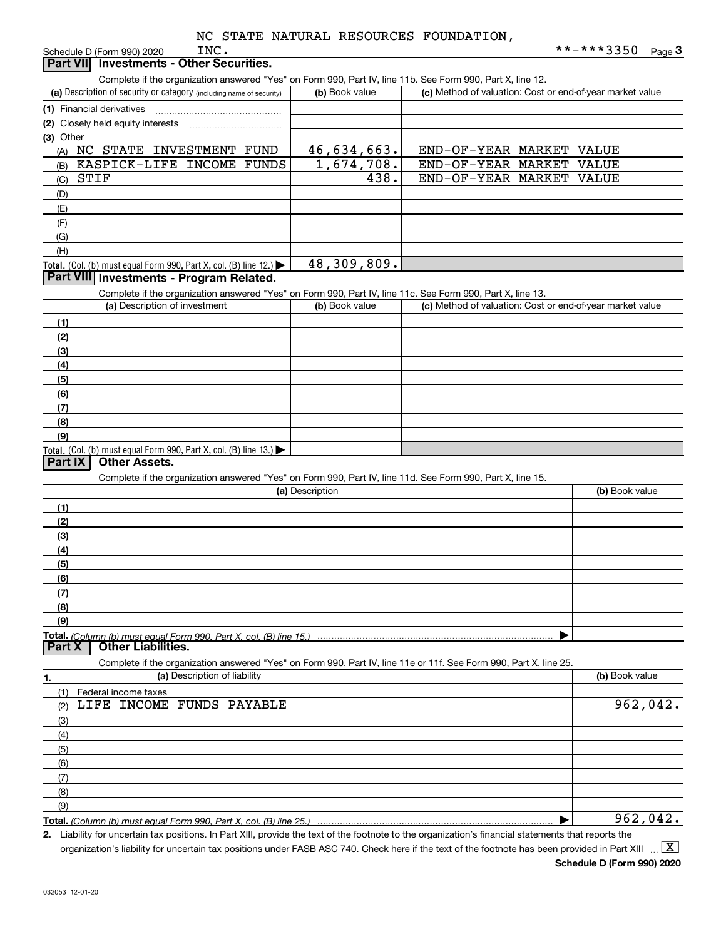|                 | INC.<br>Schedule D (Form 990) 2020                                                                                                                |                 |                                                           | **-***3350<br>Page 3  |
|-----------------|---------------------------------------------------------------------------------------------------------------------------------------------------|-----------------|-----------------------------------------------------------|-----------------------|
| <b>Part VII</b> | <b>Investments - Other Securities.</b>                                                                                                            |                 |                                                           |                       |
|                 | Complete if the organization answered "Yes" on Form 990, Part IV, line 11b. See Form 990, Part X, line 12.                                        |                 |                                                           |                       |
|                 | (a) Description of security or category (including name of security)                                                                              | (b) Book value  | (c) Method of valuation: Cost or end-of-year market value |                       |
|                 | (1) Financial derivatives                                                                                                                         |                 |                                                           |                       |
|                 | (2) Closely held equity interests                                                                                                                 |                 |                                                           |                       |
| (3) Other       | NC STATE INVESTMENT FUND                                                                                                                          | 46,634,663.     | END-OF-YEAR MARKET                                        |                       |
| (A)             | KASPICK-LIFE INCOME FUNDS                                                                                                                         | 1,674,708.      | END-OF-YEAR MARKET                                        | <b>VALUE</b><br>VALUE |
| (B)<br>(C)      | STIF                                                                                                                                              | 438.            | END-OF-YEAR MARKET                                        | <b>VALUE</b>          |
| (D)             |                                                                                                                                                   |                 |                                                           |                       |
| (E)             |                                                                                                                                                   |                 |                                                           |                       |
| (F)             |                                                                                                                                                   |                 |                                                           |                       |
| (G)             |                                                                                                                                                   |                 |                                                           |                       |
| (H)             |                                                                                                                                                   |                 |                                                           |                       |
|                 | Total. (Col. (b) must equal Form 990, Part X, col. (B) line 12.)                                                                                  | 48,309,809.     |                                                           |                       |
|                 | Part VIII Investments - Program Related.                                                                                                          |                 |                                                           |                       |
|                 | Complete if the organization answered "Yes" on Form 990, Part IV, line 11c. See Form 990, Part X, line 13.                                        |                 |                                                           |                       |
|                 | (a) Description of investment                                                                                                                     | (b) Book value  | (c) Method of valuation: Cost or end-of-year market value |                       |
| (1)             |                                                                                                                                                   |                 |                                                           |                       |
| (2)             |                                                                                                                                                   |                 |                                                           |                       |
| (3)             |                                                                                                                                                   |                 |                                                           |                       |
| (4)             |                                                                                                                                                   |                 |                                                           |                       |
| (5)             |                                                                                                                                                   |                 |                                                           |                       |
| (6)             |                                                                                                                                                   |                 |                                                           |                       |
| (7)             |                                                                                                                                                   |                 |                                                           |                       |
| (8)             |                                                                                                                                                   |                 |                                                           |                       |
| (9)             |                                                                                                                                                   |                 |                                                           |                       |
| Part IX         | Total. (Col. (b) must equal Form 990, Part X, col. (B) line 13.)<br><b>Other Assets.</b>                                                          |                 |                                                           |                       |
|                 | Complete if the organization answered "Yes" on Form 990, Part IV, line 11d. See Form 990, Part X, line 15.                                        |                 |                                                           |                       |
|                 |                                                                                                                                                   | (a) Description |                                                           | (b) Book value        |
| (1)             |                                                                                                                                                   |                 |                                                           |                       |
| (2)             |                                                                                                                                                   |                 |                                                           |                       |
| (3)             |                                                                                                                                                   |                 |                                                           |                       |
| (4)             |                                                                                                                                                   |                 |                                                           |                       |
| (5)             |                                                                                                                                                   |                 |                                                           |                       |
| (6)             |                                                                                                                                                   |                 |                                                           |                       |
| (7)             |                                                                                                                                                   |                 |                                                           |                       |
| (8)             |                                                                                                                                                   |                 |                                                           |                       |
| (9)             |                                                                                                                                                   |                 |                                                           |                       |
|                 | Total. (Column (b) must equal Form 990. Part X, col. (B) line 15.)                                                                                |                 |                                                           |                       |
| Part X          | <b>Other Liabilities.</b>                                                                                                                         |                 |                                                           |                       |
|                 | Complete if the organization answered "Yes" on Form 990, Part IV, line 11e or 11f. See Form 990, Part X, line 25.<br>(a) Description of liability |                 |                                                           | (b) Book value        |
| 1.              |                                                                                                                                                   |                 |                                                           |                       |
| (1)<br>(2)      | Federal income taxes<br>LIFE INCOME FUNDS PAYABLE                                                                                                 |                 |                                                           | 962,042.              |
|                 |                                                                                                                                                   |                 |                                                           |                       |
| (3)<br>(4)      |                                                                                                                                                   |                 |                                                           |                       |
| (5)             |                                                                                                                                                   |                 |                                                           |                       |
| (6)             |                                                                                                                                                   |                 |                                                           |                       |
| (7)             |                                                                                                                                                   |                 |                                                           |                       |
| (8)             |                                                                                                                                                   |                 |                                                           |                       |
| (9)             |                                                                                                                                                   |                 |                                                           |                       |
|                 | Total. (Column (b) must equal Form 990, Part X, col. (B) line 25.)                                                                                |                 |                                                           | 962,042.              |

**2.** Liability for uncertain tax positions. In Part XIII, provide the text of the footnote to the organization's financial statements that reports the

organization's liability for uncertain tax positions under FASB ASC 740. Check here if the text of the footnote has been provided in Part XIII  $\vert$  X  $\vert$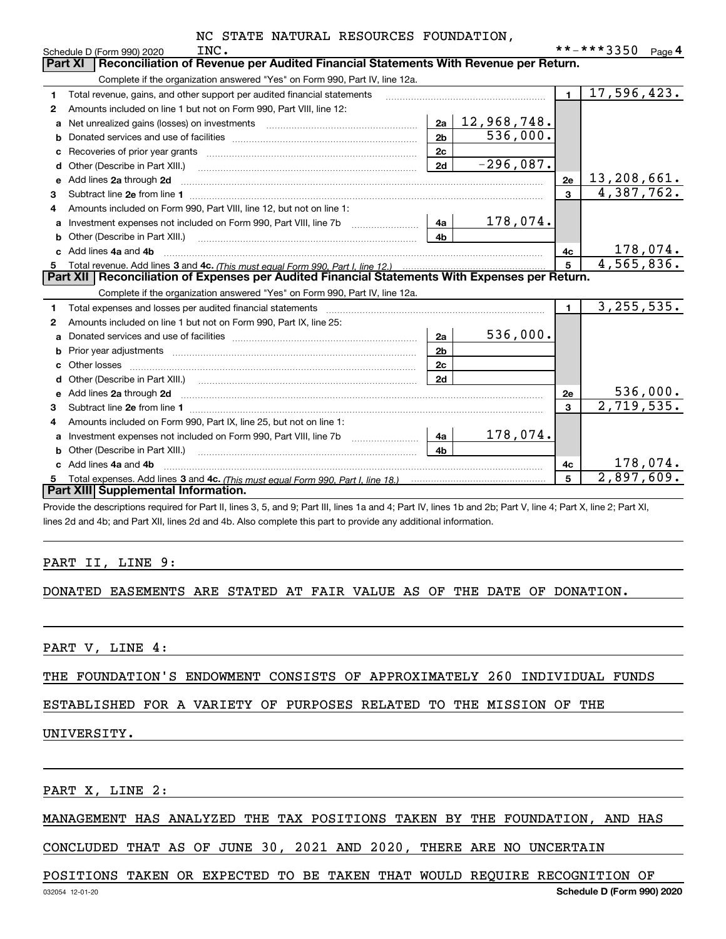|    | INC.<br>Schedule D (Form 990) 2020                                                                                                                                                                                                  |                | **-***3350<br>Page 4 |  |  |  |  |  |
|----|-------------------------------------------------------------------------------------------------------------------------------------------------------------------------------------------------------------------------------------|----------------|----------------------|--|--|--|--|--|
|    | Reconciliation of Revenue per Audited Financial Statements With Revenue per Return.<br><b>Part XI</b>                                                                                                                               |                |                      |  |  |  |  |  |
|    | Complete if the organization answered "Yes" on Form 990, Part IV, line 12a.                                                                                                                                                         |                |                      |  |  |  |  |  |
| 1  | Total revenue, gains, and other support per audited financial statements                                                                                                                                                            | $\blacksquare$ | 17,596,423.          |  |  |  |  |  |
| 2  | Amounts included on line 1 but not on Form 990, Part VIII, line 12:                                                                                                                                                                 |                |                      |  |  |  |  |  |
| a  | 12,968,748.<br>2a                                                                                                                                                                                                                   |                |                      |  |  |  |  |  |
|    | 536,000.<br>2 <sub>b</sub>                                                                                                                                                                                                          |                |                      |  |  |  |  |  |
| C  | 2c                                                                                                                                                                                                                                  |                |                      |  |  |  |  |  |
| d  | $-296,087.$<br>2d<br>Other (Describe in Part XIII.)                                                                                                                                                                                 |                |                      |  |  |  |  |  |
| e  | Add lines 2a through 2d                                                                                                                                                                                                             | 2e             | 13,208,661.          |  |  |  |  |  |
| 3  |                                                                                                                                                                                                                                     | 3              | 4,387,762.           |  |  |  |  |  |
| 4  | Amounts included on Form 990, Part VIII, line 12, but not on line 1:                                                                                                                                                                |                |                      |  |  |  |  |  |
|    | 178,074.<br>- 4a                                                                                                                                                                                                                    |                |                      |  |  |  |  |  |
| b  | 4 <sub>h</sub>                                                                                                                                                                                                                      |                |                      |  |  |  |  |  |
|    | Add lines 4a and 4b                                                                                                                                                                                                                 | 4c             | 178,074.             |  |  |  |  |  |
| 5  |                                                                                                                                                                                                                                     | $\overline{5}$ | 4,565,836.           |  |  |  |  |  |
|    | Part XII   Reconciliation of Expenses per Audited Financial Statements With Expenses per Return.                                                                                                                                    |                |                      |  |  |  |  |  |
|    | Complete if the organization answered "Yes" on Form 990, Part IV, line 12a.                                                                                                                                                         |                |                      |  |  |  |  |  |
| 1. |                                                                                                                                                                                                                                     | $\blacksquare$ | 3, 255, 535.         |  |  |  |  |  |
| 2  | Amounts included on line 1 but not on Form 990, Part IX, line 25:                                                                                                                                                                   |                |                      |  |  |  |  |  |
| a  | 536,000.<br>2a                                                                                                                                                                                                                      |                |                      |  |  |  |  |  |
| b  | 2 <sub>b</sub>                                                                                                                                                                                                                      |                |                      |  |  |  |  |  |
|    | 2c                                                                                                                                                                                                                                  |                |                      |  |  |  |  |  |
|    | 2d                                                                                                                                                                                                                                  |                |                      |  |  |  |  |  |
| e  | Add lines 2a through 2d <b>must be a constructed as the constant of the construction of the construction</b> and the construction of the construction of the construction of the construction of the construction of the constructi | 2e             | 536,000.             |  |  |  |  |  |
| 3  | Subtract line 2e from line 1                                                                                                                                                                                                        | 3              | 2,719,535.           |  |  |  |  |  |
| 4  | Amounts included on Form 990, Part IX, line 25, but not on line 1:                                                                                                                                                                  |                |                      |  |  |  |  |  |
| a  | 178,074.<br>Investment expenses not included on Form 990, Part VIII, line 7b [1000000000000000000000000000000000<br>4a                                                                                                              |                |                      |  |  |  |  |  |
| b  | 4 <sub>b</sub><br>Other (Describe in Part XIII.)                                                                                                                                                                                    |                |                      |  |  |  |  |  |
|    | Add lines 4a and 4b                                                                                                                                                                                                                 | 4c             | 178,074.             |  |  |  |  |  |
| 5  |                                                                                                                                                                                                                                     | 5              | 2,897,609.           |  |  |  |  |  |
|    | Part XIII Supplemental Information.                                                                                                                                                                                                 |                |                      |  |  |  |  |  |

Provide the descriptions required for Part II, lines 3, 5, and 9; Part III, lines 1a and 4; Part IV, lines 1b and 2b; Part V, line 4; Part X, line 2; Part XI, lines 2d and 4b; and Part XII, lines 2d and 4b. Also complete this part to provide any additional information.

#### PART II, LINE 9:

#### DONATED EASEMENTS ARE STATED AT FAIR VALUE AS OF THE DATE OF DONATION.

PART V, LINE 4:

THE FOUNDATION'S ENDOWMENT CONSISTS OF APPROXIMATELY 260 INDIVIDUAL FUNDS

## ESTABLISHED FOR A VARIETY OF PURPOSES RELATED TO THE MISSION OF THE

#### UNIVERSITY.

PART X, LINE 2:

#### MANAGEMENT HAS ANALYZED THE TAX POSITIONS TAKEN BY THE FOUNDATION, AND HAS

CONCLUDED THAT AS OF JUNE 30, 2021 AND 2020, THERE ARE NO UNCERTAIN

#### POSITIONS TAKEN OR EXPECTED TO BE TAKEN THAT WOULD REQUIRE RECOGNITION OF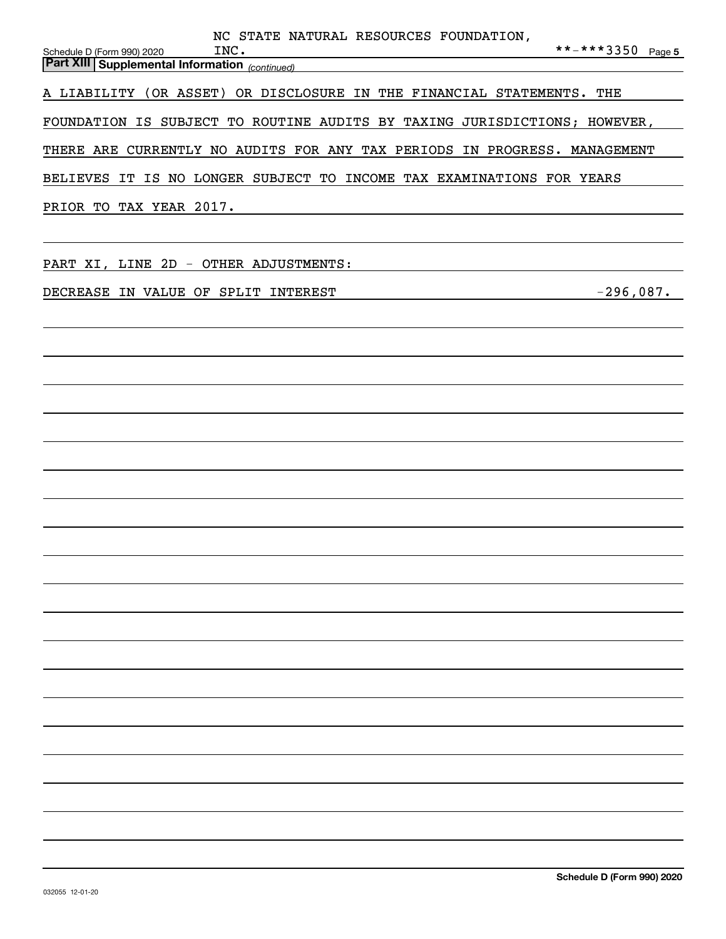| NC STATE NATURAL RESOURCES FOUNDATION,<br>**-***3350 Page 5<br>INC.<br>Schedule D (Form 990) 2020<br><b>Part XIII Supplemental Information</b> <sub>(continued)</sub> <b>Continueding the Continueding of the Continueding of the Continueding of the Continueding of the Continueding of the Continueding of the Continueding of the Continueding </b> |
|---------------------------------------------------------------------------------------------------------------------------------------------------------------------------------------------------------------------------------------------------------------------------------------------------------------------------------------------------------|
| A LIABILITY (OR ASSET) OR DISCLOSURE IN THE FINANCIAL STATEMENTS. THE                                                                                                                                                                                                                                                                                   |
| FOUNDATION IS SUBJECT TO ROUTINE AUDITS BY TAXING JURISDICTIONS; HOWEVER,                                                                                                                                                                                                                                                                               |
| THERE ARE CURRENTLY NO AUDITS FOR ANY TAX PERIODS IN PROGRESS. MANAGEMENT                                                                                                                                                                                                                                                                               |
| BELIEVES IT IS NO LONGER SUBJECT TO INCOME TAX EXAMINATIONS FOR YEARS                                                                                                                                                                                                                                                                                   |
| PRIOR TO TAX YEAR 2017.<br>the control of the control of the control of the control of the control of the control of the control of the control of the control of the control of the control of the control of the control of the control of the control                                                                                                |
| PART XI, LINE 2D - OTHER ADJUSTMENTS:                                                                                                                                                                                                                                                                                                                   |
| $-296,087.$<br>DECREASE IN VALUE OF SPLIT INTEREST                                                                                                                                                                                                                                                                                                      |
|                                                                                                                                                                                                                                                                                                                                                         |
|                                                                                                                                                                                                                                                                                                                                                         |
|                                                                                                                                                                                                                                                                                                                                                         |
|                                                                                                                                                                                                                                                                                                                                                         |
|                                                                                                                                                                                                                                                                                                                                                         |
|                                                                                                                                                                                                                                                                                                                                                         |
|                                                                                                                                                                                                                                                                                                                                                         |
|                                                                                                                                                                                                                                                                                                                                                         |
|                                                                                                                                                                                                                                                                                                                                                         |
|                                                                                                                                                                                                                                                                                                                                                         |
|                                                                                                                                                                                                                                                                                                                                                         |
|                                                                                                                                                                                                                                                                                                                                                         |
|                                                                                                                                                                                                                                                                                                                                                         |
|                                                                                                                                                                                                                                                                                                                                                         |
|                                                                                                                                                                                                                                                                                                                                                         |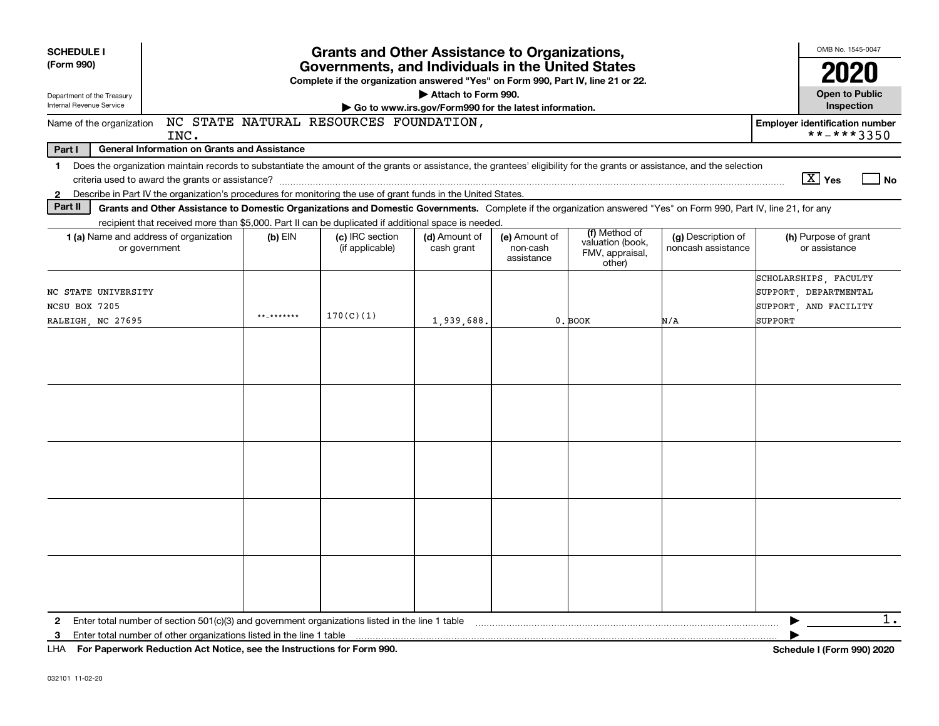| <b>SCHEDULE I</b><br>(Form 990)<br>Department of the Treasury | <b>Grants and Other Assistance to Organizations,</b><br>Governments, and Individuals in the United States<br>Complete if the organization answered "Yes" on Form 990, Part IV, line 21 or 22.<br>Attach to Form 990. |            |                                        |                                                       |                                         |                                                                |                                          |                                                                                           | OMB No. 1545-0047<br>2020<br><b>Open to Public</b> |
|---------------------------------------------------------------|----------------------------------------------------------------------------------------------------------------------------------------------------------------------------------------------------------------------|------------|----------------------------------------|-------------------------------------------------------|-----------------------------------------|----------------------------------------------------------------|------------------------------------------|-------------------------------------------------------------------------------------------|----------------------------------------------------|
| Internal Revenue Service                                      |                                                                                                                                                                                                                      |            |                                        | Go to www.irs.gov/Form990 for the latest information. |                                         |                                                                |                                          | Inspection                                                                                |                                                    |
| Name of the organization                                      | INC.                                                                                                                                                                                                                 |            | NC STATE NATURAL RESOURCES FOUNDATION, |                                                       |                                         |                                                                |                                          | <b>Employer identification number</b><br>**-***3350                                       |                                                    |
| Part I                                                        | <b>General Information on Grants and Assistance</b>                                                                                                                                                                  |            |                                        |                                                       |                                         |                                                                |                                          |                                                                                           |                                                    |
| $\mathbf 1$                                                   | Does the organization maintain records to substantiate the amount of the grants or assistance, the grantees' eligibility for the grants or assistance, and the selection                                             |            |                                        |                                                       |                                         |                                                                |                                          |                                                                                           |                                                    |
|                                                               |                                                                                                                                                                                                                      |            |                                        |                                                       |                                         |                                                                |                                          | $\boxed{\text{X}}$ Yes                                                                    | <b>No</b>                                          |
| $\mathbf{2}$                                                  | Describe in Part IV the organization's procedures for monitoring the use of grant funds in the United States.                                                                                                        |            |                                        |                                                       |                                         |                                                                |                                          |                                                                                           |                                                    |
| Part II                                                       | Grants and Other Assistance to Domestic Organizations and Domestic Governments. Complete if the organization answered "Yes" on Form 990, Part IV, line 21, for any                                                   |            |                                        |                                                       |                                         |                                                                |                                          |                                                                                           |                                                    |
|                                                               | recipient that received more than \$5,000. Part II can be duplicated if additional space is needed.<br><b>1 (a)</b> Name and address of organization<br>or government                                                | $(b)$ EIN  | (c) IRC section<br>(if applicable)     | (d) Amount of<br>cash grant                           | (e) Amount of<br>non-cash<br>assistance | (f) Method of<br>valuation (book,<br>FMV, appraisal,<br>other) | (g) Description of<br>noncash assistance | (h) Purpose of grant<br>or assistance                                                     |                                                    |
| NC STATE UNIVERSITY<br>NCSU BOX 7205<br>RALEIGH, NC 27695     |                                                                                                                                                                                                                      | ** ******* | 170(C)(1)                              | 1,939,688                                             |                                         | 0. BOOK                                                        | N/A                                      | SCHOLARSHIPS, FACULTY<br>SUPPORT, DEPARTMENTAL<br>SUPPORT, AND FACILITY<br><b>SUPPORT</b> |                                                    |
|                                                               |                                                                                                                                                                                                                      |            |                                        |                                                       |                                         |                                                                |                                          |                                                                                           |                                                    |
|                                                               |                                                                                                                                                                                                                      |            |                                        |                                                       |                                         |                                                                |                                          |                                                                                           |                                                    |
|                                                               |                                                                                                                                                                                                                      |            |                                        |                                                       |                                         |                                                                |                                          |                                                                                           |                                                    |
|                                                               |                                                                                                                                                                                                                      |            |                                        |                                                       |                                         |                                                                |                                          |                                                                                           |                                                    |
|                                                               |                                                                                                                                                                                                                      |            |                                        |                                                       |                                         |                                                                |                                          |                                                                                           |                                                    |
| $\mathbf{2}$<br>3                                             | Enter total number of section $501(c)(3)$ and government organizations listed in the line 1 table<br>Enter total number of other organizations listed in the line 1 table                                            |            |                                        |                                                       |                                         |                                                                |                                          |                                                                                           | $1$ .                                              |
|                                                               | LHA For Paperwork Reduction Act Notice, see the Instructions for Form 990.                                                                                                                                           |            |                                        |                                                       |                                         |                                                                |                                          | Schedule I (Form 990) 2020                                                                |                                                    |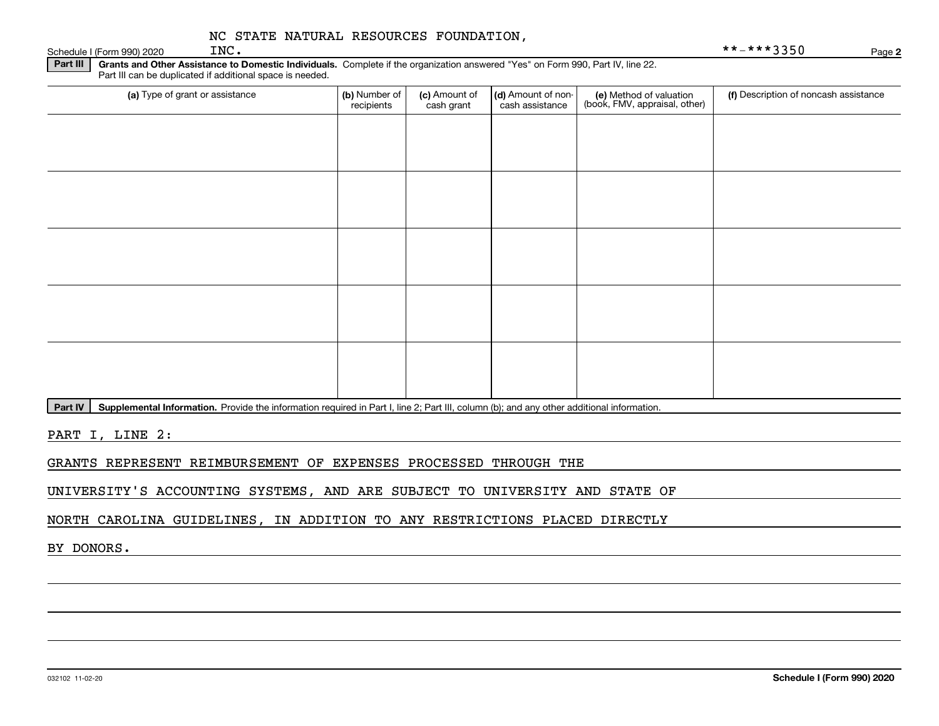#### Schedule I (Form 990) 2020  $INC$ . NC STATE NATURAL RESOURCES FOUNDATION,

| INC. | **-***3350 |
|------|------------|
|      |            |

**2**

**Part III | Grants and Other Assistance to Domestic Individuals. Complete if the organization answered "Yes" on Form 990, Part IV, line 22.** Part III can be duplicated if additional space is needed.

| (a) Type of grant or assistance | (b) Number of<br>recipients | (c) Amount of<br>cash grant | (d) Amount of non-<br>cash assistance | (e) Method of valuation<br>(book, FMV, appraisal, other) | (f) Description of noncash assistance |
|---------------------------------|-----------------------------|-----------------------------|---------------------------------------|----------------------------------------------------------|---------------------------------------|
|                                 |                             |                             |                                       |                                                          |                                       |
|                                 |                             |                             |                                       |                                                          |                                       |
|                                 |                             |                             |                                       |                                                          |                                       |
|                                 |                             |                             |                                       |                                                          |                                       |
|                                 |                             |                             |                                       |                                                          |                                       |
|                                 |                             |                             |                                       |                                                          |                                       |
|                                 |                             |                             |                                       |                                                          |                                       |
|                                 |                             |                             |                                       |                                                          |                                       |
|                                 |                             |                             |                                       |                                                          |                                       |
|                                 |                             |                             |                                       |                                                          |                                       |

Part IV | Supplemental Information. Provide the information required in Part I, line 2; Part III, column (b); and any other additional information.

PART I, LINE 2:

GRANTS REPRESENT REIMBURSEMENT OF EXPENSES PROCESSED THROUGH THE

UNIVERSITY'S ACCOUNTING SYSTEMS, AND ARE SUBJECT TO UNIVERSITY AND STATE OF

NORTH CAROLINA GUIDELINES, IN ADDITION TO ANY RESTRICTIONS PLACED DIRECTLY

BY DONORS.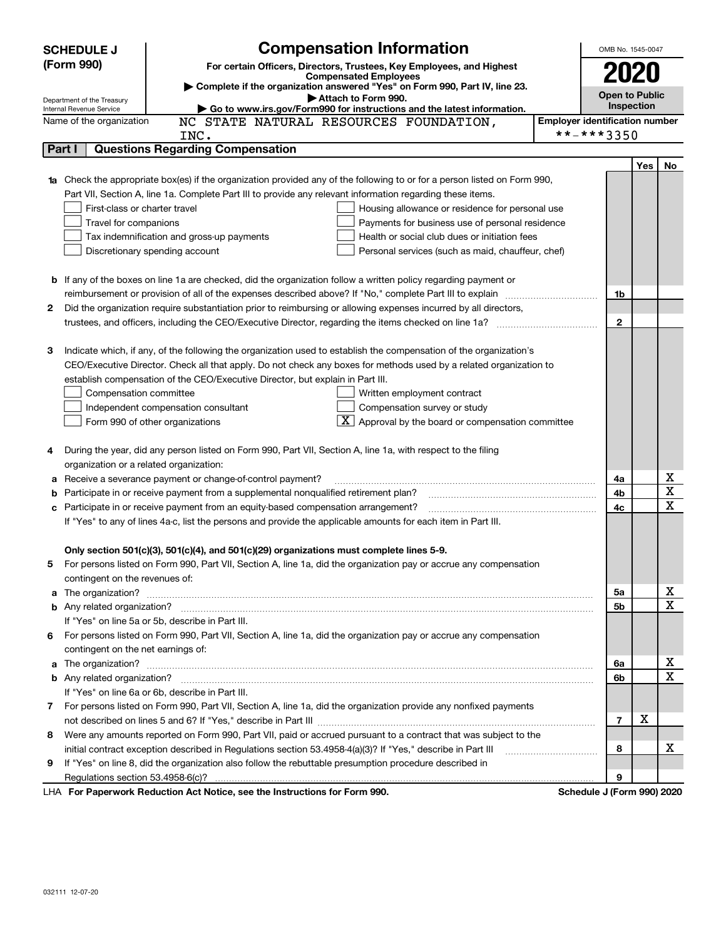|    | <b>SCHEDULE J</b>                                                                                                   | <b>Compensation Information</b>                                                                                                                                                                                                      |                                       | OMB No. 1545-0047          |     |    |
|----|---------------------------------------------------------------------------------------------------------------------|--------------------------------------------------------------------------------------------------------------------------------------------------------------------------------------------------------------------------------------|---------------------------------------|----------------------------|-----|----|
|    | (Form 990)<br>For certain Officers, Directors, Trustees, Key Employees, and Highest<br><b>Compensated Employees</b> |                                                                                                                                                                                                                                      |                                       |                            |     |    |
|    |                                                                                                                     |                                                                                                                                                                                                                                      | 2020                                  |                            |     |    |
|    | Department of the Treasury                                                                                          | Complete if the organization answered "Yes" on Form 990, Part IV, line 23.<br>Attach to Form 990.                                                                                                                                    |                                       | <b>Open to Public</b>      |     |    |
|    | Internal Revenue Service                                                                                            | Go to www.irs.gov/Form990 for instructions and the latest information.                                                                                                                                                               |                                       | Inspection                 |     |    |
|    | Name of the organization                                                                                            | NC STATE NATURAL RESOURCES FOUNDATION,                                                                                                                                                                                               | <b>Employer identification number</b> |                            |     |    |
|    |                                                                                                                     | INC.                                                                                                                                                                                                                                 |                                       | **-***3350                 |     |    |
|    | Part I                                                                                                              | <b>Questions Regarding Compensation</b>                                                                                                                                                                                              |                                       |                            |     |    |
|    |                                                                                                                     |                                                                                                                                                                                                                                      |                                       |                            | Yes | No |
|    |                                                                                                                     | 1a Check the appropriate box(es) if the organization provided any of the following to or for a person listed on Form 990,                                                                                                            |                                       |                            |     |    |
|    |                                                                                                                     | Part VII, Section A, line 1a. Complete Part III to provide any relevant information regarding these items.                                                                                                                           |                                       |                            |     |    |
|    | First-class or charter travel                                                                                       | Housing allowance or residence for personal use                                                                                                                                                                                      |                                       |                            |     |    |
|    | Travel for companions                                                                                               | Payments for business use of personal residence                                                                                                                                                                                      |                                       |                            |     |    |
|    |                                                                                                                     | Tax indemnification and gross-up payments<br>Health or social club dues or initiation fees                                                                                                                                           |                                       |                            |     |    |
|    |                                                                                                                     | Discretionary spending account<br>Personal services (such as maid, chauffeur, chef)                                                                                                                                                  |                                       |                            |     |    |
|    |                                                                                                                     |                                                                                                                                                                                                                                      |                                       |                            |     |    |
|    |                                                                                                                     | <b>b</b> If any of the boxes on line 1a are checked, did the organization follow a written policy regarding payment or                                                                                                               |                                       |                            |     |    |
|    |                                                                                                                     | Did the organization require substantiation prior to reimbursing or allowing expenses incurred by all directors,                                                                                                                     |                                       | 1b                         |     |    |
| 2  |                                                                                                                     |                                                                                                                                                                                                                                      |                                       | $\mathbf{2}$               |     |    |
|    |                                                                                                                     |                                                                                                                                                                                                                                      |                                       |                            |     |    |
| З  |                                                                                                                     | Indicate which, if any, of the following the organization used to establish the compensation of the organization's                                                                                                                   |                                       |                            |     |    |
|    |                                                                                                                     | CEO/Executive Director. Check all that apply. Do not check any boxes for methods used by a related organization to                                                                                                                   |                                       |                            |     |    |
|    |                                                                                                                     | establish compensation of the CEO/Executive Director, but explain in Part III.                                                                                                                                                       |                                       |                            |     |    |
|    | Compensation committee                                                                                              | Written employment contract                                                                                                                                                                                                          |                                       |                            |     |    |
|    |                                                                                                                     | Compensation survey or study<br>Independent compensation consultant                                                                                                                                                                  |                                       |                            |     |    |
|    |                                                                                                                     | $\boxed{\textbf{X}}$ Approval by the board or compensation committee<br>Form 990 of other organizations                                                                                                                              |                                       |                            |     |    |
|    |                                                                                                                     |                                                                                                                                                                                                                                      |                                       |                            |     |    |
| 4  |                                                                                                                     | During the year, did any person listed on Form 990, Part VII, Section A, line 1a, with respect to the filing                                                                                                                         |                                       |                            |     |    |
|    | organization or a related organization:                                                                             |                                                                                                                                                                                                                                      |                                       |                            |     |    |
| а  |                                                                                                                     | Receive a severance payment or change-of-control payment?                                                                                                                                                                            |                                       | 4a                         |     | х  |
| b  |                                                                                                                     | Participate in or receive payment from a supplemental nonqualified retirement plan?                                                                                                                                                  |                                       | 4b                         |     | X  |
| c  |                                                                                                                     | Participate in or receive payment from an equity-based compensation arrangement?                                                                                                                                                     |                                       | 4с                         |     | х  |
|    |                                                                                                                     | If "Yes" to any of lines 4a-c, list the persons and provide the applicable amounts for each item in Part III.                                                                                                                        |                                       |                            |     |    |
|    |                                                                                                                     |                                                                                                                                                                                                                                      |                                       |                            |     |    |
|    |                                                                                                                     | Only section 501(c)(3), 501(c)(4), and 501(c)(29) organizations must complete lines 5-9.                                                                                                                                             |                                       |                            |     |    |
|    |                                                                                                                     | For persons listed on Form 990, Part VII, Section A, line 1a, did the organization pay or accrue any compensation                                                                                                                    |                                       |                            |     |    |
|    | contingent on the revenues of:                                                                                      |                                                                                                                                                                                                                                      |                                       |                            |     |    |
|    |                                                                                                                     | a The organization? <b>Constitution</b> and the organization?                                                                                                                                                                        |                                       | 5а                         |     | х  |
|    |                                                                                                                     |                                                                                                                                                                                                                                      |                                       | 5b                         |     | х  |
|    |                                                                                                                     | If "Yes" on line 5a or 5b, describe in Part III.                                                                                                                                                                                     |                                       |                            |     |    |
| 6. |                                                                                                                     | For persons listed on Form 990, Part VII, Section A, line 1a, did the organization pay or accrue any compensation                                                                                                                    |                                       |                            |     |    |
|    | contingent on the net earnings of:                                                                                  |                                                                                                                                                                                                                                      |                                       |                            |     |    |
| a  |                                                                                                                     | The organization? <b>With the contract of the contract of the contract of the contract of the contract of the contract of the contract of the contract of the contract of the contract of the contract of the contract of the co</b> |                                       | 6a                         |     | х  |
|    |                                                                                                                     |                                                                                                                                                                                                                                      |                                       | 6b                         |     | х  |
|    |                                                                                                                     | If "Yes" on line 6a or 6b, describe in Part III.                                                                                                                                                                                     |                                       |                            |     |    |
|    |                                                                                                                     | 7 For persons listed on Form 990, Part VII, Section A, line 1a, did the organization provide any nonfixed payments                                                                                                                   |                                       |                            |     |    |
|    |                                                                                                                     |                                                                                                                                                                                                                                      |                                       | $\overline{7}$             | X   |    |
| 8  |                                                                                                                     | Were any amounts reported on Form 990, Part VII, paid or accrued pursuant to a contract that was subject to the                                                                                                                      |                                       |                            |     |    |
|    |                                                                                                                     | initial contract exception described in Regulations section 53.4958-4(a)(3)? If "Yes," describe in Part III                                                                                                                          |                                       | 8                          |     | x  |
| 9  |                                                                                                                     | If "Yes" on line 8, did the organization also follow the rebuttable presumption procedure described in                                                                                                                               |                                       |                            |     |    |
|    |                                                                                                                     |                                                                                                                                                                                                                                      |                                       | 9                          |     |    |
|    |                                                                                                                     | LHA For Paperwork Reduction Act Notice, see the Instructions for Form 990.                                                                                                                                                           |                                       | Schedule J (Form 990) 2020 |     |    |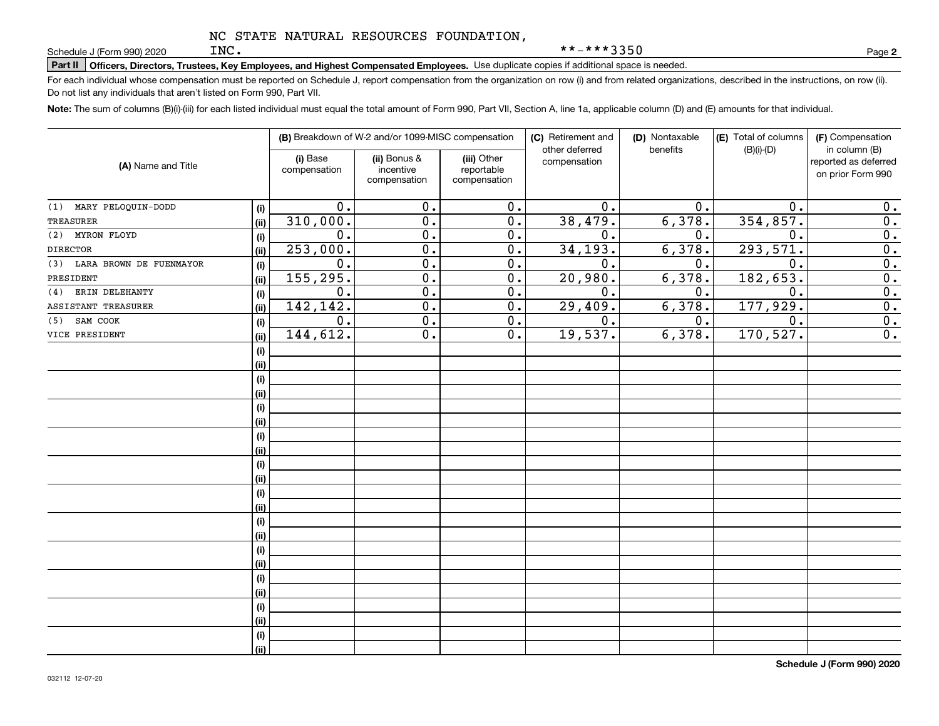**Part II Officers, Directors, Trustees, Key Employees, and Highest Compensated Employees.**  Schedule J (Form 990) 2020 Page Use duplicate copies if additional space is needed.

For each individual whose compensation must be reported on Schedule J, report compensation from the organization on row (i) and from related organizations, described in the instructions, on row (ii). Do not list any individuals that aren't listed on Form 990, Part VII.

**Note:**  The sum of columns (B)(i)-(iii) for each listed individual must equal the total amount of Form 990, Part VII, Section A, line 1a, applicable column (D) and (E) amounts for that individual.

|                                |      | (B) Breakdown of W-2 and/or 1099-MISC compensation |                                           | (C) Retirement and<br>other deferred      | (D) Nontaxable<br>benefits | (E) Total of columns<br>$(B)(i)-(D)$ | (F) Compensation<br>in column (B) |                                           |
|--------------------------------|------|----------------------------------------------------|-------------------------------------------|-------------------------------------------|----------------------------|--------------------------------------|-----------------------------------|-------------------------------------------|
| (A) Name and Title             |      | (i) Base<br>compensation                           | (ii) Bonus &<br>incentive<br>compensation | (iii) Other<br>reportable<br>compensation | compensation               |                                      |                                   | reported as deferred<br>on prior Form 990 |
| MARY PELOQUIN-DODD<br>(1)      | (i)  | 0.                                                 | 0.                                        | $\overline{0}$ .                          | 0.                         | 0.                                   | $\mathbf 0$ .                     | 0.                                        |
| <b>TREASURER</b>               | (ii) | 310,000.                                           | $\overline{0}$ .                          | $\overline{0}$ .                          | 38,479.                    | 6,378.                               | 354,857.                          | $\overline{0}$ .                          |
| MYRON FLOYD<br>(2)             | (i)  | $\overline{0}$ .                                   | $\overline{0}$ .                          | $\overline{0}$ .                          | 0.                         | 0.                                   | $\mathbf 0$ .                     | $\overline{0}$ .                          |
| <b>DIRECTOR</b>                | (ii) | 253,000.                                           | $\overline{0}$ .                          | $\overline{0}$ .                          | 34, 193.                   | 6,378.                               | 293,571.                          | $\overline{0}$ .                          |
| LARA BROWN DE FUENMAYOR<br>(3) | (i)  | $\overline{0}$ .                                   | $\overline{0}$ .                          | $\overline{0}$ .                          | $\mathbf 0$ .              | 0.                                   | $\overline{0}$ .                  | $\overline{0}$ .                          |
| PRESIDENT                      | (ii) | 155, 295.                                          | $\overline{0}$ .                          | $\overline{0}$ .                          | 20,980.                    | 6,378.                               | 182, 653.                         | $\overline{0}$ .                          |
| ERIN DELEHANTY<br>(4)          | (i)  | 0.                                                 | $\overline{0}$ .                          | $\overline{0}$ .                          | 0.                         | 0.                                   | 0.                                | $\overline{0}$ .                          |
| ASSISTANT TREASURER            | (ii) | 142, 142.                                          | $\overline{0}$ .                          | $\overline{0}$ .                          | 29,409.                    | 6,378.                               | 177,929.                          | $\overline{0}$ .                          |
| SAM COOK<br>(5)                | (i)  | 0.                                                 | $\overline{0}$ .                          | $\overline{0}$ .                          | $\overline{0}$ .           | 0.                                   | 0.                                | $\overline{0}$ .                          |
| VICE PRESIDENT                 | (ii) | 144,612.                                           | $\overline{0}$ .                          | $\overline{0}$ .                          | 19,537.                    | 6,378.                               | 170, 527.                         | $\overline{0}$ .                          |
|                                | (i)  |                                                    |                                           |                                           |                            |                                      |                                   |                                           |
|                                | (ii) |                                                    |                                           |                                           |                            |                                      |                                   |                                           |
|                                | (i)  |                                                    |                                           |                                           |                            |                                      |                                   |                                           |
|                                | (ii) |                                                    |                                           |                                           |                            |                                      |                                   |                                           |
|                                | (i)  |                                                    |                                           |                                           |                            |                                      |                                   |                                           |
|                                | (ii) |                                                    |                                           |                                           |                            |                                      |                                   |                                           |
|                                | (i)  |                                                    |                                           |                                           |                            |                                      |                                   |                                           |
|                                | (ii) |                                                    |                                           |                                           |                            |                                      |                                   |                                           |
|                                | (i)  |                                                    |                                           |                                           |                            |                                      |                                   |                                           |
|                                | (ii) |                                                    |                                           |                                           |                            |                                      |                                   |                                           |
|                                | (i)  |                                                    |                                           |                                           |                            |                                      |                                   |                                           |
|                                | (ii) |                                                    |                                           |                                           |                            |                                      |                                   |                                           |
|                                | (i)  |                                                    |                                           |                                           |                            |                                      |                                   |                                           |
|                                | (ii) |                                                    |                                           |                                           |                            |                                      |                                   |                                           |
|                                | (i)  |                                                    |                                           |                                           |                            |                                      |                                   |                                           |
|                                | (ii) |                                                    |                                           |                                           |                            |                                      |                                   |                                           |
|                                | (i)  |                                                    |                                           |                                           |                            |                                      |                                   |                                           |
|                                | (ii) |                                                    |                                           |                                           |                            |                                      |                                   |                                           |
|                                | (i)  |                                                    |                                           |                                           |                            |                                      |                                   |                                           |
|                                | (ii) |                                                    |                                           |                                           |                            |                                      |                                   |                                           |
|                                | (i)  |                                                    |                                           |                                           |                            |                                      |                                   |                                           |
|                                | (ii) |                                                    |                                           |                                           |                            |                                      |                                   |                                           |

**2**

\*\*-\*\*\*3350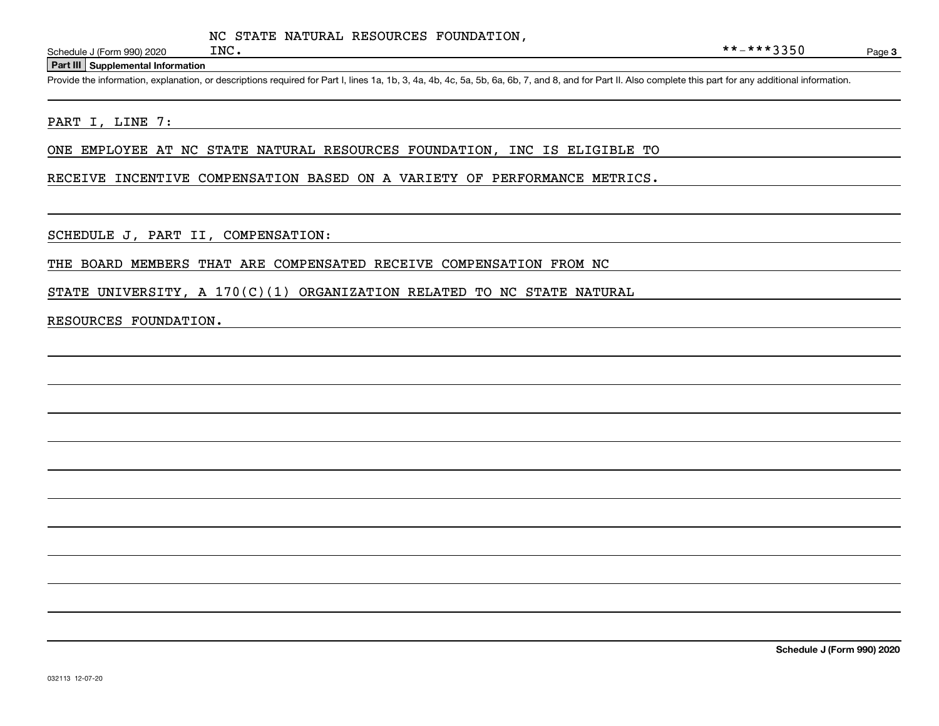Page 3

#### **Part III Supplemental Information**

Schedule J (Form 990) 2020 INC.<br>Part III Supplemental Information<br>Provide the information, explanation, or descriptions required for Part I, lines 1a, 1b, 3, 4a, 4b, 4c, 5a, 5b, 6a, 6b, 7, and 8, and for Part II. Also comp

#### PART I, LINE 7:

ONE EMPLOYEE AT NC STATE NATURAL RESOURCES FOUNDATION, INC IS ELIGIBLE TO

#### RECEIVE INCENTIVE COMPENSATION BASED ON A VARIETY OF PERFORMANCE METRICS.

SCHEDULE J, PART II, COMPENSATION:

#### THE BOARD MEMBERS THAT ARE COMPENSATED RECEIVE COMPENSATION FROM NC

STATE UNIVERSITY, A  $170(C)(1)$  ORGANIZATION RELATED TO NC STATE NATURAL

#### RESOURCES FOUNDATION.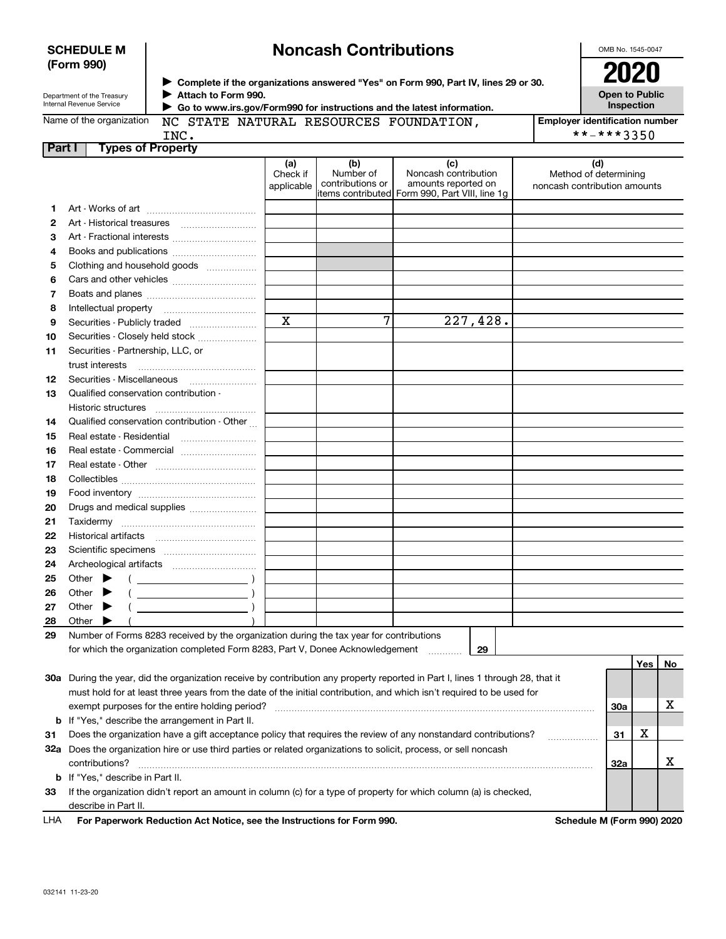| <b>SCHEDULE M</b> |  |
|-------------------|--|
| (Form 990)        |  |

# **Noncash Contributions**

OMB No. 1545-0047

| . |                            |
|---|----------------------------|
|   | Department of the Treasury |

**Complete if the organizations answered "Yes" on Form 990, Part IV, lines 29 or 30.** <sup>J</sup>**2020 Attach to Form 990.** J  **Go to www.irs.gov/Form990 for instructions and the latest information.**

**Open to Public Inspection**

|        | Internal Revenue Service                                                                                                       |                               |                                      | Go to www.irs.gov/Form990 for instructions and the latest information.                               |                                                              | Inspection |     |    |
|--------|--------------------------------------------------------------------------------------------------------------------------------|-------------------------------|--------------------------------------|------------------------------------------------------------------------------------------------------|--------------------------------------------------------------|------------|-----|----|
|        | Name of the organization<br><b>Employer identification number</b><br>NC STATE NATURAL RESOURCES FOUNDATION,                    |                               |                                      |                                                                                                      |                                                              |            |     |    |
|        | **-***3350<br>INC.                                                                                                             |                               |                                      |                                                                                                      |                                                              |            |     |    |
| Part I | <b>Types of Property</b>                                                                                                       |                               |                                      |                                                                                                      |                                                              |            |     |    |
|        |                                                                                                                                | (a)<br>Check if<br>applicable | (b)<br>Number of<br>contributions or | (c)<br>Noncash contribution<br>amounts reported on<br>items contributed Form 990, Part VIII, line 1g | (d)<br>Method of determining<br>noncash contribution amounts |            |     |    |
| 1.     |                                                                                                                                |                               |                                      |                                                                                                      |                                                              |            |     |    |
| 2      |                                                                                                                                |                               |                                      |                                                                                                      |                                                              |            |     |    |
| З      | Art - Fractional interests                                                                                                     |                               |                                      |                                                                                                      |                                                              |            |     |    |
| 4      | Books and publications                                                                                                         |                               |                                      |                                                                                                      |                                                              |            |     |    |
| 5      | Clothing and household goods                                                                                                   |                               |                                      |                                                                                                      |                                                              |            |     |    |
| 6      |                                                                                                                                |                               |                                      |                                                                                                      |                                                              |            |     |    |
| 7      |                                                                                                                                |                               |                                      |                                                                                                      |                                                              |            |     |    |
| 8      |                                                                                                                                |                               |                                      |                                                                                                      |                                                              |            |     |    |
| 9      | Securities - Publicly traded                                                                                                   | $\mathbf x$                   | 7                                    | 227,428.                                                                                             |                                                              |            |     |    |
| 10     | Securities - Closely held stock                                                                                                |                               |                                      |                                                                                                      |                                                              |            |     |    |
| 11     | Securities - Partnership, LLC, or                                                                                              |                               |                                      |                                                                                                      |                                                              |            |     |    |
|        | trust interests                                                                                                                |                               |                                      |                                                                                                      |                                                              |            |     |    |
| 12     | Securities Miscellaneous                                                                                                       |                               |                                      |                                                                                                      |                                                              |            |     |    |
| 13     | Qualified conservation contribution -                                                                                          |                               |                                      |                                                                                                      |                                                              |            |     |    |
|        | Historic structures                                                                                                            |                               |                                      |                                                                                                      |                                                              |            |     |    |
| 14     | Qualified conservation contribution - Other                                                                                    |                               |                                      |                                                                                                      |                                                              |            |     |    |
| 15     | Real estate - Residential                                                                                                      |                               |                                      |                                                                                                      |                                                              |            |     |    |
| 16     | Real estate - Commercial                                                                                                       |                               |                                      |                                                                                                      |                                                              |            |     |    |
| 17     |                                                                                                                                |                               |                                      |                                                                                                      |                                                              |            |     |    |
| 18     |                                                                                                                                |                               |                                      |                                                                                                      |                                                              |            |     |    |
| 19     |                                                                                                                                |                               |                                      |                                                                                                      |                                                              |            |     |    |
| 20     | Drugs and medical supplies                                                                                                     |                               |                                      |                                                                                                      |                                                              |            |     |    |
| 21     |                                                                                                                                |                               |                                      |                                                                                                      |                                                              |            |     |    |
| 22     |                                                                                                                                |                               |                                      |                                                                                                      |                                                              |            |     |    |
| 23     |                                                                                                                                |                               |                                      |                                                                                                      |                                                              |            |     |    |
| 24     |                                                                                                                                |                               |                                      |                                                                                                      |                                                              |            |     |    |
| 25     | Other $\blacktriangleright$                                                                                                    |                               |                                      |                                                                                                      |                                                              |            |     |    |
| 26     | $\overline{\phantom{a}}$ )<br>Other                                                                                            |                               |                                      |                                                                                                      |                                                              |            |     |    |
| 27     | $\overline{\phantom{a}}$ $\overline{\phantom{a}}$ $\overline{\phantom{a}}$ $\overline{\phantom{a}}$<br>Other                   |                               |                                      |                                                                                                      |                                                              |            |     |    |
| 28     | Other                                                                                                                          |                               |                                      |                                                                                                      |                                                              |            |     |    |
| 29     | Number of Forms 8283 received by the organization during the tax year for contributions                                        |                               |                                      |                                                                                                      |                                                              |            |     |    |
|        | for which the organization completed Form 8283, Part V, Donee Acknowledgement                                                  |                               |                                      | 29                                                                                                   |                                                              |            |     |    |
|        |                                                                                                                                |                               |                                      |                                                                                                      |                                                              |            | Yes | No |
|        | 30a During the year, did the organization receive by contribution any property reported in Part I, lines 1 through 28, that it |                               |                                      |                                                                                                      |                                                              |            |     |    |
|        | must hold for at least three years from the date of the initial contribution, and which isn't required to be used for          |                               |                                      |                                                                                                      |                                                              |            |     |    |
|        | exempt purposes for the entire holding period?                                                                                 |                               |                                      |                                                                                                      |                                                              | <b>30a</b> |     | х  |
| b      | If "Yes," describe the arrangement in Part II.                                                                                 |                               |                                      |                                                                                                      |                                                              |            |     |    |
| 31     | Does the organization have a gift acceptance policy that requires the review of any nonstandard contributions?                 |                               |                                      |                                                                                                      |                                                              | 31         | x   |    |
|        | 32a Does the organization hire or use third parties or related organizations to solicit, process, or sell noncash              |                               |                                      |                                                                                                      |                                                              |            |     |    |
|        | contributions?                                                                                                                 |                               |                                      |                                                                                                      |                                                              | 32a        |     | х  |

**b**If "Yes," describe in Part II.

describe in Part II.

032141 11-23-20

LHA

**For Paperwork Reduction Act Notice, see the Instructions for Form 990. Schedule M (Form 990) 2020**

**33** If the organization didn't report an amount in column (c) for a type of property for which column (a) is checked,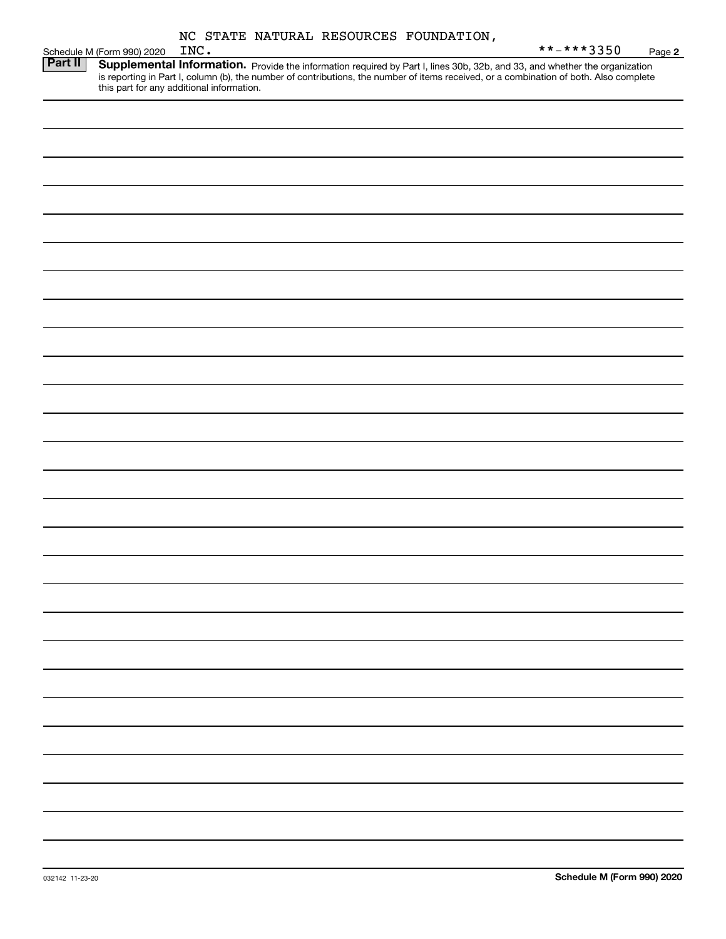|  |  | NC STATE NATURAL RESOURCES FOUNDATION, |
|--|--|----------------------------------------|
|  |  |                                        |

|         |                            |      |  | NC SIAIE NAIONAL RESOUNCES FOUNDAILON, |                                                                                                                                                                                                                                     |        |
|---------|----------------------------|------|--|----------------------------------------|-------------------------------------------------------------------------------------------------------------------------------------------------------------------------------------------------------------------------------------|--------|
|         | Schedule M (Form 990) 2020 | INC. |  |                                        | **-***3350                                                                                                                                                                                                                          | Page 2 |
| Part II |                            |      |  |                                        | <b>Supplemental Information.</b> Provide the information required by Part I, lines 30b, 32b, and 33, and whether the organization is reporting in Part I, column (b), the number of contributions, the number of items received, or |        |
|         |                            |      |  |                                        |                                                                                                                                                                                                                                     |        |
|         |                            |      |  |                                        |                                                                                                                                                                                                                                     |        |
|         |                            |      |  |                                        |                                                                                                                                                                                                                                     |        |
|         |                            |      |  |                                        |                                                                                                                                                                                                                                     |        |
|         |                            |      |  |                                        |                                                                                                                                                                                                                                     |        |
|         |                            |      |  |                                        |                                                                                                                                                                                                                                     |        |
|         |                            |      |  |                                        |                                                                                                                                                                                                                                     |        |
|         |                            |      |  |                                        |                                                                                                                                                                                                                                     |        |
|         |                            |      |  |                                        |                                                                                                                                                                                                                                     |        |
|         |                            |      |  |                                        |                                                                                                                                                                                                                                     |        |
|         |                            |      |  |                                        |                                                                                                                                                                                                                                     |        |
|         |                            |      |  |                                        |                                                                                                                                                                                                                                     |        |
|         |                            |      |  |                                        |                                                                                                                                                                                                                                     |        |
|         |                            |      |  |                                        |                                                                                                                                                                                                                                     |        |
|         |                            |      |  |                                        |                                                                                                                                                                                                                                     |        |
|         |                            |      |  |                                        |                                                                                                                                                                                                                                     |        |
|         |                            |      |  |                                        |                                                                                                                                                                                                                                     |        |
|         |                            |      |  |                                        |                                                                                                                                                                                                                                     |        |
|         |                            |      |  |                                        |                                                                                                                                                                                                                                     |        |
|         |                            |      |  |                                        |                                                                                                                                                                                                                                     |        |
|         |                            |      |  |                                        |                                                                                                                                                                                                                                     |        |
|         |                            |      |  |                                        |                                                                                                                                                                                                                                     |        |
|         |                            |      |  |                                        |                                                                                                                                                                                                                                     |        |
|         |                            |      |  |                                        |                                                                                                                                                                                                                                     |        |
|         |                            |      |  |                                        |                                                                                                                                                                                                                                     |        |
|         |                            |      |  |                                        |                                                                                                                                                                                                                                     |        |
|         |                            |      |  |                                        |                                                                                                                                                                                                                                     |        |
|         |                            |      |  |                                        |                                                                                                                                                                                                                                     |        |
|         |                            |      |  |                                        |                                                                                                                                                                                                                                     |        |
|         |                            |      |  |                                        |                                                                                                                                                                                                                                     |        |
|         |                            |      |  |                                        |                                                                                                                                                                                                                                     |        |
|         |                            |      |  |                                        |                                                                                                                                                                                                                                     |        |
|         |                            |      |  |                                        |                                                                                                                                                                                                                                     |        |
|         |                            |      |  |                                        |                                                                                                                                                                                                                                     |        |
|         |                            |      |  |                                        |                                                                                                                                                                                                                                     |        |
|         |                            |      |  |                                        |                                                                                                                                                                                                                                     |        |
|         |                            |      |  |                                        |                                                                                                                                                                                                                                     |        |
|         |                            |      |  |                                        |                                                                                                                                                                                                                                     |        |
|         |                            |      |  |                                        |                                                                                                                                                                                                                                     |        |
|         |                            |      |  |                                        |                                                                                                                                                                                                                                     |        |
|         |                            |      |  |                                        |                                                                                                                                                                                                                                     |        |
|         |                            |      |  |                                        |                                                                                                                                                                                                                                     |        |
|         |                            |      |  |                                        |                                                                                                                                                                                                                                     |        |
|         |                            |      |  |                                        |                                                                                                                                                                                                                                     |        |
|         |                            |      |  |                                        |                                                                                                                                                                                                                                     |        |
|         |                            |      |  |                                        |                                                                                                                                                                                                                                     |        |
|         |                            |      |  |                                        |                                                                                                                                                                                                                                     |        |
|         |                            |      |  |                                        |                                                                                                                                                                                                                                     |        |
|         |                            |      |  |                                        |                                                                                                                                                                                                                                     |        |
|         |                            |      |  |                                        |                                                                                                                                                                                                                                     |        |
|         |                            |      |  |                                        |                                                                                                                                                                                                                                     |        |
|         |                            |      |  |                                        |                                                                                                                                                                                                                                     |        |
|         |                            |      |  |                                        |                                                                                                                                                                                                                                     |        |
|         |                            |      |  |                                        |                                                                                                                                                                                                                                     |        |
|         |                            |      |  |                                        |                                                                                                                                                                                                                                     |        |
|         |                            |      |  |                                        |                                                                                                                                                                                                                                     |        |
|         |                            |      |  |                                        |                                                                                                                                                                                                                                     |        |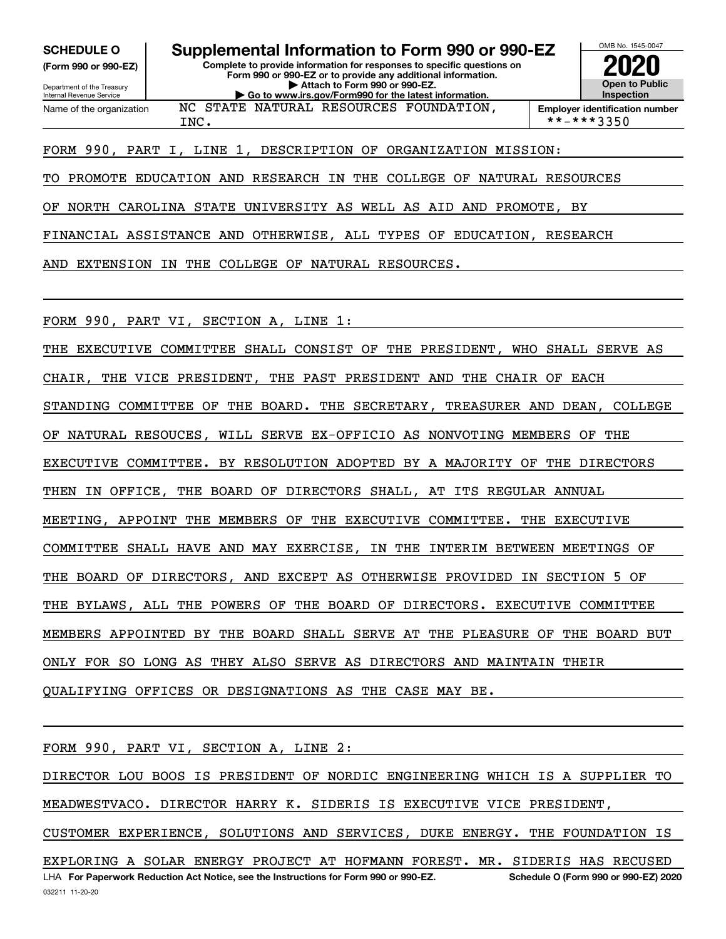**(Form 990 or 990-EZ)**

Department of the Treasury Internal Revenue Service Name of the organization

**SCHEDULE O Supplemental Information to Form 990 or 990-EZ**

**Complete to provide information for responses to specific questions on Form 990 or 990-EZ or to provide any additional information. | Attach to Form 990 or 990-EZ. | Go to www.irs.gov/Form990 for the latest information.** NC STATE NATURAL RESOURCES FOUNDATION,



 $INC.$   $| * - * * * 3350$ 

### FORM 990, PART I, LINE 1, DESCRIPTION OF ORGANIZATION MISSION:

TO PROMOTE EDUCATION AND RESEARCH IN THE COLLEGE OF NATURAL RESOURCES

OF NORTH CAROLINA STATE UNIVERSITY AS WELL AS AID AND PROMOTE, BY

FINANCIAL ASSISTANCE AND OTHERWISE, ALL TYPES OF EDUCATION, RESEARCH

AND EXTENSION IN THE COLLEGE OF NATURAL RESOURCES.

FORM 990, PART VI, SECTION A, LINE 1:

THE EXECUTIVE COMMITTEE SHALL CONSIST OF THE PRESIDENT, WHO SHALL SERVE AS CHAIR, THE VICE PRESIDENT, THE PAST PRESIDENT AND THE CHAIR OF EACH STANDING COMMITTEE OF THE BOARD. THE SECRETARY, TREASURER AND DEAN, COLLEGE OF NATURAL RESOUCES, WILL SERVE EX-OFFICIO AS NONVOTING MEMBERS OF THE EXECUTIVE COMMITTEE. BY RESOLUTION ADOPTED BY A MAJORITY OF THE DIRECTORS THEN IN OFFICE, THE BOARD OF DIRECTORS SHALL, AT ITS REGULAR ANNUAL MEETING, APPOINT THE MEMBERS OF THE EXECUTIVE COMMITTEE. THE EXECUTIVE COMMITTEE SHALL HAVE AND MAY EXERCISE, IN THE INTERIM BETWEEN MEETINGS OF THE BOARD OF DIRECTORS, AND EXCEPT AS OTHERWISE PROVIDED IN SECTION 5 OF THE BYLAWS, ALL THE POWERS OF THE BOARD OF DIRECTORS. EXECUTIVE COMMITTEE MEMBERS APPOINTED BY THE BOARD SHALL SERVE AT THE PLEASURE OF THE BOARD BUT ONLY FOR SO LONG AS THEY ALSO SERVE AS DIRECTORS AND MAINTAIN THEIR QUALIFYING OFFICES OR DESIGNATIONS AS THE CASE MAY BE.

FORM 990, PART VI, SECTION A, LINE 2:

DIRECTOR LOU BOOS IS PRESIDENT OF NORDIC ENGINEERING WHICH IS A SUPPLIER TO MEADWESTVACO. DIRECTOR HARRY K. SIDERIS IS EXECUTIVE VICE PRESIDENT, CUSTOMER EXPERIENCE, SOLUTIONS AND SERVICES, DUKE ENERGY. THE FOUNDATION IS EXPLORING A SOLAR ENERGY PROJECT AT HOFMANN FOREST. MR. SIDERIS HAS RECUSED

LHA For Paperwork Reduction Act Notice, see the Instructions for Form 990 or 990-EZ. Schedule O (Form 990 or 990-EZ) 2020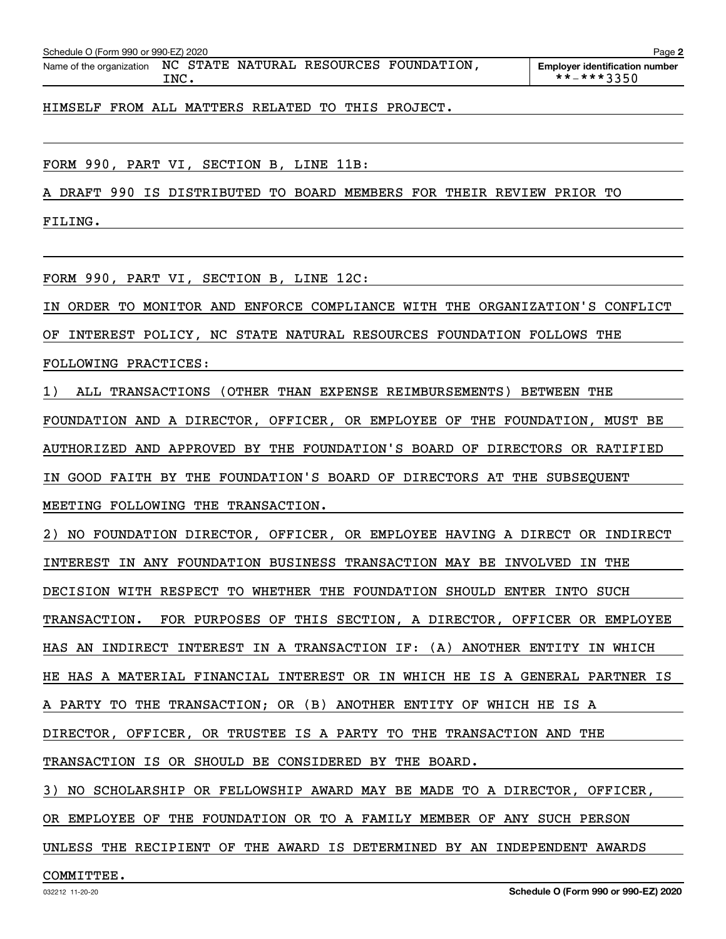| Schedule O (Form 990 or 990-EZ) 2020 |  |  |                                        | Page                                  |
|--------------------------------------|--|--|----------------------------------------|---------------------------------------|
| Name of the organization             |  |  | NC STATE NATURAL RESOURCES FOUNDATION, | <b>Employer identification number</b> |

**Employer identification number** INC. \*\*-\*\*\*3350

HIMSELF FROM ALL MATTERS RELATED TO THIS PROJECT.

FORM 990, PART VI, SECTION B, LINE 11B:

A DRAFT 990 IS DISTRIBUTED TO BOARD MEMBERS FOR THEIR REVIEW PRIOR TO

FILING.

FORM 990, PART VI, SECTION B, LINE 12C:

IN ORDER TO MONITOR AND ENFORCE COMPLIANCE WITH THE ORGANIZATION'S CONFLICT

OF INTEREST POLICY, NC STATE NATURAL RESOURCES FOUNDATION FOLLOWS THE

FOLLOWING PRACTICES:

1) ALL TRANSACTIONS (OTHER THAN EXPENSE REIMBURSEMENTS) BETWEEN THE

FOUNDATION AND A DIRECTOR, OFFICER, OR EMPLOYEE OF THE FOUNDATION, MUST BE

AUTHORIZED AND APPROVED BY THE FOUNDATION'S BOARD OF DIRECTORS OR RATIFIED

IN GOOD FAITH BY THE FOUNDATION'S BOARD OF DIRECTORS AT THE SUBSEQUENT

MEETING FOLLOWING THE TRANSACTION.

2) NO FOUNDATION DIRECTOR, OFFICER, OR EMPLOYEE HAVING A DIRECT OR INDIRECT INTEREST IN ANY FOUNDATION BUSINESS TRANSACTION MAY BE INVOLVED IN THE DECISION WITH RESPECT TO WHETHER THE FOUNDATION SHOULD ENTER INTO SUCH TRANSACTION. FOR PURPOSES OF THIS SECTION, A DIRECTOR, OFFICER OR EMPLOYEE HAS AN INDIRECT INTEREST IN A TRANSACTION IF: (A) ANOTHER ENTITY IN WHICH HE HAS A MATERIAL FINANCIAL INTEREST OR IN WHICH HE IS A GENERAL PARTNER IS A PARTY TO THE TRANSACTION; OR (B) ANOTHER ENTITY OF WHICH HE IS A DIRECTOR, OFFICER, OR TRUSTEE IS A PARTY TO THE TRANSACTION AND THE TRANSACTION IS OR SHOULD BE CONSIDERED BY THE BOARD.

3) NO SCHOLARSHIP OR FELLOWSHIP AWARD MAY BE MADE TO A DIRECTOR, OFFICER,

OR EMPLOYEE OF THE FOUNDATION OR TO A FAMILY MEMBER OF ANY SUCH PERSON

UNLESS THE RECIPIENT OF THE AWARD IS DETERMINED BY AN INDEPENDENT AWARDS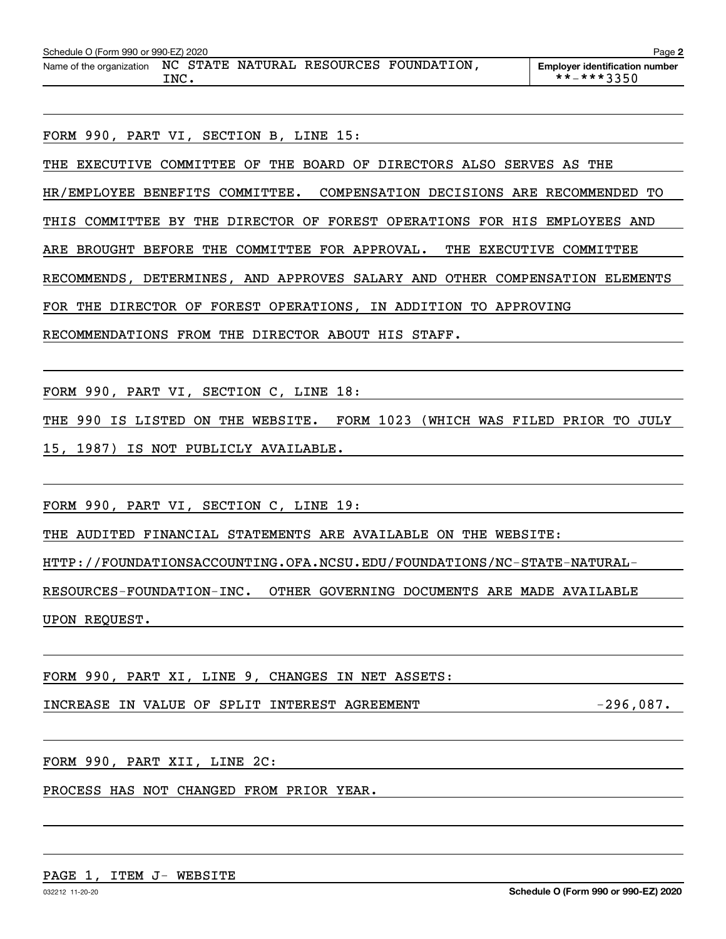FORM 990, PART VI, SECTION B, LINE 15:

THE EXECUTIVE COMMITTEE OF THE BOARD OF DIRECTORS ALSO SERVES AS THE HR/EMPLOYEE BENEFITS COMMITTEE. COMPENSATION DECISIONS ARE RECOMMENDED TO THIS COMMITTEE BY THE DIRECTOR OF FOREST OPERATIONS FOR HIS EMPLOYEES AND ARE BROUGHT BEFORE THE COMMITTEE FOR APPROVAL. THE EXECUTIVE COMMITTEE RECOMMENDS, DETERMINES, AND APPROVES SALARY AND OTHER COMPENSATION ELEMENTS FOR THE DIRECTOR OF FOREST OPERATIONS, IN ADDITION TO APPROVING RECOMMENDATIONS FROM THE DIRECTOR ABOUT HIS STAFF.

FORM 990, PART VI, SECTION C, LINE 18:

THE 990 IS LISTED ON THE WEBSITE. FORM 1023 (WHICH WAS FILED PRIOR TO JULY

15, 1987) IS NOT PUBLICLY AVAILABLE.

FORM 990, PART VI, SECTION C, LINE 19:

THE AUDITED FINANCIAL STATEMENTS ARE AVAILABLE ON THE WEBSITE:

HTTP://FOUNDATIONSACCOUNTING.OFA.NCSU.EDU/FOUNDATIONS/NC-STATE-NATURAL-

RESOURCES-FOUNDATION-INC. OTHER GOVERNING DOCUMENTS ARE MADE AVAILABLE UPON REQUEST.

FORM 990, PART XI, LINE 9, CHANGES IN NET ASSETS:

INCREASE IN VALUE OF SPLIT INTEREST AGREEMENT FOR THE RESOLUTION CONTRACT AGAINST THE RESOLUTION OF THE RESOLU

FORM 990, PART XII, LINE 2C:

PROCESS HAS NOT CHANGED FROM PRIOR YEAR.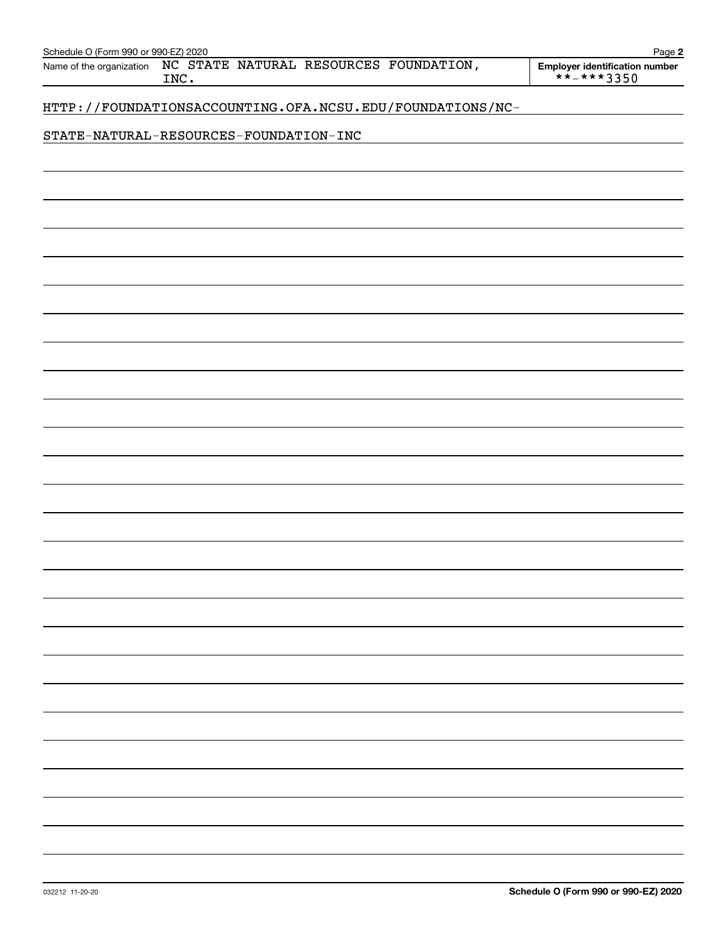| Schedule O (Form 990 or 990-EZ) 2020                                       | Page 2                                                 |
|----------------------------------------------------------------------------|--------------------------------------------------------|
| NC STATE NATURAL RESOURCES FOUNDATION,<br>Name of the organization<br>INC. | <b>Employer identification number</b><br>$** - **3350$ |
| HTTP://FOUNDATIONSACCOUNTING.OFA.NCSU.EDU/FOUNDATIONS/NC-                  |                                                        |
| STATE-NATURAL-RESOURCES-FOUNDATION-INC                                     |                                                        |
|                                                                            |                                                        |
|                                                                            |                                                        |
|                                                                            |                                                        |
|                                                                            |                                                        |
|                                                                            |                                                        |
|                                                                            |                                                        |
|                                                                            |                                                        |
|                                                                            |                                                        |
|                                                                            |                                                        |
|                                                                            |                                                        |
|                                                                            |                                                        |
|                                                                            |                                                        |
|                                                                            |                                                        |
|                                                                            |                                                        |
|                                                                            |                                                        |
|                                                                            |                                                        |
|                                                                            |                                                        |
|                                                                            |                                                        |
|                                                                            |                                                        |
|                                                                            |                                                        |
|                                                                            |                                                        |
|                                                                            |                                                        |
|                                                                            |                                                        |
|                                                                            |                                                        |
|                                                                            |                                                        |
|                                                                            |                                                        |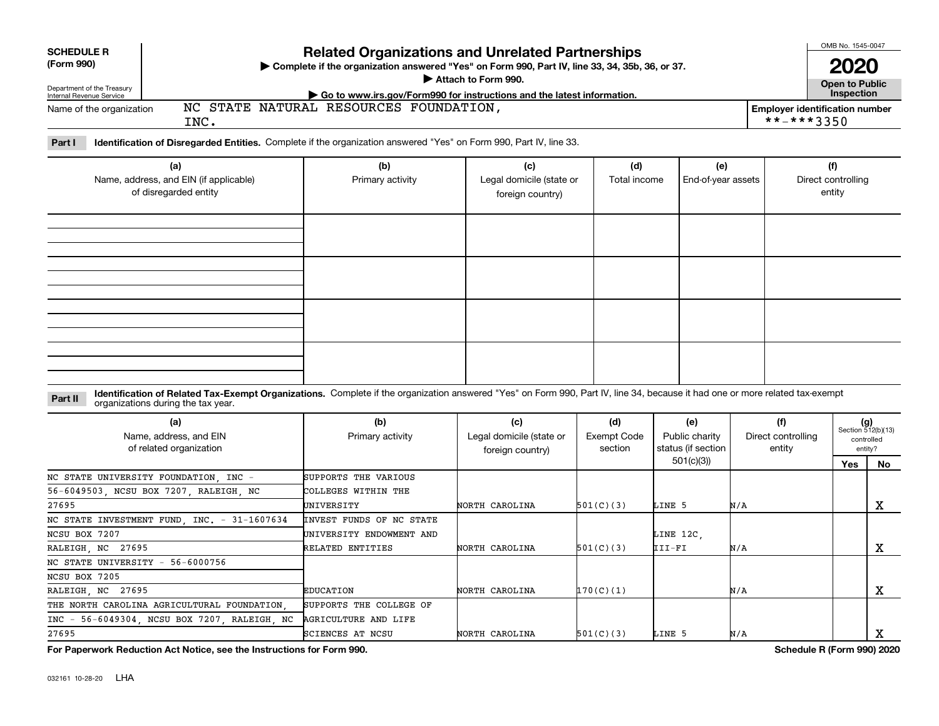| <b>SCHEDULE R</b>          | <b>Related Organizations and Unrelated Partnerships</b>                                          |                                                           |  |  |  |  |
|----------------------------|--------------------------------------------------------------------------------------------------|-----------------------------------------------------------|--|--|--|--|
| (Form 990)                 | ▶ Complete if the organization answered "Yes" on Form 990, Part IV, line 33, 34, 35b, 36, or 37. |                                                           |  |  |  |  |
| Department of the Treasury | Attach to Form 990.                                                                              | <b>Open to Public</b>                                     |  |  |  |  |
| Internal Revenue Service   | Go to www.irs.gov/Form990 for instructions and the latest information.                           | <b>Inspection</b>                                         |  |  |  |  |
| Name of the organization   | NC STATE NATURAL RESOURCES FOUNDATION,<br>INC.                                                   | <b>Employer identification number</b><br>$***$ $***$ 3350 |  |  |  |  |

**Part I Identification of Disregarded Entities.**  Complete if the organization answered "Yes" on Form 990, Part IV, line 33.

| (a)<br>Name, address, and EIN (if applicable)<br>of disregarded entity | (b)<br>Primary activity | (c)<br>Legal domicile (state or<br>foreign country) | (d)<br>Total income | (e)<br>End-of-year assets | (f)<br>Direct controlling<br>entity |
|------------------------------------------------------------------------|-------------------------|-----------------------------------------------------|---------------------|---------------------------|-------------------------------------|
|                                                                        |                         |                                                     |                     |                           |                                     |
|                                                                        |                         |                                                     |                     |                           |                                     |
|                                                                        |                         |                                                     |                     |                           |                                     |
|                                                                        |                         |                                                     |                     |                           |                                     |

**Identification of Related Tax-Exempt Organizations.** Complete if the organization answered "Yes" on Form 990, Part IV, line 34, because it had one or more related tax-exempt **Part II** organizations during the tax year.

| (a)<br>Name, address, and EIN<br>of related organization | (b)<br>Primary activity  | (c)<br>Legal domicile (state or<br>foreign country) | (d)<br>Exempt Code<br>section | (e)<br>Public charity<br>status (if section | (f)<br>Direct controlling<br>entity |     | $(g)$<br>Section 512(b)(13)<br>controlled<br>entity? |  |
|----------------------------------------------------------|--------------------------|-----------------------------------------------------|-------------------------------|---------------------------------------------|-------------------------------------|-----|------------------------------------------------------|--|
|                                                          |                          |                                                     |                               | 501(c)(3)                                   |                                     | Yes | No.                                                  |  |
| NC STATE UNIVERSITY FOUNDATION, INC -                    | SUPPORTS THE VARIOUS     |                                                     |                               |                                             |                                     |     |                                                      |  |
| 56-6049503, NCSU BOX 7207, RALEIGH, NC                   | COLLEGES WITHIN THE      |                                                     |                               |                                             |                                     |     |                                                      |  |
| 27695                                                    | UNIVERSITY               | NORTH CAROLINA                                      | 501(C)(3)                     | LINE 5                                      | N/A                                 |     | х                                                    |  |
| NC STATE INVESTMENT FUND, INC. - 31-1607634              | INVEST FUNDS OF NC STATE |                                                     |                               |                                             |                                     |     |                                                      |  |
| NCSU BOX 7207                                            | UNIVERSITY ENDOWMENT AND |                                                     |                               | LINE 12C,                                   |                                     |     |                                                      |  |
| RALEIGH, NC 27695                                        | RELATED ENTITIES         | NORTH CAROLINA                                      | 501(C)(3)                     | III-FI                                      | N/A                                 |     | x                                                    |  |
| NC STATE UNIVERSITY - 56-6000756                         |                          |                                                     |                               |                                             |                                     |     |                                                      |  |
| NCSU BOX 7205                                            |                          |                                                     |                               |                                             |                                     |     |                                                      |  |
| RALEIGH, NC 27695                                        | <b>EDUCATION</b>         | NORTH CAROLINA                                      | 170(C)(1)                     |                                             | N/A                                 |     | х                                                    |  |
| THE NORTH CAROLINA AGRICULTURAL FOUNDATION.              | SUPPORTS THE COLLEGE OF  |                                                     |                               |                                             |                                     |     |                                                      |  |
| INC - 56-6049304, NCSU BOX 7207, RALEIGH, NC             | AGRICULTURE AND LIFE     |                                                     |                               |                                             |                                     |     |                                                      |  |
| 27695                                                    | <b>SCIENCES AT NCSU</b>  | NORTH CAROLINA                                      | 501(C)(3)                     | LINE 5                                      | N/A                                 |     | A                                                    |  |

**For Paperwork Reduction Act Notice, see the Instructions for Form 990. Schedule R (Form 990) 2020**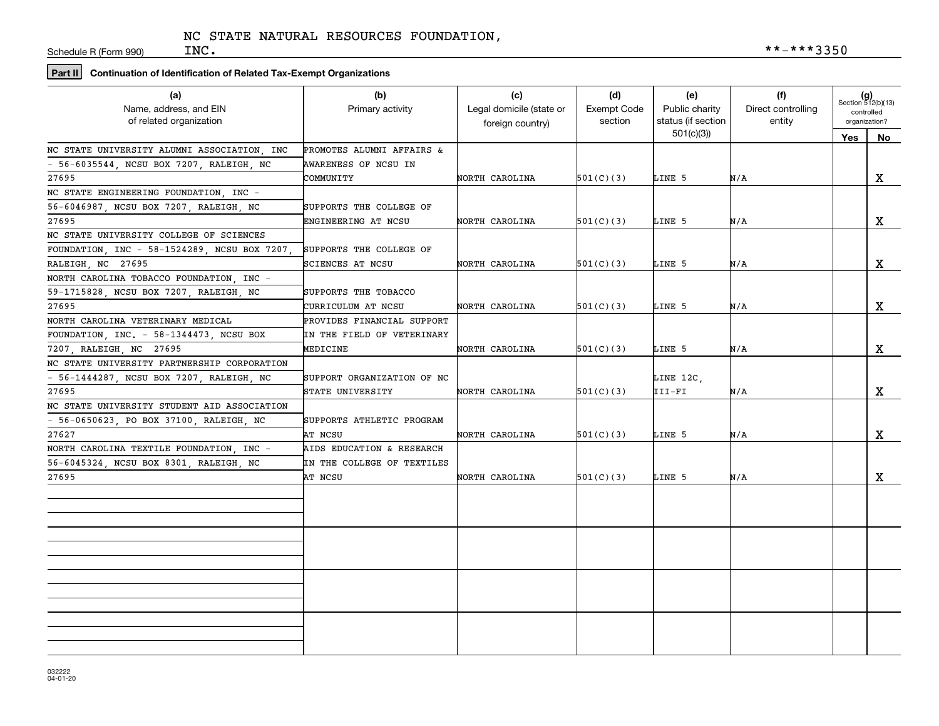Schedule R (Form 990)

# **Part II Continuation of Identification of Related Tax-Exempt Organizations**

| (a)                                               | (b)                        | (c)                      | (d)                           | (e)                                  | (f)                          |     | $(g)$<br>Section 512(b)(13) |
|---------------------------------------------------|----------------------------|--------------------------|-------------------------------|--------------------------------------|------------------------------|-----|-----------------------------|
| Name, address, and EIN<br>of related organization | Primary activity           | Legal domicile (state or | <b>Exempt Code</b><br>section | Public charity<br>status (if section | Direct controlling<br>entity |     | controlled<br>organization? |
|                                                   |                            | foreign country)         |                               | 501(c)(3)                            |                              |     |                             |
| NC STATE UNIVERSITY ALUMNI ASSOCIATION, INC       | PROMOTES ALUMNI AFFAIRS &  |                          |                               |                                      |                              | Yes | No                          |
| - 56-6035544, NCSU BOX 7207, RALEIGH, NC          | AWARENESS OF NCSU IN       |                          |                               |                                      |                              |     |                             |
| 27695                                             | COMMUNITY                  | NORTH CAROLINA           | 501(C)(3)                     | LINE 5                               | N/A                          |     | X                           |
| NC STATE ENGINEERING FOUNDATION. INC -            |                            |                          |                               |                                      |                              |     |                             |
| 56-6046987, NCSU BOX 7207, RALEIGH, NC            | SUPPORTS THE COLLEGE OF    |                          |                               |                                      |                              |     |                             |
| 27695                                             | ENGINEERING AT NCSU        | NORTH CAROLINA           | 501(C)(3)                     | LINE 5                               | N/A                          |     | $\mathbf X$                 |
| NC STATE UNIVERSITY COLLEGE OF SCIENCES           |                            |                          |                               |                                      |                              |     |                             |
| FOUNDATION, INC - 58-1524289, NCSU BOX 7207,      | SUPPORTS THE COLLEGE OF    |                          |                               |                                      |                              |     |                             |
| RALEIGH, NC 27695                                 | SCIENCES AT NCSU           | NORTH CAROLINA           | 501(C)(3)                     | LINE 5                               | N/A                          |     | X                           |
| NORTH CAROLINA TOBACCO FOUNDATION, INC -          |                            |                          |                               |                                      |                              |     |                             |
| 59-1715828, NCSU BOX 7207, RALEIGH, NC            | SUPPORTS THE TOBACCO       |                          |                               |                                      |                              |     |                             |
| 27695                                             | CURRICULUM AT NCSU         | NORTH CAROLINA           | 501(C)(3)                     | LINE 5                               | N/A                          |     | X                           |
| NORTH CAROLINA VETERINARY MEDICAL                 | PROVIDES FINANCIAL SUPPORT |                          |                               |                                      |                              |     |                             |
| FOUNDATION, INC. - 58-1344473, NCSU BOX           | IN THE FIELD OF VETERINARY |                          |                               |                                      |                              |     |                             |
| 7207, RALEIGH, NC 27695                           | MEDICINE                   | NORTH CAROLINA           | 501(C)(3)                     | LINE 5                               | N/A                          |     | $\mathbf X$                 |
| NC STATE UNIVERSITY PARTNERSHIP CORPORATION       |                            |                          |                               |                                      |                              |     |                             |
| - 56-1444287, NCSU BOX 7207, RALEIGH, NC          | SUPPORT ORGANIZATION OF NC |                          |                               | LINE 12C,                            |                              |     |                             |
| 27695                                             | STATE UNIVERSITY           | NORTH CAROLINA           | 501(C)(3)                     | III-FI                               | N/A                          |     | $\mathbf X$                 |
| NC STATE UNIVERSITY STUDENT AID ASSOCIATION       |                            |                          |                               |                                      |                              |     |                             |
| $-56-0650623$ , PO BOX 37100, RALEIGH, NC         | SUPPORTS ATHLETIC PROGRAM  |                          |                               |                                      |                              |     |                             |
| 27627                                             | AT NCSU                    | NORTH CAROLINA           | 501(C)(3)                     | LINE 5                               | N/A                          |     | $\mathbf X$                 |
| NORTH CAROLINA TEXTILE FOUNDATION, INC -          | AIDS EDUCATION & RESEARCH  |                          |                               |                                      |                              |     |                             |
| 56-6045324, NCSU BOX 8301, RALEIGH, NC            | IN THE COLLEGE OF TEXTILES |                          |                               |                                      |                              |     |                             |
| 27695                                             | AT NCSU                    | NORTH CAROLINA           | 501(C)(3)                     | LINE 5                               | N/A                          |     | X                           |
|                                                   |                            |                          |                               |                                      |                              |     |                             |
|                                                   |                            |                          |                               |                                      |                              |     |                             |
|                                                   |                            |                          |                               |                                      |                              |     |                             |
|                                                   |                            |                          |                               |                                      |                              |     |                             |
|                                                   |                            |                          |                               |                                      |                              |     |                             |
|                                                   |                            |                          |                               |                                      |                              |     |                             |
|                                                   |                            |                          |                               |                                      |                              |     |                             |
|                                                   |                            |                          |                               |                                      |                              |     |                             |
|                                                   |                            |                          |                               |                                      |                              |     |                             |
|                                                   |                            |                          |                               |                                      |                              |     |                             |
|                                                   |                            |                          |                               |                                      |                              |     |                             |
|                                                   |                            |                          |                               |                                      |                              |     |                             |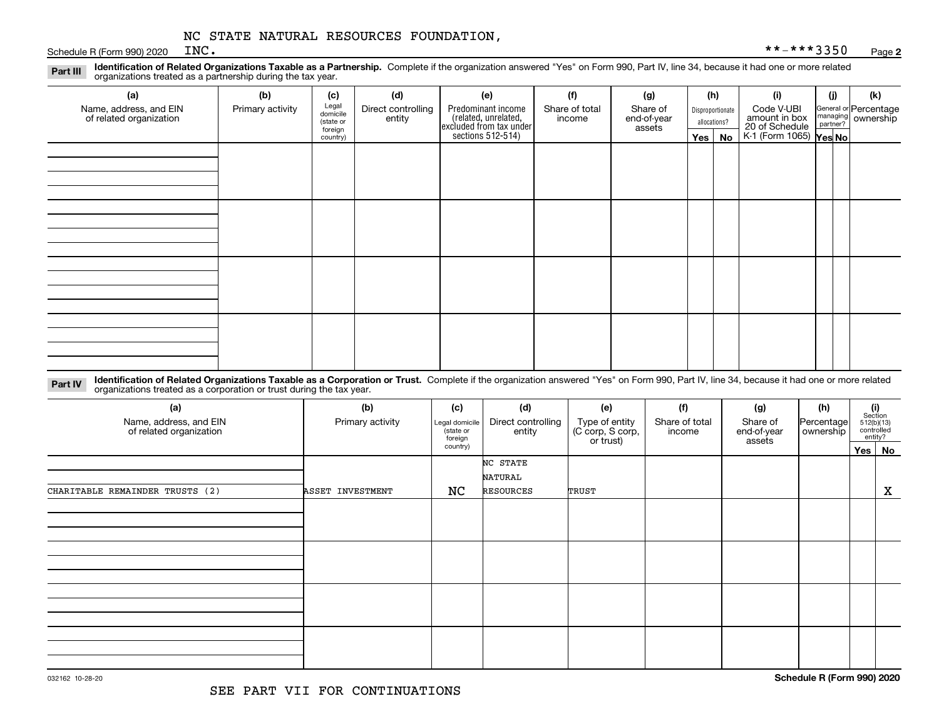Schedule R (Form 990) 2020  $INC$ .

**Identification of Related Organizations Taxable as a Partnership.** Complete if the organization answered "Yes" on Form 990, Part IV, line 34, because it had one or more related **Part III** organizations treated as a partnership during the tax year.

| (a)                                               | (b)              | (c)                  | (d)                          | (e)                                                                                        | (f)                      | (g)                     |         | (h)              | (i)                                                              | (i) | (k)                                                     |
|---------------------------------------------------|------------------|----------------------|------------------------------|--------------------------------------------------------------------------------------------|--------------------------|-------------------------|---------|------------------|------------------------------------------------------------------|-----|---------------------------------------------------------|
| Name, address, and EIN<br>of related organization | Primary activity | Legal<br>domicile    | Direct controlling<br>entity | Predominant income<br>(related, unrelated,<br>excluded from tax under<br>sections 512-514) | Share of total<br>income | Share of<br>end-of-year |         | Disproportionate | Code V-UBI                                                       |     | General or Percentage<br>managing ownership<br>partner? |
|                                                   |                  | (state or<br>foreign |                              |                                                                                            |                          | assets                  |         | allocations?     |                                                                  |     |                                                         |
|                                                   |                  | country)             |                              |                                                                                            |                          |                         | Yes $ $ | No               | amount in box<br>20 of Schedule<br>K-1 (Form 1065) <b>Yes No</b> |     |                                                         |
|                                                   |                  |                      |                              |                                                                                            |                          |                         |         |                  |                                                                  |     |                                                         |
|                                                   |                  |                      |                              |                                                                                            |                          |                         |         |                  |                                                                  |     |                                                         |
|                                                   |                  |                      |                              |                                                                                            |                          |                         |         |                  |                                                                  |     |                                                         |
|                                                   |                  |                      |                              |                                                                                            |                          |                         |         |                  |                                                                  |     |                                                         |
|                                                   |                  |                      |                              |                                                                                            |                          |                         |         |                  |                                                                  |     |                                                         |
|                                                   |                  |                      |                              |                                                                                            |                          |                         |         |                  |                                                                  |     |                                                         |
|                                                   |                  |                      |                              |                                                                                            |                          |                         |         |                  |                                                                  |     |                                                         |
|                                                   |                  |                      |                              |                                                                                            |                          |                         |         |                  |                                                                  |     |                                                         |
|                                                   |                  |                      |                              |                                                                                            |                          |                         |         |                  |                                                                  |     |                                                         |
|                                                   |                  |                      |                              |                                                                                            |                          |                         |         |                  |                                                                  |     |                                                         |
|                                                   |                  |                      |                              |                                                                                            |                          |                         |         |                  |                                                                  |     |                                                         |
|                                                   |                  |                      |                              |                                                                                            |                          |                         |         |                  |                                                                  |     |                                                         |
|                                                   |                  |                      |                              |                                                                                            |                          |                         |         |                  |                                                                  |     |                                                         |
|                                                   |                  |                      |                              |                                                                                            |                          |                         |         |                  |                                                                  |     |                                                         |
|                                                   |                  |                      |                              |                                                                                            |                          |                         |         |                  |                                                                  |     |                                                         |
|                                                   |                  |                      |                              |                                                                                            |                          |                         |         |                  |                                                                  |     |                                                         |
|                                                   |                  |                      |                              |                                                                                            |                          |                         |         |                  |                                                                  |     |                                                         |

**Identification of Related Organizations Taxable as a Corporation or Trust.** Complete if the organization answered "Yes" on Form 990, Part IV, line 34, because it had one or more related **Part IV** organizations treated as a corporation or trust during the tax year.

| (a)<br>Name, address, and EIN<br>of related organization | (b)<br>Primary activity | (c)<br>Legal domicile<br>(state or<br>foreign | (d)<br>Direct controlling<br>entity | (e)<br>Type of entity<br>(C corp, S corp,<br>or trust) | (f)<br>Share of total<br>income | (g)<br>Share of<br>end-of-year<br>assets | (h)<br> Percentage <br>ownership | (i)<br>Section<br>512(b)(13)<br>controlled<br>entity? |
|----------------------------------------------------------|-------------------------|-----------------------------------------------|-------------------------------------|--------------------------------------------------------|---------------------------------|------------------------------------------|----------------------------------|-------------------------------------------------------|
|                                                          |                         | country)                                      |                                     |                                                        |                                 |                                          |                                  | Yes No                                                |
|                                                          |                         |                                               | NC STATE                            |                                                        |                                 |                                          |                                  |                                                       |
|                                                          |                         |                                               | NATURAL                             |                                                        |                                 |                                          |                                  |                                                       |
| CHARITABLE REMAINDER TRUSTS (2)                          | ASSET INVESTMENT        | NC                                            | <b>RESOURCES</b>                    | TRUST                                                  |                                 |                                          |                                  | X                                                     |
|                                                          |                         |                                               |                                     |                                                        |                                 |                                          |                                  |                                                       |
|                                                          |                         |                                               |                                     |                                                        |                                 |                                          |                                  |                                                       |
|                                                          |                         |                                               |                                     |                                                        |                                 |                                          |                                  |                                                       |
|                                                          |                         |                                               |                                     |                                                        |                                 |                                          |                                  |                                                       |
|                                                          |                         |                                               |                                     |                                                        |                                 |                                          |                                  |                                                       |
|                                                          |                         |                                               |                                     |                                                        |                                 |                                          |                                  |                                                       |
|                                                          |                         |                                               |                                     |                                                        |                                 |                                          |                                  |                                                       |
|                                                          |                         |                                               |                                     |                                                        |                                 |                                          |                                  |                                                       |
|                                                          |                         |                                               |                                     |                                                        |                                 |                                          |                                  |                                                       |
|                                                          |                         |                                               |                                     |                                                        |                                 |                                          |                                  |                                                       |
|                                                          |                         |                                               |                                     |                                                        |                                 |                                          |                                  |                                                       |
|                                                          |                         |                                               |                                     |                                                        |                                 |                                          |                                  |                                                       |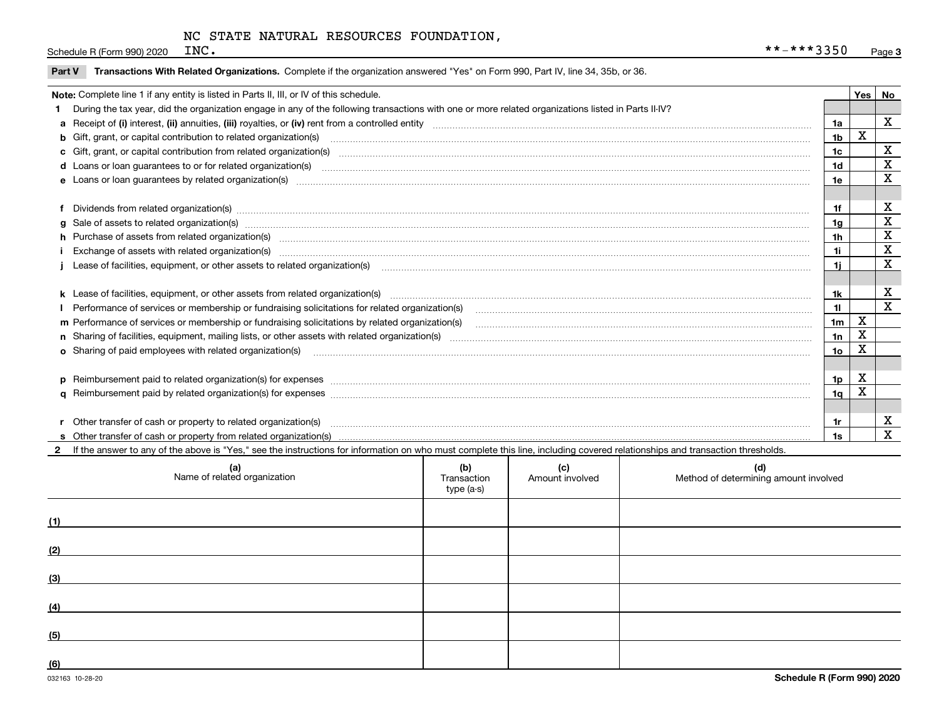Schedule R (Form 990) 2020  $INC$ .

|  | Part V Transactions With Related Organizations. Complete if the organization answered "Yes" on Form 990, Part IV, line 34, 35b, or 36 |  |  |
|--|---------------------------------------------------------------------------------------------------------------------------------------|--|--|
|--|---------------------------------------------------------------------------------------------------------------------------------------|--|--|

| Note: Complete line 1 if any entity is listed in Parts II, III, or IV of this schedule. |                                                                                                                                                                                                                                |                |             |             |  |
|-----------------------------------------------------------------------------------------|--------------------------------------------------------------------------------------------------------------------------------------------------------------------------------------------------------------------------------|----------------|-------------|-------------|--|
|                                                                                         | During the tax year, did the organization engage in any of the following transactions with one or more related organizations listed in Parts II-IV?                                                                            |                |             |             |  |
|                                                                                         |                                                                                                                                                                                                                                | 1a             |             | X           |  |
|                                                                                         | b Gift, grant, or capital contribution to related organization(s) material contracts and contribution to related organization(s)                                                                                               | 1b             | X           |             |  |
|                                                                                         | c Gift, grant, or capital contribution from related organization(s) manufaction(s) and contribution from related organization(s) manufaction contribution from related organization(s) manufaction contribution from related o | 1 <sub>c</sub> |             | $\mathbf X$ |  |
|                                                                                         | <b>d</b> Loans or loan quarantees to or for related organization(s)                                                                                                                                                            | 1d             |             | X           |  |
|                                                                                         |                                                                                                                                                                                                                                | 1e             |             | X           |  |
|                                                                                         |                                                                                                                                                                                                                                |                |             |             |  |
|                                                                                         | f Dividends from related organization(s) www.communicallycommunicallycommunicallycommunicallycommunicallycommunicallycommunicallycommunicallycommunicallycommunicallycommunicallycommunicallycommunicallycommunicallycommunica | 1f             |             | х           |  |
|                                                                                         | g Sale of assets to related organization(s) manufactured content and content and content and content and content and content and content and content and content and content and content and content and content and content a | 1g             |             | X           |  |
|                                                                                         |                                                                                                                                                                                                                                | 1 <sub>h</sub> |             | X           |  |
|                                                                                         |                                                                                                                                                                                                                                | 1i             |             | X           |  |
|                                                                                         | Lease of facilities, equipment, or other assets to related organization(s) www.community.com/www.community.com/www.community.com/www.community.com/www.community.com/www.community.com/www.community.com/www.community.com/www | 1j             |             | X           |  |
|                                                                                         |                                                                                                                                                                                                                                |                |             |             |  |
|                                                                                         | k Lease of facilities, equipment, or other assets from related organization(s) manufaction content and content to content and an analyzing content and an analyzing content and an analyzing content and content and content a | 1k             |             | х           |  |
|                                                                                         |                                                                                                                                                                                                                                | 11             |             | X           |  |
|                                                                                         | m Performance of services or membership or fundraising solicitations by related organization(s)                                                                                                                                | 1 <sub>m</sub> | $\mathbf X$ |             |  |
|                                                                                         |                                                                                                                                                                                                                                | 1n             | X           |             |  |
|                                                                                         | <b>o</b> Sharing of paid employees with related organization(s)                                                                                                                                                                | 1o             | x           |             |  |
|                                                                                         |                                                                                                                                                                                                                                |                |             |             |  |
|                                                                                         | p Reimbursement paid to related organization(s) for expenses [1111] and the content of the content of the content of the content of the content of the content of the content of the content of the content of the content of  | 1p             | х           |             |  |
|                                                                                         |                                                                                                                                                                                                                                | 1q             | x           |             |  |
|                                                                                         |                                                                                                                                                                                                                                |                |             |             |  |
|                                                                                         | r Other transfer of cash or property to related organization(s)                                                                                                                                                                | 1r             |             | х           |  |
|                                                                                         |                                                                                                                                                                                                                                | 1s             |             | X           |  |
|                                                                                         | 2 If the answer to any of the above is "Yes," see the instructions for information on who must complete this line, including covered relationships and transaction thresholds.                                                 |                |             |             |  |

| (a)<br>Name of related organization | (b)<br>Transaction<br>type (a-s) | (c)<br>Amount involved | (d)<br>Method of determining amount involved |
|-------------------------------------|----------------------------------|------------------------|----------------------------------------------|
| (1)                                 |                                  |                        |                                              |
| (2)                                 |                                  |                        |                                              |
| (3)                                 |                                  |                        |                                              |
| (4)                                 |                                  |                        |                                              |
| (5)                                 |                                  |                        |                                              |
| (6)                                 |                                  |                        |                                              |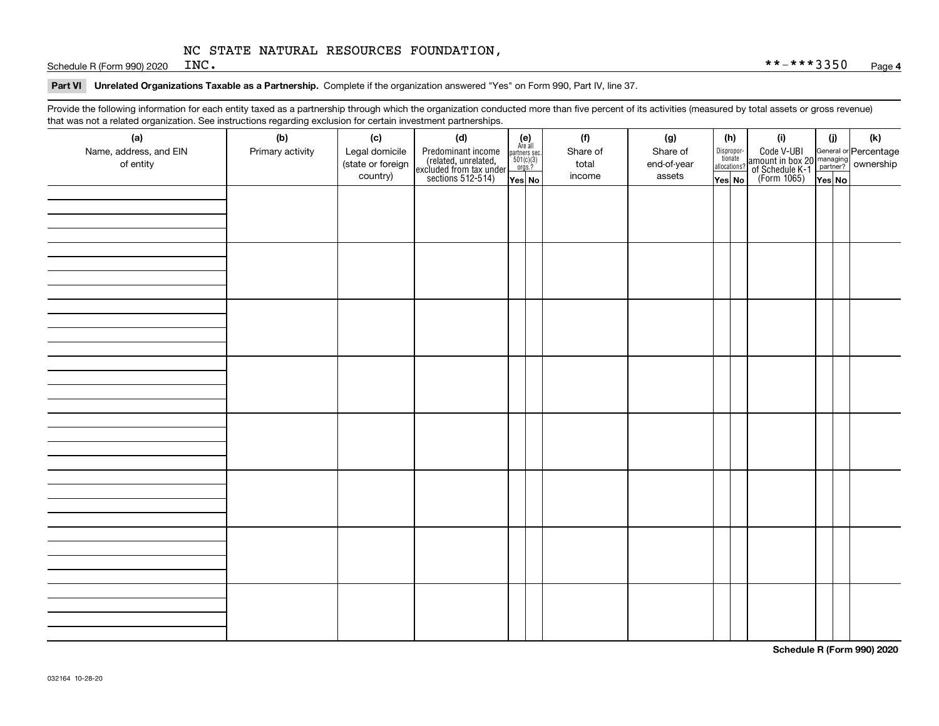Schedule R (Form 990) 2020  $INC$ .

#### **Part VI Unrelated Organizations Taxable as a Partnership. Complete if the organization answered "Yes" on Form 990, Part IV, line 37.**

Provide the following information for each entity taxed as a partnership through which the organization conducted more than five percent of its activities (measured by total assets or gross revenue) that was not a related organization. See instructions regarding exclusion for certain investment partnerships.

| that was not a related erganization. See includitions regarding excludion for contain invectment partnerompe.<br>(a) | (b)              | (c)               | (d)                                                                                        |                                                                                                                  | (f)      | (g)         | (h)                              | (i)                                                                                          | (i)    | (k) |
|----------------------------------------------------------------------------------------------------------------------|------------------|-------------------|--------------------------------------------------------------------------------------------|------------------------------------------------------------------------------------------------------------------|----------|-------------|----------------------------------|----------------------------------------------------------------------------------------------|--------|-----|
| Name, address, and EIN                                                                                               | Primary activity | Legal domicile    |                                                                                            | $\begin{array}{c} \textbf{(e)}\\ \text{Are all} \\ \text{partners sec.}\\ 501(c)(3)\\ \text{orgs.?} \end{array}$ | Share of | Share of    |                                  |                                                                                              |        |     |
| of entity                                                                                                            |                  | (state or foreign | Predominant income<br>(related, unrelated,<br>excluded from tax under<br>sections 512-514) |                                                                                                                  | total    | end-of-year | Disproportionate<br>allocations? | Code V-UBI<br>amount in box 20 managing<br>of Schedule K-1 partner?<br>(Form 1065)<br>ves No |        |     |
|                                                                                                                      |                  | country)          |                                                                                            |                                                                                                                  | income   | assets      |                                  |                                                                                              |        |     |
|                                                                                                                      |                  |                   |                                                                                            | Yes No                                                                                                           |          |             | Yes No                           |                                                                                              | Yes No |     |
|                                                                                                                      |                  |                   |                                                                                            |                                                                                                                  |          |             |                                  |                                                                                              |        |     |
|                                                                                                                      |                  |                   |                                                                                            |                                                                                                                  |          |             |                                  |                                                                                              |        |     |
|                                                                                                                      |                  |                   |                                                                                            |                                                                                                                  |          |             |                                  |                                                                                              |        |     |
|                                                                                                                      |                  |                   |                                                                                            |                                                                                                                  |          |             |                                  |                                                                                              |        |     |
|                                                                                                                      |                  |                   |                                                                                            |                                                                                                                  |          |             |                                  |                                                                                              |        |     |
|                                                                                                                      |                  |                   |                                                                                            |                                                                                                                  |          |             |                                  |                                                                                              |        |     |
|                                                                                                                      |                  |                   |                                                                                            |                                                                                                                  |          |             |                                  |                                                                                              |        |     |
|                                                                                                                      |                  |                   |                                                                                            |                                                                                                                  |          |             |                                  |                                                                                              |        |     |
|                                                                                                                      |                  |                   |                                                                                            |                                                                                                                  |          |             |                                  |                                                                                              |        |     |
|                                                                                                                      |                  |                   |                                                                                            |                                                                                                                  |          |             |                                  |                                                                                              |        |     |
|                                                                                                                      |                  |                   |                                                                                            |                                                                                                                  |          |             |                                  |                                                                                              |        |     |
|                                                                                                                      |                  |                   |                                                                                            |                                                                                                                  |          |             |                                  |                                                                                              |        |     |
|                                                                                                                      |                  |                   |                                                                                            |                                                                                                                  |          |             |                                  |                                                                                              |        |     |
|                                                                                                                      |                  |                   |                                                                                            |                                                                                                                  |          |             |                                  |                                                                                              |        |     |
|                                                                                                                      |                  |                   |                                                                                            |                                                                                                                  |          |             |                                  |                                                                                              |        |     |
|                                                                                                                      |                  |                   |                                                                                            |                                                                                                                  |          |             |                                  |                                                                                              |        |     |
|                                                                                                                      |                  |                   |                                                                                            |                                                                                                                  |          |             |                                  |                                                                                              |        |     |
|                                                                                                                      |                  |                   |                                                                                            |                                                                                                                  |          |             |                                  |                                                                                              |        |     |
|                                                                                                                      |                  |                   |                                                                                            |                                                                                                                  |          |             |                                  |                                                                                              |        |     |
|                                                                                                                      |                  |                   |                                                                                            |                                                                                                                  |          |             |                                  |                                                                                              |        |     |
|                                                                                                                      |                  |                   |                                                                                            |                                                                                                                  |          |             |                                  |                                                                                              |        |     |
|                                                                                                                      |                  |                   |                                                                                            |                                                                                                                  |          |             |                                  |                                                                                              |        |     |
|                                                                                                                      |                  |                   |                                                                                            |                                                                                                                  |          |             |                                  |                                                                                              |        |     |
|                                                                                                                      |                  |                   |                                                                                            |                                                                                                                  |          |             |                                  |                                                                                              |        |     |
|                                                                                                                      |                  |                   |                                                                                            |                                                                                                                  |          |             |                                  |                                                                                              |        |     |
|                                                                                                                      |                  |                   |                                                                                            |                                                                                                                  |          |             |                                  |                                                                                              |        |     |
|                                                                                                                      |                  |                   |                                                                                            |                                                                                                                  |          |             |                                  |                                                                                              |        |     |
|                                                                                                                      |                  |                   |                                                                                            |                                                                                                                  |          |             |                                  |                                                                                              |        |     |
|                                                                                                                      |                  |                   |                                                                                            |                                                                                                                  |          |             |                                  |                                                                                              |        |     |
|                                                                                                                      |                  |                   |                                                                                            |                                                                                                                  |          |             |                                  |                                                                                              |        |     |
|                                                                                                                      |                  |                   |                                                                                            |                                                                                                                  |          |             |                                  |                                                                                              |        |     |
|                                                                                                                      |                  |                   |                                                                                            |                                                                                                                  |          |             |                                  |                                                                                              |        |     |
|                                                                                                                      |                  |                   |                                                                                            |                                                                                                                  |          |             |                                  |                                                                                              |        |     |
|                                                                                                                      |                  |                   |                                                                                            |                                                                                                                  |          |             |                                  |                                                                                              |        |     |

**Schedule R (Form 990) 2020**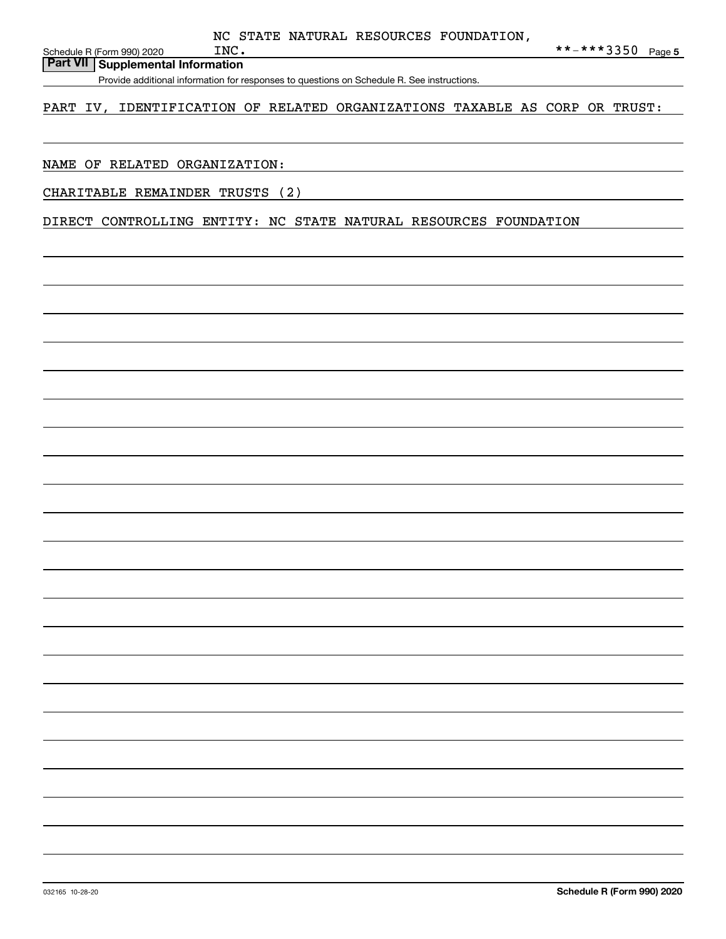Schedule R (Form 990) 2020  $N$ 

## **Part VII Supplemental Information**

Provide additional information for responses to questions on Schedule R. See instructions.

### PART IV, IDENTIFICATION OF RELATED ORGANIZATIONS TAXABLE AS CORP OR TRUST:

#### NAME OF RELATED ORGANIZATION:

CHARITABLE REMAINDER TRUSTS (2)

DIRECT CONTROLLING ENTITY: NC STATE NATURAL RESOURCES FOUNDATION